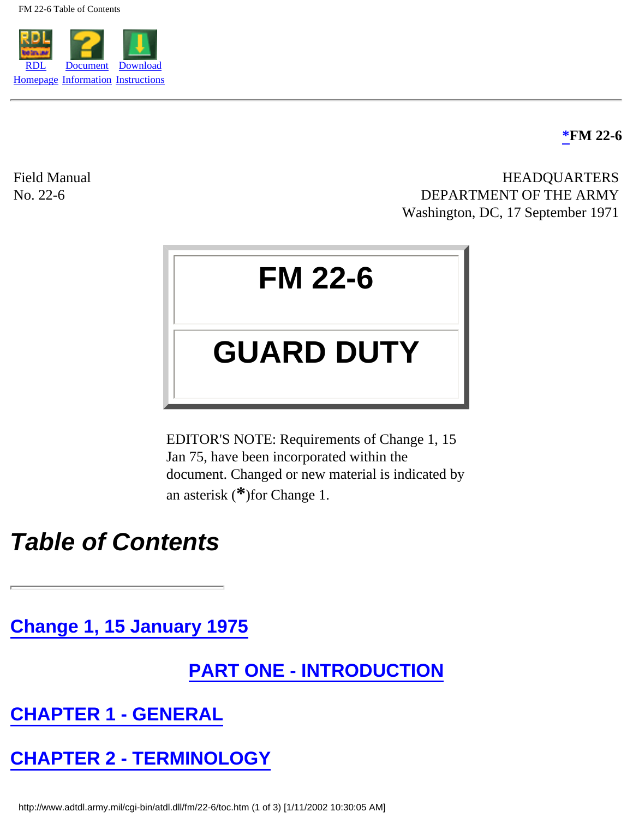<span id="page-0-0"></span>

#### **\*FM 22-6**

Field Manual No. 22-6

HEADQUARTERS DEPARTMENT OF THE ARMY Washington, DC, 17 September 1971



EDITOR'S NOTE: Requirements of Change 1, 15 Jan 75, have been incorporated within the document. Changed or new material is indicated by an asterisk (**\***)for Change 1.

# **Table of Contents**

**[Change 1, 15 January 1975](#page-3-0)**

## **PART ONE - INTRODUCTION**

**CHAPTER 1 - GENERAL**

**[CHAPTER 2 - TERMINOLOGY](#page-6-0)**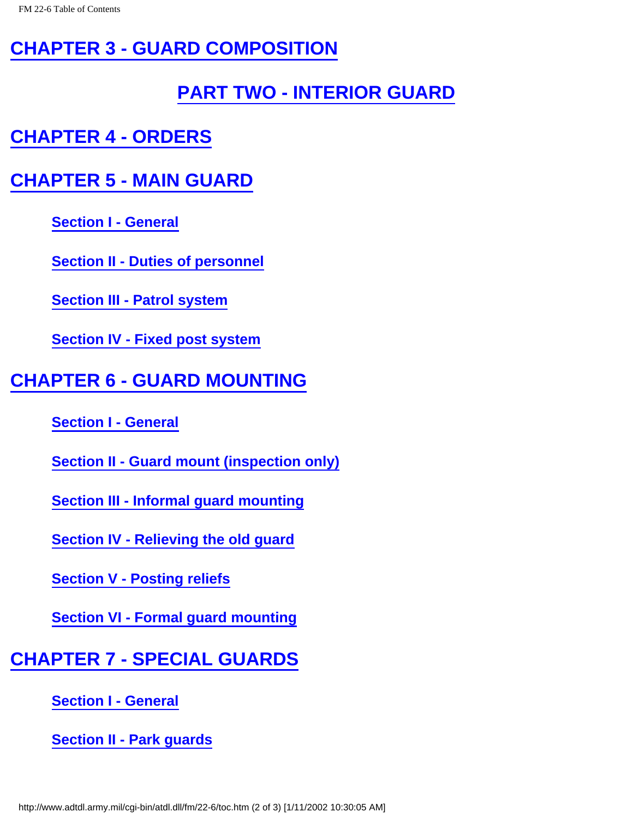## **[CHAPTER 3 - GUARD COMPOSITION](#page-9-0)**

## **PART TWO - INTERIOR GUARD**

## **CHAPTER 4 - ORDERS**

## **CHAPTER 5 - MAIN GUARD**

**Section I - General**

**Section II - Duties of personnel**

**Section III - Patrol system**

**Section IV - Fixed post system**

# **CHAPTER 6 - GUARD MOUNTING**

**[Section I - General](#page-27-0)**

**[Section II - Guard mount \(inspection only\)](#page-27-1)**

**[Section III - Informal guard mounting](#page-30-0)**

**[Section IV - Relieving the old guard](#page-35-0)**

**[Section V - Posting reliefs](#page-38-0)**

**[Section VI - Formal guard mounting](#page-45-0)**

# **CHAPTER 7 - SPECIAL GUARDS**

**Section I - General**

**Section II - Park guards**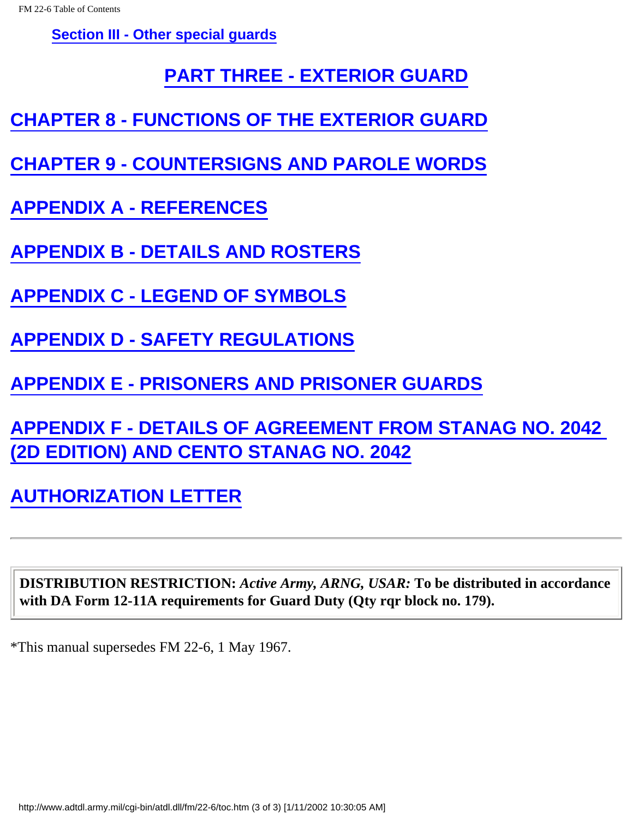**Section III - Other special guards**

## **PART THREE - EXTERIOR GUARD**

**CHAPTER 8 - FUNCTIONS OF THE EXTERIOR GUARD**

**CHAPTER 9 - COUNTERSIGNS AND PAROLE WORDS**

**[APPENDIX A - REFERENCES](#page-69-0)**

**[APPENDIX B - DETAILS AND ROSTERS](#page-71-0)**

**[APPENDIX C - LEGEND OF SYMBOLS](#page-78-0)**

**[APPENDIX D - SAFETY REGULATIONS](#page-80-0)**

**APPENDIX E - PRISONERS AND PRISONER GUARDS**

**[APPENDIX F - DETAILS OF AGREEMENT FROM STANAG NO. 2042](#page-85-0) [\(2D EDITION\) AND CENTO STANAG NO. 2042](#page-85-0)**

**AUTHORIZATION LETTER**

**DISTRIBUTION RESTRICTION:** *Active Army, ARNG, USAR:* **To be distributed in accordance with DA Form 12-11A requirements for Guard Duty (Qty rqr block no. 179).**

\*This manual supersedes FM 22-6, 1 May 1967.

http://www.adtdl.army.mil/cgi-bin/atdl.dll/fm/22-6/toc.htm (3 of 3) [1/11/2002 10:30:05 AM]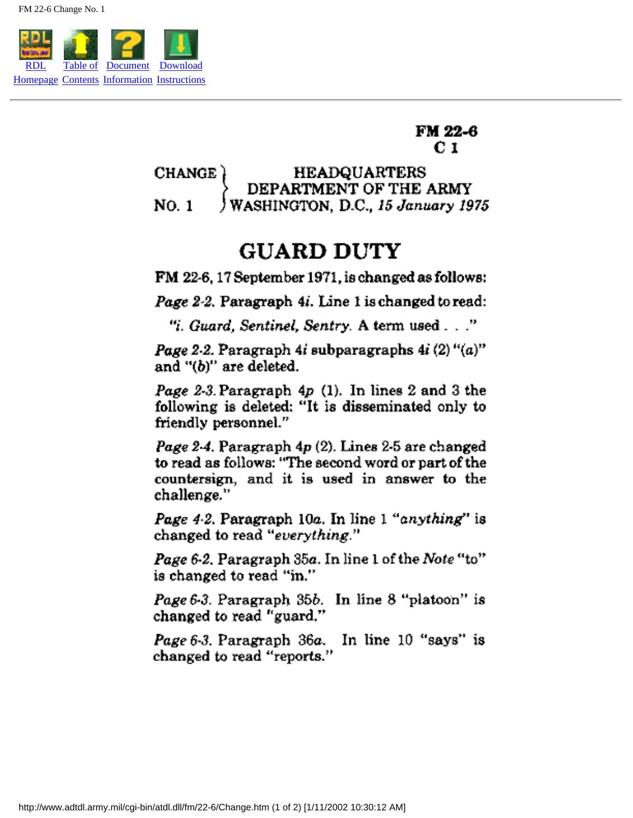<span id="page-3-0"></span>

#### FM 22-6

Cı

#### **HEADQUARTERS CHANGE** DEPARTMENT OF THE ARMY WASHINGTON, D.C., 15 January 1975 NO. 1

## **GUARD DUTY**

FM 22-6, 17 September 1971, is changed as follows:

Page 2-2. Paragraph 4i. Line 1 is changed to read:

"*i. Guard. Sentinel. Sentry.* A term used . . ."

*Page 2-2.* Paragraph 4*i* subparagraphs  $4i(2)$  " $(a)$ " and "(b)" are deleted.

*Page 2-3.* Paragraph  $4p(1)$ . In lines 2 and 3 the following is deleted: "It is disseminated only to friendly personnel."

*Page 2-4.* Paragraph 4p (2). Lines 2-5 are changed to read as follows: "The second word or part of the countersign, and it is used in answer to the challenge."

*Page 4.2.* Paragraph 10a. In line 1 "anything" is changed to read "everything."

Page 6-2. Paragraph 35a. In line 1 of the Note "to" is changed to read "in."

Page 6-3. Paragraph 35b. In line 8 "platoon" is changed to read "guard."

Page 6-3. Paragraph 36a. In line 10 "says" is changed to read "reports."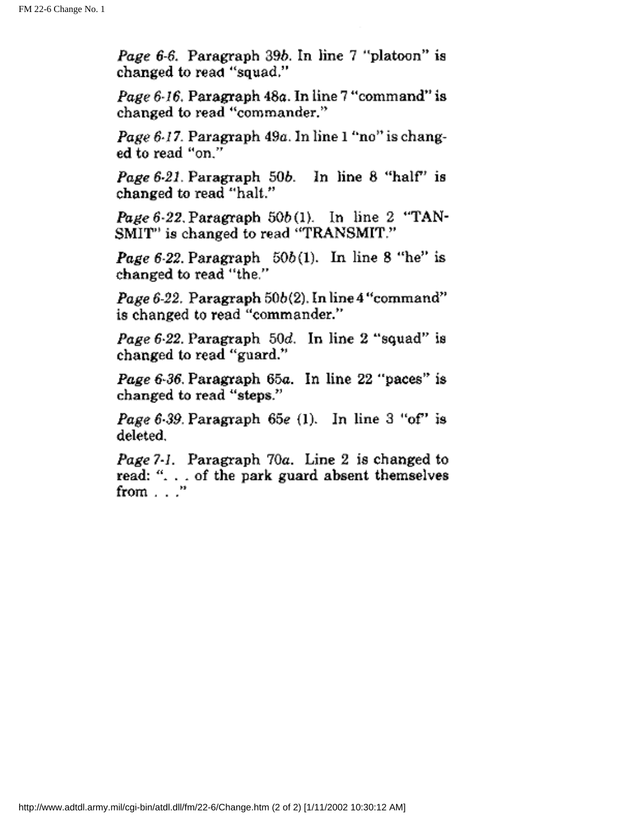*Page 6-6.* Paragraph 39b. In line 7 "platoon" is changed to read "squad."

Page 6-16. Paragraph 48a. In line 7 "command" is changed to read "commander."

Page 6-17. Paragraph 49a. In line 1 "no" is changed to read "on."

Page 6-21. Paragraph 50b. In line 8 "half" is changed to read "halt."

Page 6-22. Paragraph  $50b(1)$ . In line 2 "TAN-SMIT" is changed to read "TRANSMIT."

*Page 6-22.* Paragraph  $50b(1)$ . In line 8 "he" is changed to read "the."

Page 6-22. Paragraph  $50b(2)$ . In line 4 "command" is changed to read "commander."

*Page* 6.22. Paragraph  $50d$ . In line 2 "squad" is changed to read "guard."

Page 6-36. Paragraph 65a. In line 22 "paces" is changed to read "steps."

Page 6.39. Paragraph 65e (1). In line 3 "of" is deleted,

*Page 7-1.* Paragraph 70a. Line 2 is changed to read: "... of the park guard absent themselves from . . ."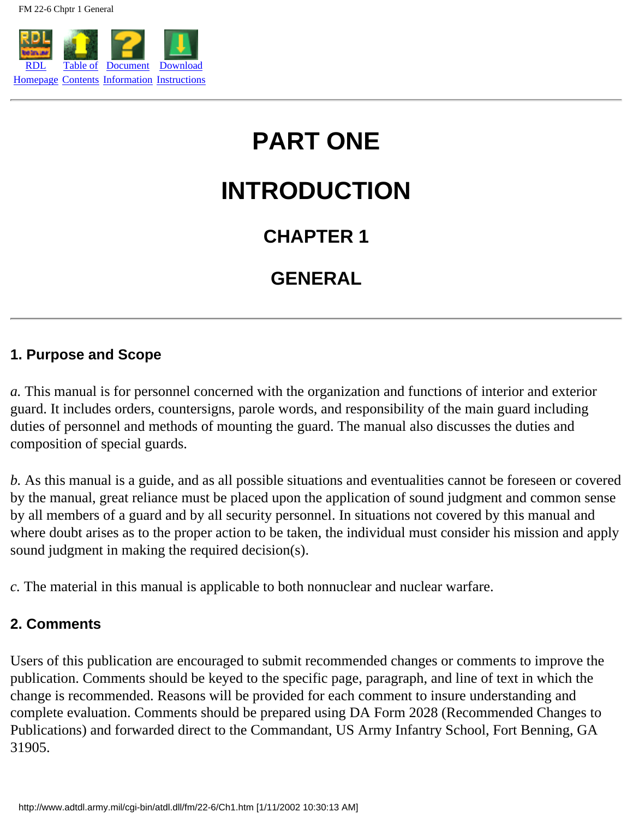

# **PART ONE INTRODUCTION**

# **CHAPTER 1**

# **GENERAL**

#### **1. Purpose and Scope**

*a.* This manual is for personnel concerned with the organization and functions of interior and exterior guard. It includes orders, countersigns, parole words, and responsibility of the main guard including duties of personnel and methods of mounting the guard. The manual also discusses the duties and composition of special guards.

*b.* As this manual is a guide, and as all possible situations and eventualities cannot be foreseen or covered by the manual, great reliance must be placed upon the application of sound judgment and common sense by all members of a guard and by all security personnel. In situations not covered by this manual and where doubt arises as to the proper action to be taken, the individual must consider his mission and apply sound judgment in making the required decision(s).

*c.* The material in this manual is applicable to both nonnuclear and nuclear warfare.

#### **2. Comments**

Users of this publication are encouraged to submit recommended changes or comments to improve the publication. Comments should be keyed to the specific page, paragraph, and line of text in which the change is recommended. Reasons will be provided for each comment to insure understanding and complete evaluation. Comments should be prepared using DA Form 2028 (Recommended Changes to Publications) and forwarded direct to the Commandant, US Army Infantry School, Fort Benning, GA 31905.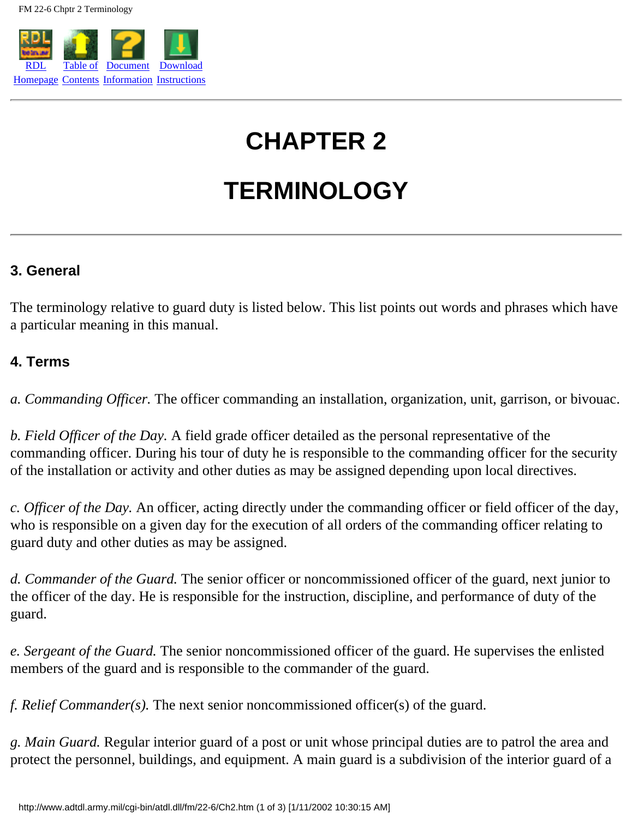<span id="page-6-0"></span>

# **CHAPTER 2**

# **TERMINOLOGY**

#### **3. General**

The terminology relative to guard duty is listed below. This list points out words and phrases which have a particular meaning in this manual.

#### **4. Terms**

*a. Commanding Officer.* The officer commanding an installation, organization, unit, garrison, or bivouac.

*b. Field Officer of the Day.* A field grade officer detailed as the personal representative of the commanding officer. During his tour of duty he is responsible to the commanding officer for the security of the installation or activity and other duties as may be assigned depending upon local directives.

*c. Officer of the Day.* An officer, acting directly under the commanding officer or field officer of the day, who is responsible on a given day for the execution of all orders of the commanding officer relating to guard duty and other duties as may be assigned.

*d. Commander of the Guard.* The senior officer or noncommissioned officer of the guard, next junior to the officer of the day. He is responsible for the instruction, discipline, and performance of duty of the guard.

*e. Sergeant of the Guard.* The senior noncommissioned officer of the guard. He supervises the enlisted members of the guard and is responsible to the commander of the guard.

*f. Relief Commander(s).* The next senior noncommissioned officer(s) of the guard.

*g. Main Guard.* Regular interior guard of a post or unit whose principal duties are to patrol the area and protect the personnel, buildings, and equipment. A main guard is a subdivision of the interior guard of a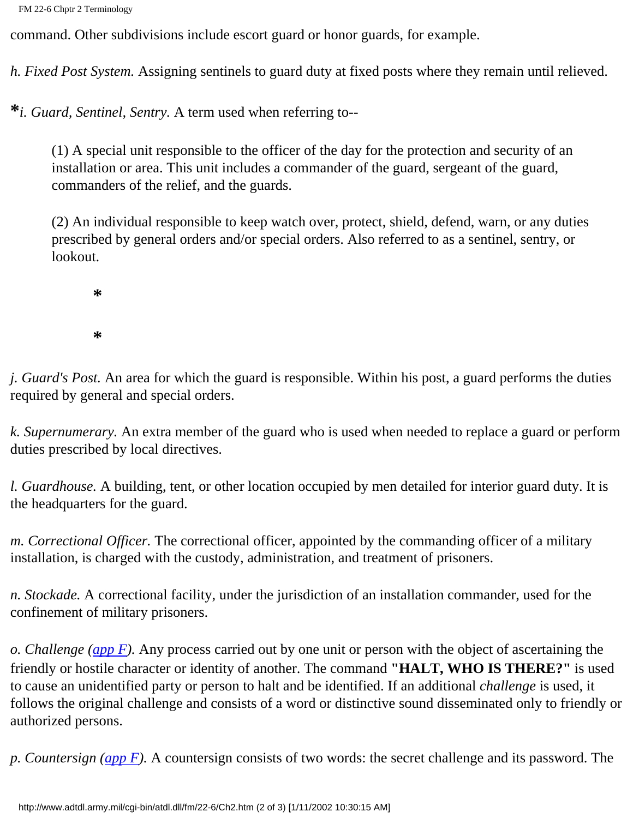FM 22-6 Chptr 2 Terminology

command. Other subdivisions include escort guard or honor guards, for example.

*h. Fixed Post System.* Assigning sentinels to guard duty at fixed posts where they remain until relieved.

**\****i. Guard, Sentinel, Sentry.* A term used when referring to--

(1) A special unit responsible to the officer of the day for the protection and security of an installation or area. This unit includes a commander of the guard, sergeant of the guard, commanders of the relief, and the guards.

(2) An individual responsible to keep watch over, protect, shield, defend, warn, or any duties prescribed by general orders and/or special orders. Also referred to as a sentinel, sentry, or lookout.

**\***

**\***

*j. Guard's Post.* An area for which the guard is responsible. Within his post, a guard performs the duties required by general and special orders.

*k. Supernumerary.* An extra member of the guard who is used when needed to replace a guard or perform duties prescribed by local directives.

*l. Guardhouse.* A building, tent, or other location occupied by men detailed for interior guard duty. It is the headquarters for the guard.

*m. Correctional Officer.* The correctional officer, appointed by the commanding officer of a military installation, is charged with the custody, administration, and treatment of prisoners.

*n. Stockade.* A correctional facility, under the jurisdiction of an installation commander, used for the confinement of military prisoners.

*o. Challenge ([app F\)](http://www.adtdl.army.mil/cgi-bin/atdl.dll/fm/22-6/APPF.HTM).* Any process carried out by one unit or person with the object of ascertaining the friendly or hostile character or identity of another. The command **"HALT, WHO IS THERE?"** is used to cause an unidentified party or person to halt and be identified. If an additional *challenge* is used, it follows the original challenge and consists of a word or distinctive sound disseminated only to friendly or authorized persons.

*p. Countersign [\(app F](http://www.adtdl.army.mil/cgi-bin/atdl.dll/fm/22-6/APPF.HTM)).* A countersign consists of two words: the secret challenge and its password. The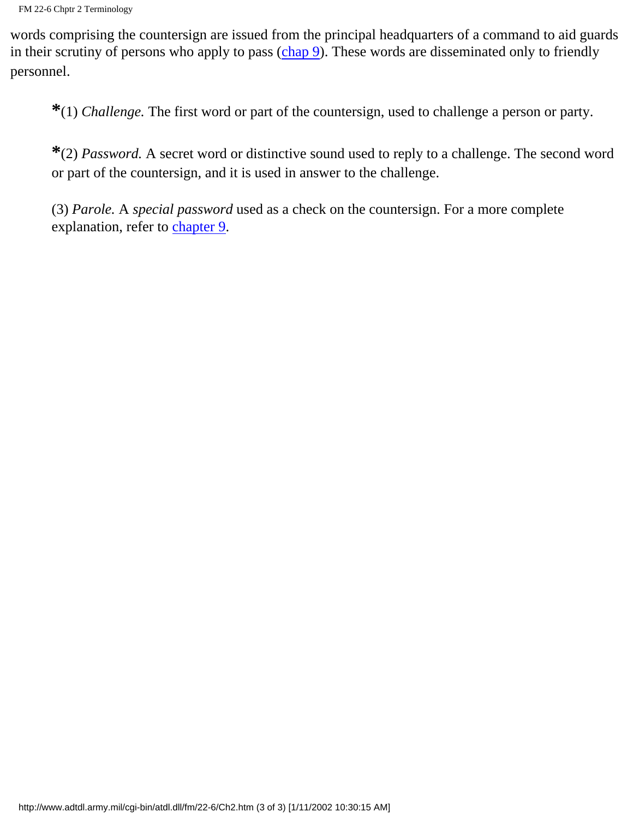words comprising the countersign are issued from the principal headquarters of a command to aid guards in their scrutiny of persons who apply to pass [\(chap 9](http://www.adtdl.army.mil/cgi-bin/atdl.dll/fm/22-6/Ch9.HTM)). These words are disseminated only to friendly personnel.

**\***(1) *Challenge.* The first word or part of the countersign, used to challenge a person or party.

**\***(2) *Password.* A secret word or distinctive sound used to reply to a challenge. The second word or part of the countersign, and it is used in answer to the challenge.

(3) *Parole.* A *special password* used as a check on the countersign. For a more complete explanation, refer to [chapter 9](http://www.adtdl.army.mil/cgi-bin/atdl.dll/fm/22-6/Ch9.HTM).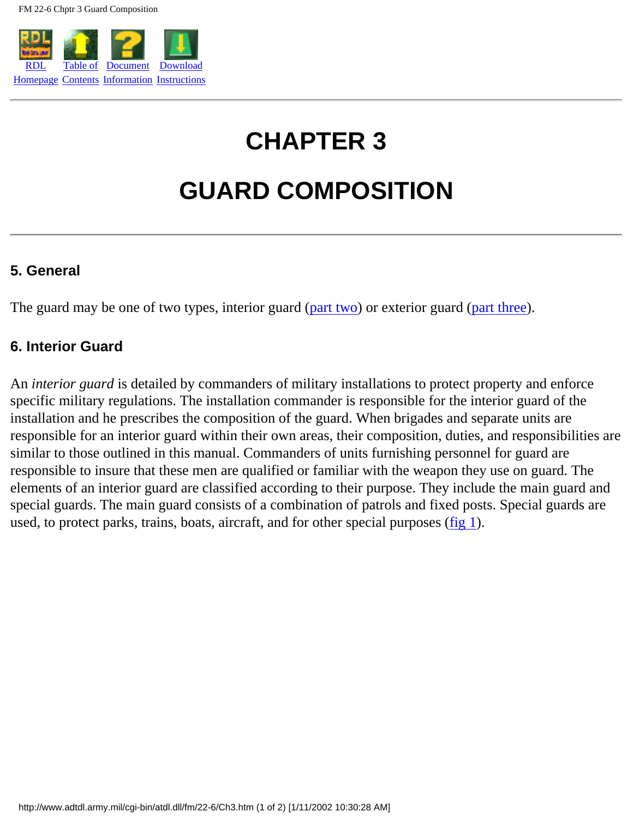<span id="page-9-0"></span>

# **CHAPTER 3**

# **GUARD COMPOSITION**

#### **5. General**

The guard may be one of two types, interior guard (part two) or exterior guard (part three).

#### **6. Interior Guard**

<span id="page-9-1"></span>An *interior guard* is detailed by commanders of military installations to protect property and enforce specific military regulations. The installation commander is responsible for the interior guard of the installation and he prescribes the composition of the guard. When brigades and separate units are responsible for an interior guard within their own areas, their composition, duties, and responsibilities are similar to those outlined in this manual. Commanders of units furnishing personnel for guard are responsible to insure that these men are qualified or familiar with the weapon they use on guard. The elements of an interior guard are classified according to their purpose. They include the main guard and special guards. The main guard consists of a combination of patrols and fixed posts. Special guards are used, to protect parks, trains, boats, aircraft, and for other special purposes ([fig 1](#page-9-1)).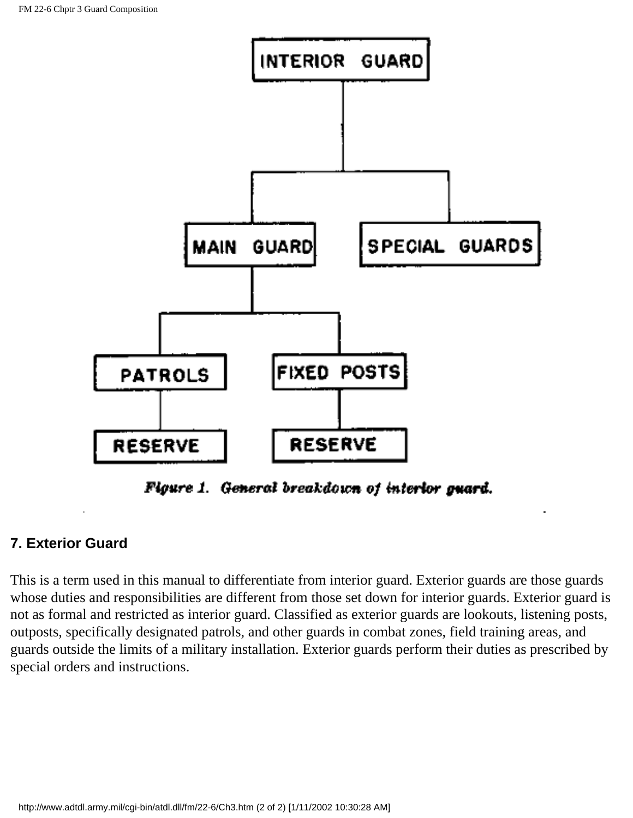

Figure 1. General breakdown of interior guard.

#### **7. Exterior Guard**

This is a term used in this manual to differentiate from interior guard. Exterior guards are those guards whose duties and responsibilities are different from those set down for interior guards. Exterior guard is not as formal and restricted as interior guard. Classified as exterior guards are lookouts, listening posts, outposts, specifically designated patrols, and other guards in combat zones, field training areas, and guards outside the limits of a military installation. Exterior guards perform their duties as prescribed by special orders and instructions.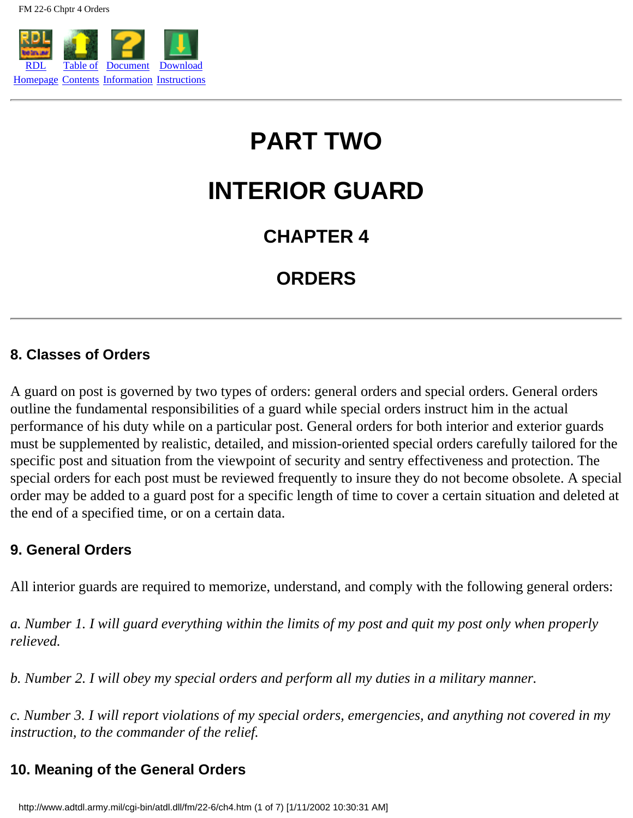

# **PART TWO INTERIOR GUARD**

# **CHAPTER 4**

# **ORDERS**

#### **8. Classes of Orders**

A guard on post is governed by two types of orders: general orders and special orders. General orders outline the fundamental responsibilities of a guard while special orders instruct him in the actual performance of his duty while on a particular post. General orders for both interior and exterior guards must be supplemented by realistic, detailed, and mission-oriented special orders carefully tailored for the specific post and situation from the viewpoint of security and sentry effectiveness and protection. The special orders for each post must be reviewed frequently to insure they do not become obsolete. A special order may be added to a guard post for a specific length of time to cover a certain situation and deleted at the end of a specified time, or on a certain data.

#### **9. General Orders**

All interior guards are required to memorize, understand, and comply with the following general orders:

*a. Number 1. I will guard everything within the limits of my post and quit my post only when properly relieved.* 

*b. Number 2. I will obey my special orders and perform all my duties in a military manner.* 

*c. Number 3. I will report violations of my special orders, emergencies, and anything not covered in my instruction, to the commander of the relief.* 

#### **10. Meaning of the General Orders**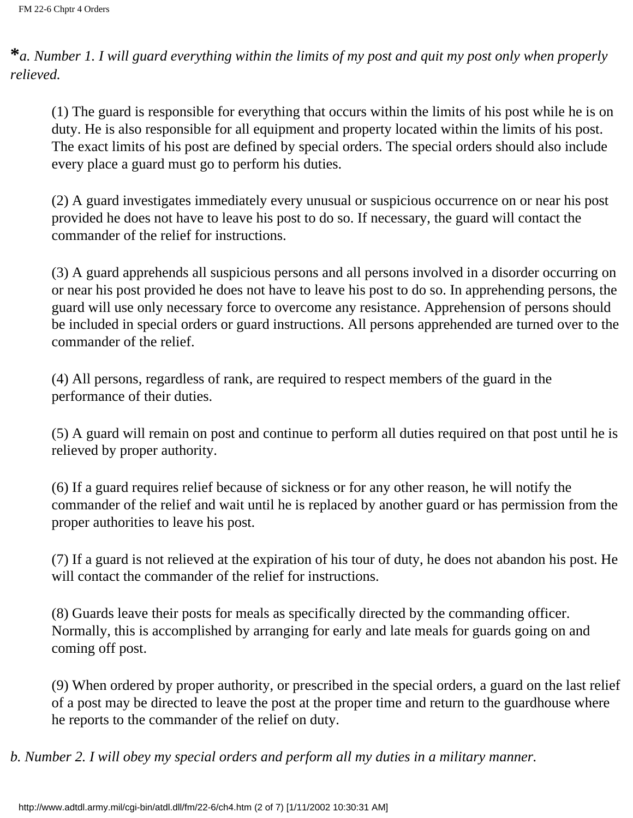**\****a. Number 1. I will guard everything within the limits of my post and quit my post only when properly relieved.*

(1) The guard is responsible for everything that occurs within the limits of his post while he is on duty. He is also responsible for all equipment and property located within the limits of his post. The exact limits of his post are defined by special orders. The special orders should also include every place a guard must go to perform his duties.

(2) A guard investigates immediately every unusual or suspicious occurrence on or near his post provided he does not have to leave his post to do so. If necessary, the guard will contact the commander of the relief for instructions.

(3) A guard apprehends all suspicious persons and all persons involved in a disorder occurring on or near his post provided he does not have to leave his post to do so. In apprehending persons, the guard will use only necessary force to overcome any resistance. Apprehension of persons should be included in special orders or guard instructions. All persons apprehended are turned over to the commander of the relief.

(4) All persons, regardless of rank, are required to respect members of the guard in the performance of their duties.

(5) A guard will remain on post and continue to perform all duties required on that post until he is relieved by proper authority.

(6) If a guard requires relief because of sickness or for any other reason, he will notify the commander of the relief and wait until he is replaced by another guard or has permission from the proper authorities to leave his post.

(7) If a guard is not relieved at the expiration of his tour of duty, he does not abandon his post. He will contact the commander of the relief for instructions.

(8) Guards leave their posts for meals as specifically directed by the commanding officer. Normally, this is accomplished by arranging for early and late meals for guards going on and coming off post.

(9) When ordered by proper authority, or prescribed in the special orders, a guard on the last relief of a post may be directed to leave the post at the proper time and return to the guardhouse where he reports to the commander of the relief on duty.

*b. Number 2. I will obey my special orders and perform all my duties in a military manner.*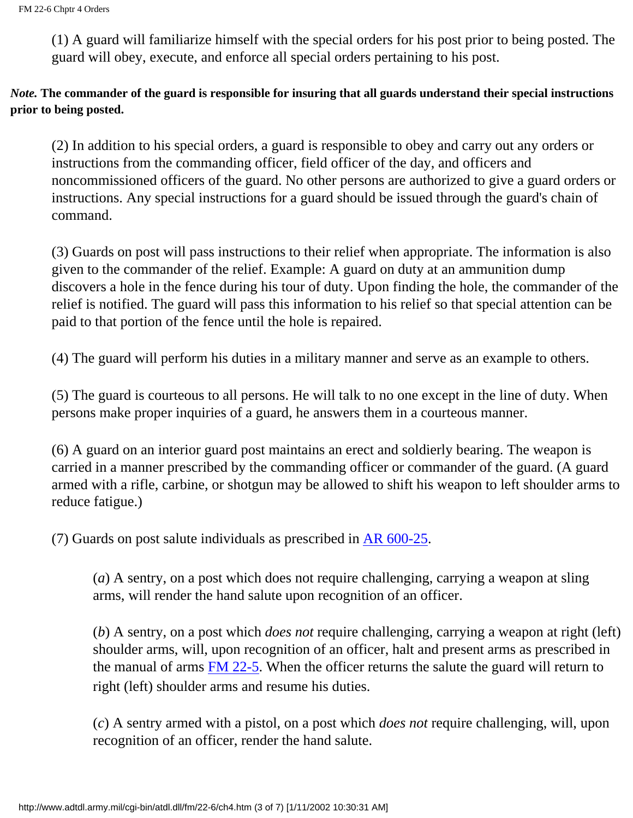(1) A guard will familiarize himself with the special orders for his post prior to being posted. The guard will obey, execute, and enforce all special orders pertaining to his post.

*Note.* **The commander of the guard is responsible for insuring that all guards understand their special instructions prior to being posted.**

(2) In addition to his special orders, a guard is responsible to obey and carry out any orders or instructions from the commanding officer, field officer of the day, and officers and noncommissioned officers of the guard. No other persons are authorized to give a guard orders or instructions. Any special instructions for a guard should be issued through the guard's chain of command.

(3) Guards on post will pass instructions to their relief when appropriate. The information is also given to the commander of the relief. Example: A guard on duty at an ammunition dump discovers a hole in the fence during his tour of duty. Upon finding the hole, the commander of the relief is notified. The guard will pass this information to his relief so that special attention can be paid to that portion of the fence until the hole is repaired.

(4) The guard will perform his duties in a military manner and serve as an example to others.

(5) The guard is courteous to all persons. He will talk to no one except in the line of duty. When persons make proper inquiries of a guard, he answers them in a courteous manner.

(6) A guard on an interior guard post maintains an erect and soldierly bearing. The weapon is carried in a manner prescribed by the commanding officer or commander of the guard. (A guard armed with a rifle, carbine, or shotgun may be allowed to shift his weapon to left shoulder arms to reduce fatigue.)

(7) Guards on post salute individuals as prescribed in [AR 600-25.](#page-69-1)

(*a*) A sentry, on a post which does not require challenging, carrying a weapon at sling arms, will render the hand salute upon recognition of an officer.

(*b*) A sentry, on a post which *does not* require challenging, carrying a weapon at right (left) shoulder arms, will, upon recognition of an officer, halt and present arms as prescribed in the manual of arms [FM 22-5.](#page-69-2) When the officer returns the salute the guard will return to right (left) shoulder arms and resume his duties.

(*c*) A sentry armed with a pistol, on a post which *does not* require challenging, will, upon recognition of an officer, render the hand salute.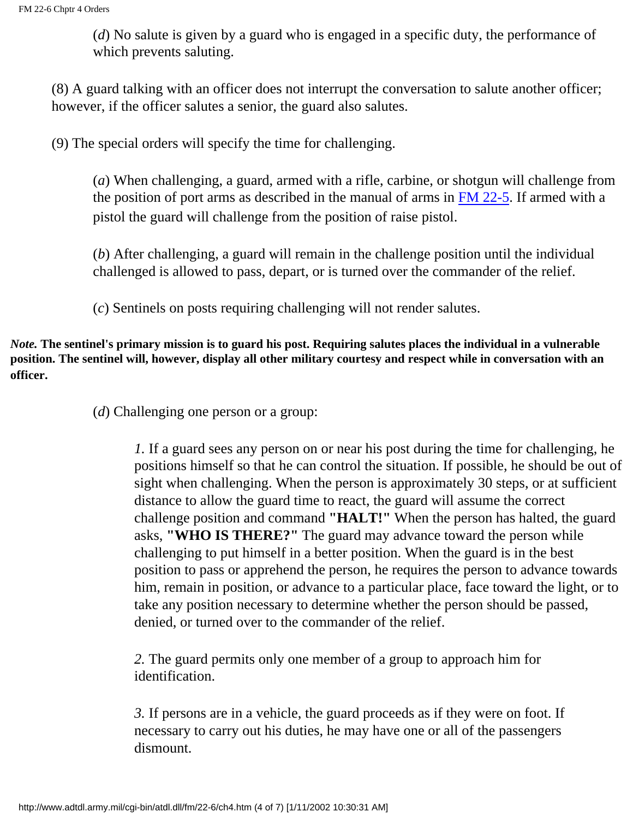(*d*) No salute is given by a guard who is engaged in a specific duty, the performance of which prevents saluting.

(8) A guard talking with an officer does not interrupt the conversation to salute another officer; however, if the officer salutes a senior, the guard also salutes.

(9) The special orders will specify the time for challenging.

(*a*) When challenging, a guard, armed with a rifle, carbine, or shotgun will challenge from the position of port arms as described in the manual of arms in [FM 22-5.](#page-69-2) If armed with a pistol the guard will challenge from the position of raise pistol.

(*b*) After challenging, a guard will remain in the challenge position until the individual challenged is allowed to pass, depart, or is turned over the commander of the relief.

(*c*) Sentinels on posts requiring challenging will not render salutes.

*Note.* **The sentinel's primary mission is to guard his post. Requiring salutes places the individual in a vulnerable position. The sentinel will, however, display all other military courtesy and respect while in conversation with an officer.**

(*d*) Challenging one person or a group:

*1.* If a guard sees any person on or near his post during the time for challenging, he positions himself so that he can control the situation. If possible, he should be out of sight when challenging. When the person is approximately 30 steps, or at sufficient distance to allow the guard time to react, the guard will assume the correct challenge position and command **"HALT!"** When the person has halted, the guard asks, **"WHO IS THERE?"** The guard may advance toward the person while challenging to put himself in a better position. When the guard is in the best position to pass or apprehend the person, he requires the person to advance towards him, remain in position, or advance to a particular place, face toward the light, or to take any position necessary to determine whether the person should be passed, denied, or turned over to the commander of the relief.

*2.* The guard permits only one member of a group to approach him for identification.

*3.* If persons are in a vehicle, the guard proceeds as if they were on foot. If necessary to carry out his duties, he may have one or all of the passengers dismount.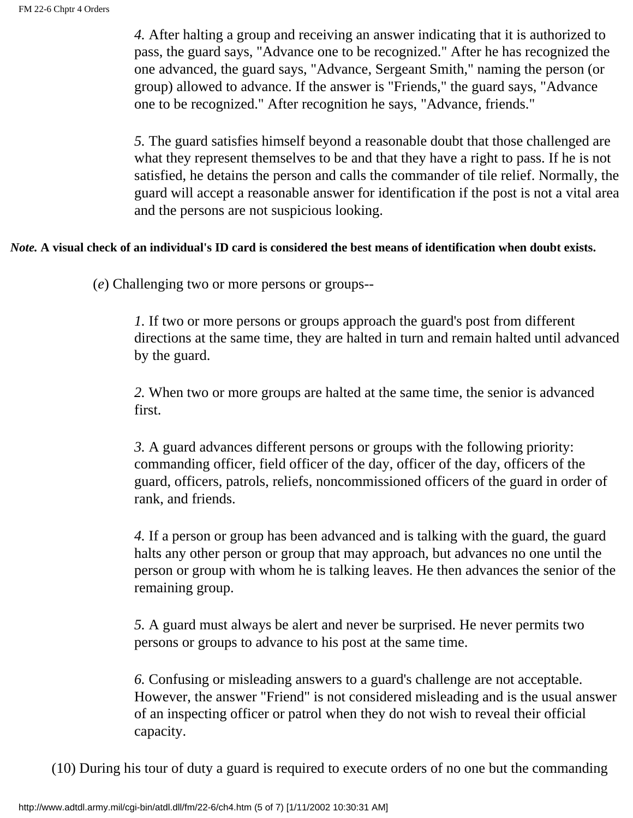*4.* After halting a group and receiving an answer indicating that it is authorized to pass, the guard says, "Advance one to be recognized." After he has recognized the one advanced, the guard says, "Advance, Sergeant Smith," naming the person (or group) allowed to advance. If the answer is "Friends," the guard says, "Advance one to be recognized." After recognition he says, "Advance, friends."

*5.* The guard satisfies himself beyond a reasonable doubt that those challenged are what they represent themselves to be and that they have a right to pass. If he is not satisfied, he detains the person and calls the commander of tile relief. Normally, the guard will accept a reasonable answer for identification if the post is not a vital area and the persons are not suspicious looking.

#### *Note.* **A visual check of an individual's ID card is considered the best means of identification when doubt exists.**

(*e*) Challenging two or more persons or groups--

*1.* If two or more persons or groups approach the guard's post from different directions at the same time, they are halted in turn and remain halted until advanced by the guard.

*2.* When two or more groups are halted at the same time, the senior is advanced first.

*3.* A guard advances different persons or groups with the following priority: commanding officer, field officer of the day, officer of the day, officers of the guard, officers, patrols, reliefs, noncommissioned officers of the guard in order of rank, and friends.

*4.* If a person or group has been advanced and is talking with the guard, the guard halts any other person or group that may approach, but advances no one until the person or group with whom he is talking leaves. He then advances the senior of the remaining group.

*5.* A guard must always be alert and never be surprised. He never permits two persons or groups to advance to his post at the same time.

*6.* Confusing or misleading answers to a guard's challenge are not acceptable. However, the answer "Friend" is not considered misleading and is the usual answer of an inspecting officer or patrol when they do not wish to reveal their official capacity.

(10) During his tour of duty a guard is required to execute orders of no one but the commanding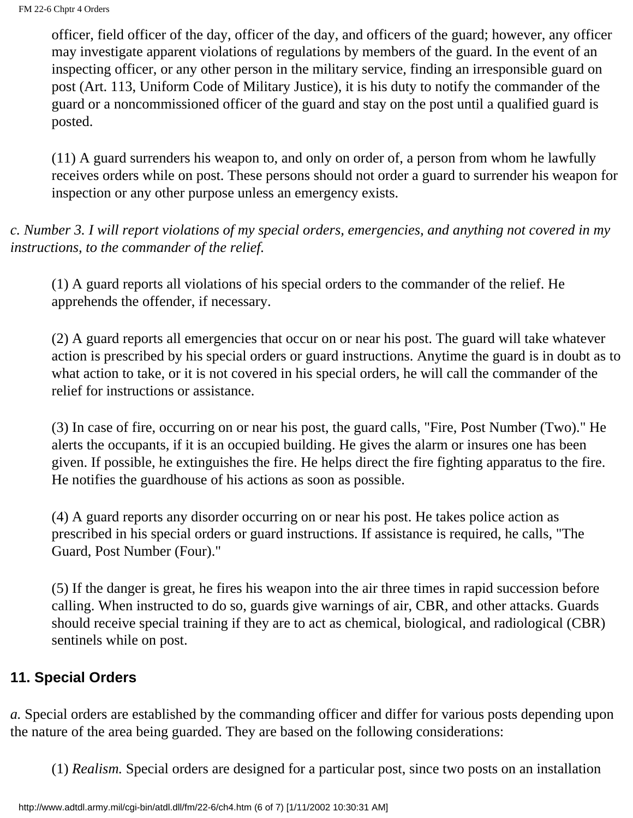officer, field officer of the day, officer of the day, and officers of the guard; however, any officer may investigate apparent violations of regulations by members of the guard. In the event of an inspecting officer, or any other person in the military service, finding an irresponsible guard on post (Art. 113, Uniform Code of Military Justice), it is his duty to notify the commander of the guard or a noncommissioned officer of the guard and stay on the post until a qualified guard is posted.

(11) A guard surrenders his weapon to, and only on order of, a person from whom he lawfully receives orders while on post. These persons should not order a guard to surrender his weapon for inspection or any other purpose unless an emergency exists.

*c. Number 3. I will report violations of my special orders, emergencies, and anything not covered in my instructions, to the commander of the relief.* 

(1) A guard reports all violations of his special orders to the commander of the relief. He apprehends the offender, if necessary.

(2) A guard reports all emergencies that occur on or near his post. The guard will take whatever action is prescribed by his special orders or guard instructions. Anytime the guard is in doubt as to what action to take, or it is not covered in his special orders, he will call the commander of the relief for instructions or assistance.

(3) In case of fire, occurring on or near his post, the guard calls, "Fire, Post Number (Two)." He alerts the occupants, if it is an occupied building. He gives the alarm or insures one has been given. If possible, he extinguishes the fire. He helps direct the fire fighting apparatus to the fire. He notifies the guardhouse of his actions as soon as possible.

(4) A guard reports any disorder occurring on or near his post. He takes police action as prescribed in his special orders or guard instructions. If assistance is required, he calls, "The Guard, Post Number (Four)."

(5) If the danger is great, he fires his weapon into the air three times in rapid succession before calling. When instructed to do so, guards give warnings of air, CBR, and other attacks. Guards should receive special training if they are to act as chemical, biological, and radiological (CBR) sentinels while on post.

#### **11. Special Orders**

*a.* Special orders are established by the commanding officer and differ for various posts depending upon the nature of the area being guarded. They are based on the following considerations:

(1) *Realism.* Special orders are designed for a particular post, since two posts on an installation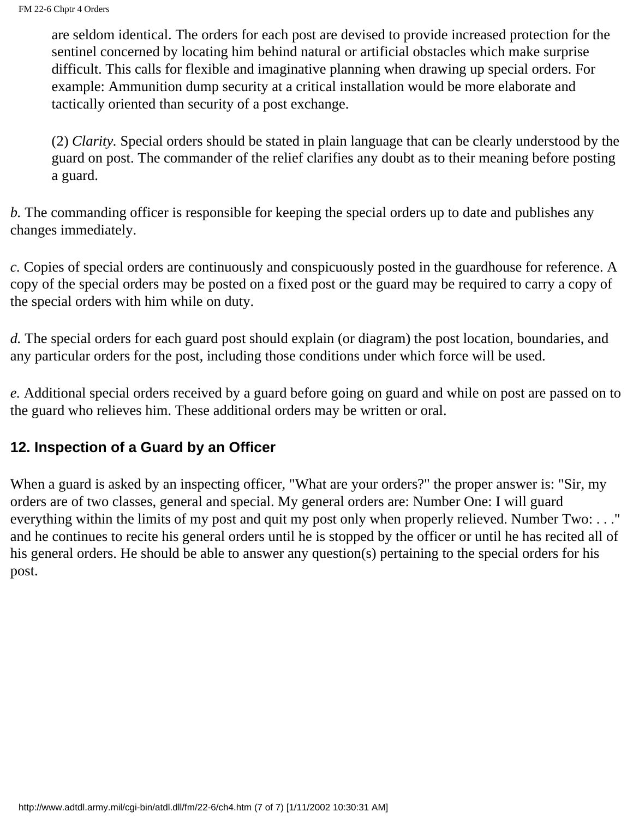are seldom identical. The orders for each post are devised to provide increased protection for the sentinel concerned by locating him behind natural or artificial obstacles which make surprise difficult. This calls for flexible and imaginative planning when drawing up special orders. For example: Ammunition dump security at a critical installation would be more elaborate and tactically oriented than security of a post exchange.

(2) *Clarity.* Special orders should be stated in plain language that can be clearly understood by the guard on post. The commander of the relief clarifies any doubt as to their meaning before posting a guard.

*b.* The commanding officer is responsible for keeping the special orders up to date and publishes any changes immediately.

*c.* Copies of special orders are continuously and conspicuously posted in the guardhouse for reference. A copy of the special orders may be posted on a fixed post or the guard may be required to carry a copy of the special orders with him while on duty.

*d.* The special orders for each guard post should explain (or diagram) the post location, boundaries, and any particular orders for the post, including those conditions under which force will be used.

*e.* Additional special orders received by a guard before going on guard and while on post are passed on to the guard who relieves him. These additional orders may be written or oral.

#### **12. Inspection of a Guard by an Officer**

When a guard is asked by an inspecting officer, "What are your orders?" the proper answer is: "Sir, my orders are of two classes, general and special. My general orders are: Number One: I will guard everything within the limits of my post and quit my post only when properly relieved. Number Two: . . ." and he continues to recite his general orders until he is stopped by the officer or until he has recited all of his general orders. He should be able to answer any question(s) pertaining to the special orders for his post.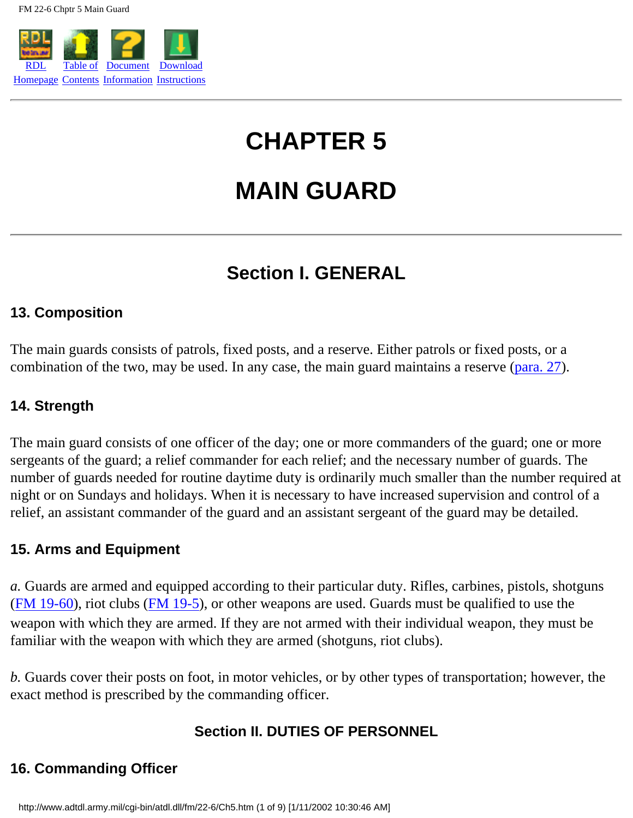

# **CHAPTER 5**

# **MAIN GUARD**

# **Section I. GENERAL**

#### **13. Composition**

The main guards consists of patrols, fixed posts, and a reserve. Either patrols or fixed posts, or a combination of the two, may be used. In any case, the main guard maintains a reserve (para. 27).

#### **14. Strength**

The main guard consists of one officer of the day; one or more commanders of the guard; one or more sergeants of the guard; a relief commander for each relief; and the necessary number of guards. The number of guards needed for routine daytime duty is ordinarily much smaller than the number required at night or on Sundays and holidays. When it is necessary to have increased supervision and control of a relief, an assistant commander of the guard and an assistant sergeant of the guard may be detailed.

#### **15. Arms and Equipment**

*a.* Guards are armed and equipped according to their particular duty. Rifles, carbines, pistols, shotguns ([FM 19-60](#page-69-3)), riot clubs [\(FM 19-5\)](#page-69-4), or other weapons are used. Guards must be qualified to use the weapon with which they are armed. If they are not armed with their individual weapon, they must be familiar with the weapon with which they are armed (shotguns, riot clubs).

*b.* Guards cover their posts on foot, in motor vehicles, or by other types of transportation; however, the exact method is prescribed by the commanding officer.

#### **Section II. DUTIES OF PERSONNEL**

#### **16. Commanding Officer**

http://www.adtdl.army.mil/cgi-bin/atdl.dll/fm/22-6/Ch5.htm (1 of 9) [1/11/2002 10:30:46 AM]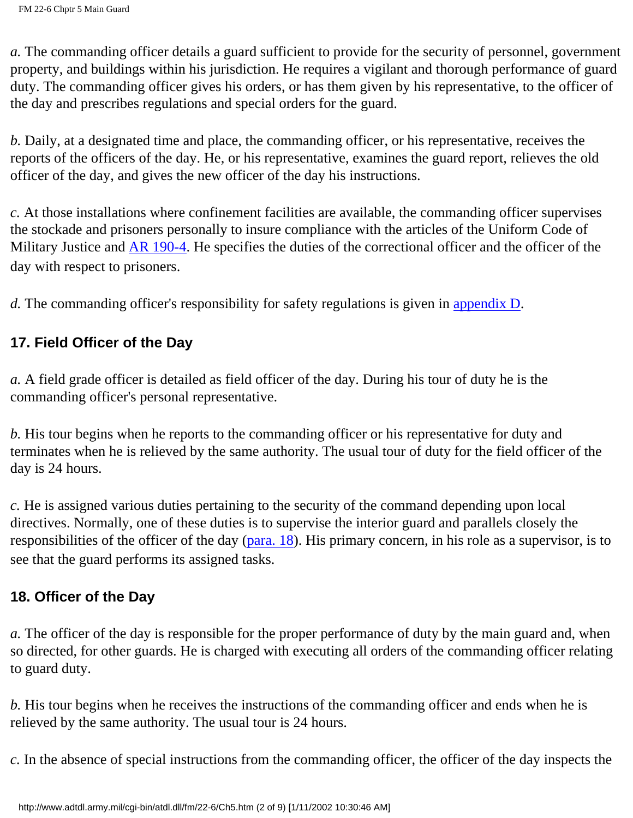*a.* The commanding officer details a guard sufficient to provide for the security of personnel, government property, and buildings within his jurisdiction. He requires a vigilant and thorough performance of guard duty. The commanding officer gives his orders, or has them given by his representative, to the officer of the day and prescribes regulations and special orders for the guard.

*b.* Daily, at a designated time and place, the commanding officer, or his representative, receives the reports of the officers of the day. He, or his representative, examines the guard report, relieves the old officer of the day, and gives the new officer of the day his instructions.

*c.* At those installations where confinement facilities are available, the commanding officer supervises the stockade and prisoners personally to insure compliance with the articles of the Uniform Code of Military Justice and **AR** 190-4. He specifies the duties of the correctional officer and the officer of the day with respect to prisoners.

*d.* The commanding officer's responsibility for safety regulations is given in [appendix D.](http://www.adtdl.army.mil/cgi-bin/atdl.dll/fm/22-6/APPD.HTM)

#### **17. Field Officer of the Day**

*a.* A field grade officer is detailed as field officer of the day. During his tour of duty he is the commanding officer's personal representative.

*b.* His tour begins when he reports to the commanding officer or his representative for duty and terminates when he is relieved by the same authority. The usual tour of duty for the field officer of the day is 24 hours.

*c.* He is assigned various duties pertaining to the security of the command depending upon local directives. Normally, one of these duties is to supervise the interior guard and parallels closely the responsibilities of the officer of the day (para. 18). His primary concern, in his role as a supervisor, is to see that the guard performs its assigned tasks.

#### **18. Officer of the Day**

*a.* The officer of the day is responsible for the proper performance of duty by the main guard and, when so directed, for other guards. He is charged with executing all orders of the commanding officer relating to guard duty.

*b.* His tour begins when he receives the instructions of the commanding officer and ends when he is relieved by the same authority. The usual tour is 24 hours.

*c.* In the absence of special instructions from the commanding officer, the officer of the day inspects the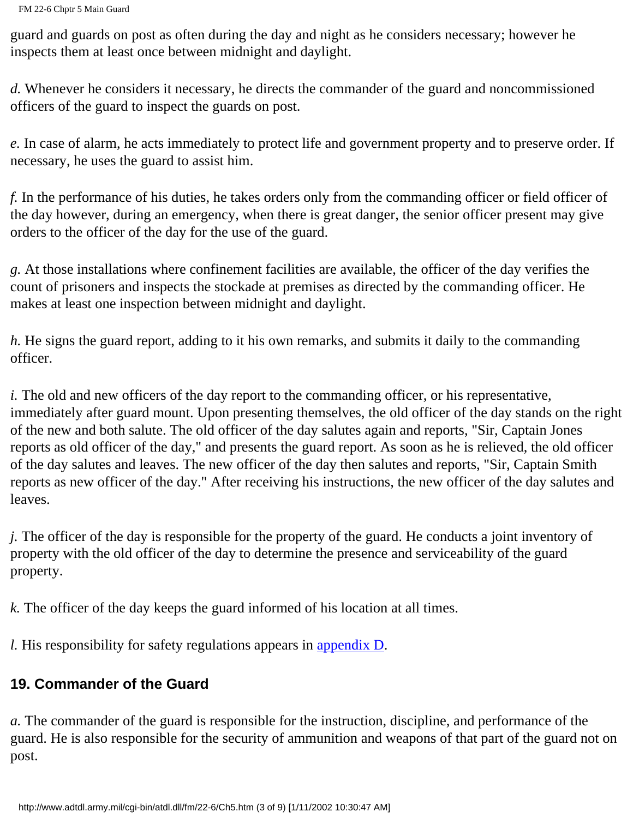guard and guards on post as often during the day and night as he considers necessary; however he inspects them at least once between midnight and daylight.

*d.* Whenever he considers it necessary, he directs the commander of the guard and noncommissioned officers of the guard to inspect the guards on post.

*e.* In case of alarm, he acts immediately to protect life and government property and to preserve order. If necessary, he uses the guard to assist him.

*f.* In the performance of his duties, he takes orders only from the commanding officer or field officer of the day however, during an emergency, when there is great danger, the senior officer present may give orders to the officer of the day for the use of the guard.

*g.* At those installations where confinement facilities are available, the officer of the day verifies the count of prisoners and inspects the stockade at premises as directed by the commanding officer. He makes at least one inspection between midnight and daylight.

*h.* He signs the guard report, adding to it his own remarks, and submits it daily to the commanding officer.

*i.* The old and new officers of the day report to the commanding officer, or his representative, immediately after guard mount. Upon presenting themselves, the old officer of the day stands on the right of the new and both salute. The old officer of the day salutes again and reports, "Sir, Captain Jones reports as old officer of the day," and presents the guard report. As soon as he is relieved, the old officer of the day salutes and leaves. The new officer of the day then salutes and reports, "Sir, Captain Smith reports as new officer of the day." After receiving his instructions, the new officer of the day salutes and leaves.

*j.* The officer of the day is responsible for the property of the guard. He conducts a joint inventory of property with the old officer of the day to determine the presence and serviceability of the guard property.

*k.* The officer of the day keeps the guard informed of his location at all times.

*l.* His responsibility for safety regulations appears in [appendix D.](http://www.adtdl.army.mil/cgi-bin/atdl.dll/fm/22-6/APPD.HTM)

#### **19. Commander of the Guard**

*a.* The commander of the guard is responsible for the instruction, discipline, and performance of the guard. He is also responsible for the security of ammunition and weapons of that part of the guard not on post.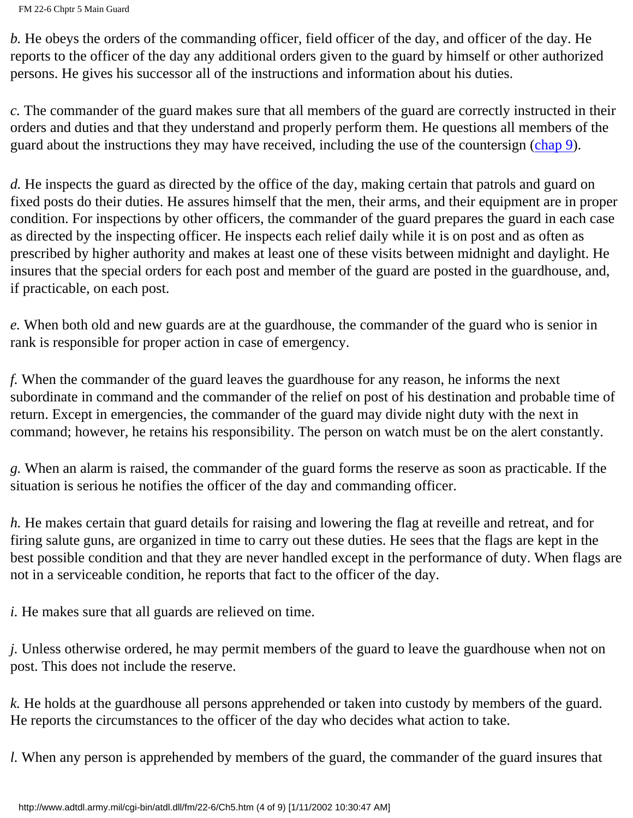*b.* He obeys the orders of the commanding officer, field officer of the day, and officer of the day. He reports to the officer of the day any additional orders given to the guard by himself or other authorized persons. He gives his successor all of the instructions and information about his duties.

*c.* The commander of the guard makes sure that all members of the guard are correctly instructed in their orders and duties and that they understand and properly perform them. He questions all members of the guard about the instructions they may have received, including the use of the countersign [\(chap 9](http://www.adtdl.army.mil/cgi-bin/atdl.dll/fm/22-6/CH9.HTM)).

*d.* He inspects the guard as directed by the office of the day, making certain that patrols and guard on fixed posts do their duties. He assures himself that the men, their arms, and their equipment are in proper condition. For inspections by other officers, the commander of the guard prepares the guard in each case as directed by the inspecting officer. He inspects each relief daily while it is on post and as often as prescribed by higher authority and makes at least one of these visits between midnight and daylight. He insures that the special orders for each post and member of the guard are posted in the guardhouse, and, if practicable, on each post.

*e.* When both old and new guards are at the guardhouse, the commander of the guard who is senior in rank is responsible for proper action in case of emergency.

*f.* When the commander of the guard leaves the guardhouse for any reason, he informs the next subordinate in command and the commander of the relief on post of his destination and probable time of return. Except in emergencies, the commander of the guard may divide night duty with the next in command; however, he retains his responsibility. The person on watch must be on the alert constantly.

*g.* When an alarm is raised, the commander of the guard forms the reserve as soon as practicable. If the situation is serious he notifies the officer of the day and commanding officer.

*h.* He makes certain that guard details for raising and lowering the flag at reveille and retreat, and for firing salute guns, are organized in time to carry out these duties. He sees that the flags are kept in the best possible condition and that they are never handled except in the performance of duty. When flags are not in a serviceable condition, he reports that fact to the officer of the day.

*i.* He makes sure that all guards are relieved on time.

*j.* Unless otherwise ordered, he may permit members of the guard to leave the guardhouse when not on post. This does not include the reserve.

*k.* He holds at the guardhouse all persons apprehended or taken into custody by members of the guard. He reports the circumstances to the officer of the day who decides what action to take.

*l.* When any person is apprehended by members of the guard, the commander of the guard insures that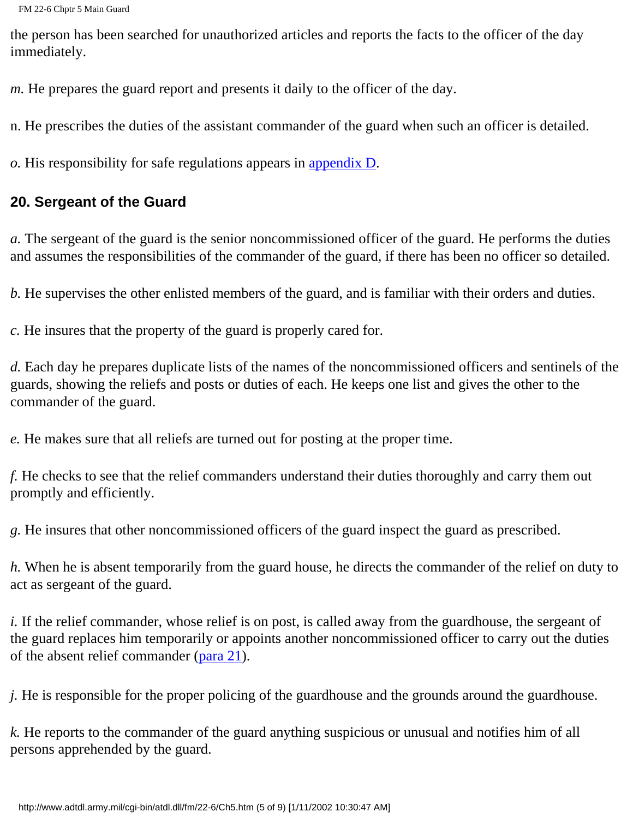the person has been searched for unauthorized articles and reports the facts to the officer of the day immediately.

*m.* He prepares the guard report and presents it daily to the officer of the day.

n. He prescribes the duties of the assistant commander of the guard when such an officer is detailed.

*o.* His responsibility for safe regulations appears in [appendix D.](http://www.adtdl.army.mil/cgi-bin/atdl.dll/fm/22-6/APPD.HTM)

#### **20. Sergeant of the Guard**

*a.* The sergeant of the guard is the senior noncommissioned officer of the guard. He performs the duties and assumes the responsibilities of the commander of the guard, if there has been no officer so detailed.

*b.* He supervises the other enlisted members of the guard, and is familiar with their orders and duties.

*c.* He insures that the property of the guard is properly cared for.

*d.* Each day he prepares duplicate lists of the names of the noncommissioned officers and sentinels of the guards, showing the reliefs and posts or duties of each. He keeps one list and gives the other to the commander of the guard.

*e.* He makes sure that all reliefs are turned out for posting at the proper time.

*f.* He checks to see that the relief commanders understand their duties thoroughly and carry them out promptly and efficiently.

*g.* He insures that other noncommissioned officers of the guard inspect the guard as prescribed.

*h.* When he is absent temporarily from the guard house, he directs the commander of the relief on duty to act as sergeant of the guard.

*i.* If the relief commander, whose relief is on post, is called away from the guardhouse, the sergeant of the guard replaces him temporarily or appoints another noncommissioned officer to carry out the duties of the absent relief commander (para 21).

*j.* He is responsible for the proper policing of the guardhouse and the grounds around the guardhouse.

*k.* He reports to the commander of the guard anything suspicious or unusual and notifies him of all persons apprehended by the guard.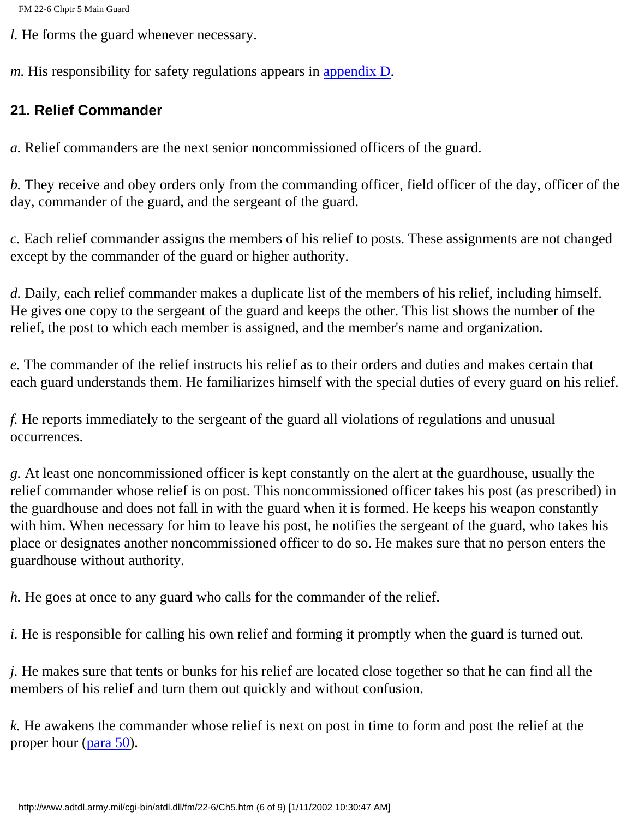*l.* He forms the guard whenever necessary.

*m.* His responsibility for safety regulations appears in [appendix D.](http://www.adtdl.army.mil/cgi-bin/atdl.dll/fm/22-6/APPD.HTM)

#### **21. Relief Commander**

*a.* Relief commanders are the next senior noncommissioned officers of the guard.

*b.* They receive and obey orders only from the commanding officer, field officer of the day, officer of the day, commander of the guard, and the sergeant of the guard.

*c.* Each relief commander assigns the members of his relief to posts. These assignments are not changed except by the commander of the guard or higher authority.

*d.* Daily, each relief commander makes a duplicate list of the members of his relief, including himself. He gives one copy to the sergeant of the guard and keeps the other. This list shows the number of the relief, the post to which each member is assigned, and the member's name and organization.

*e.* The commander of the relief instructs his relief as to their orders and duties and makes certain that each guard understands them. He familiarizes himself with the special duties of every guard on his relief.

*f.* He reports immediately to the sergeant of the guard all violations of regulations and unusual occurrences.

*g.* At least one noncommissioned officer is kept constantly on the alert at the guardhouse, usually the relief commander whose relief is on post. This noncommissioned officer takes his post (as prescribed) in the guardhouse and does not fall in with the guard when it is formed. He keeps his weapon constantly with him. When necessary for him to leave his post, he notifies the sergeant of the guard, who takes his place or designates another noncommissioned officer to do so. He makes sure that no person enters the guardhouse without authority.

*h.* He goes at once to any guard who calls for the commander of the relief.

*i.* He is responsible for calling his own relief and forming it promptly when the guard is turned out.

*j.* He makes sure that tents or bunks for his relief are located close together so that he can find all the members of his relief and turn them out quickly and without confusion.

*k.* He awakens the commander whose relief is next on post in time to form and post the relief at the proper hour ([para 50](http://www.adtdl.army.mil/cgi-bin/atdl.dll/fm/22-6/CH6.HTM#para50)).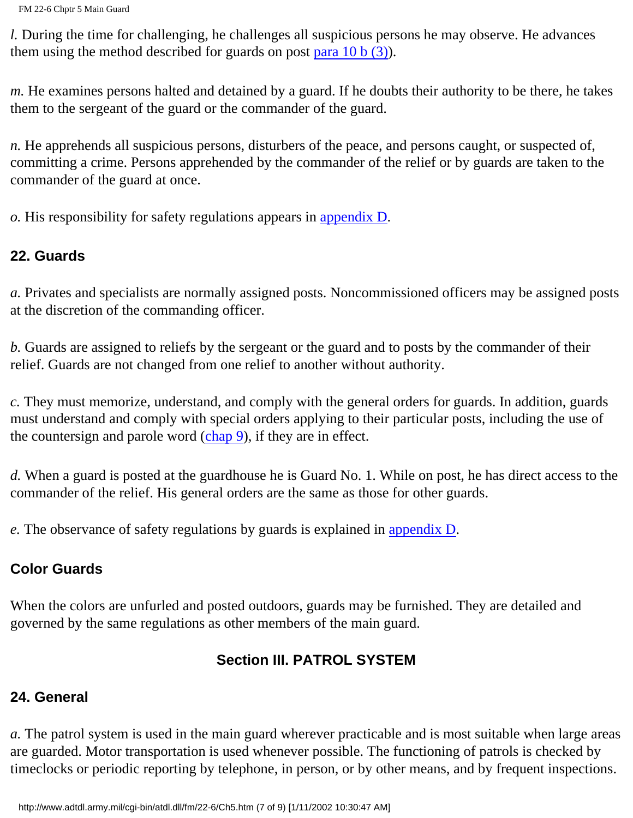FM 22-6 Chptr 5 Main Guard

*l.* During the time for challenging, he challenges all suspicious persons he may observe. He advances them using the method described for guards on post para  $10 b (3)$ ).

*m.* He examines persons halted and detained by a guard. If he doubts their authority to be there, he takes them to the sergeant of the guard or the commander of the guard.

*n.* He apprehends all suspicious persons, disturbers of the peace, and persons caught, or suspected of, committing a crime. Persons apprehended by the commander of the relief or by guards are taken to the commander of the guard at once.

*o.* His responsibility for safety regulations appears in [appendix D.](http://www.adtdl.army.mil/cgi-bin/atdl.dll/fm/22-6/APPD.HTM)

#### **22. Guards**

*a.* Privates and specialists are normally assigned posts. Noncommissioned officers may be assigned posts at the discretion of the commanding officer.

*b.* Guards are assigned to reliefs by the sergeant or the guard and to posts by the commander of their relief. Guards are not changed from one relief to another without authority.

*c.* They must memorize, understand, and comply with the general orders for guards. In addition, guards must understand and comply with special orders applying to their particular posts, including the use of the countersign and parole word ([chap 9](http://www.adtdl.army.mil/cgi-bin/atdl.dll/fm/22-6/CH9.HTM)), if they are in effect.

*d.* When a guard is posted at the guardhouse he is Guard No. 1. While on post, he has direct access to the commander of the relief. His general orders are the same as those for other guards.

*e.* The observance of safety regulations by guards is explained in [appendix D](http://www.adtdl.army.mil/cgi-bin/atdl.dll/fm/22-6/APPD.HTM).

#### **Color Guards**

When the colors are unfurled and posted outdoors, guards may be furnished. They are detailed and governed by the same regulations as other members of the main guard.

#### **Section III. PATROL SYSTEM**

#### **24. General**

*a.* The patrol system is used in the main guard wherever practicable and is most suitable when large areas are guarded. Motor transportation is used whenever possible. The functioning of patrols is checked by timeclocks or periodic reporting by telephone, in person, or by other means, and by frequent inspections.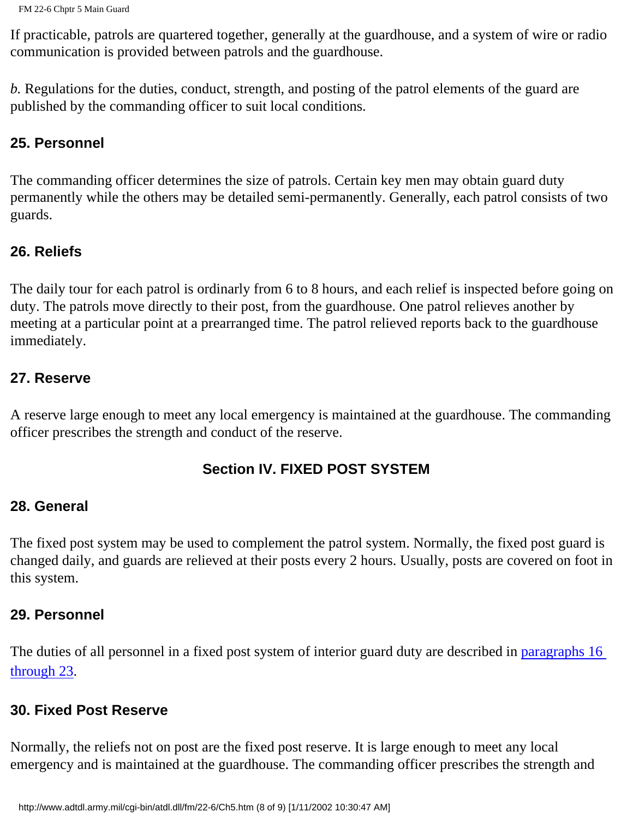If practicable, patrols are quartered together, generally at the guardhouse, and a system of wire or radio communication is provided between patrols and the guardhouse.

*b.* Regulations for the duties, conduct, strength, and posting of the patrol elements of the guard are published by the commanding officer to suit local conditions.

#### **25. Personnel**

The commanding officer determines the size of patrols. Certain key men may obtain guard duty permanently while the others may be detailed semi-permanently. Generally, each patrol consists of two guards.

#### **26. Reliefs**

The daily tour for each patrol is ordinarly from 6 to 8 hours, and each relief is inspected before going on duty. The patrols move directly to their post, from the guardhouse. One patrol relieves another by meeting at a particular point at a prearranged time. The patrol relieved reports back to the guardhouse immediately.

#### **27. Reserve**

A reserve large enough to meet any local emergency is maintained at the guardhouse. The commanding officer prescribes the strength and conduct of the reserve.

#### **Section IV. FIXED POST SYSTEM**

#### **28. General**

The fixed post system may be used to complement the patrol system. Normally, the fixed post guard is changed daily, and guards are relieved at their posts every 2 hours. Usually, posts are covered on foot in this system.

#### **29. Personnel**

The duties of all personnel in a fixed post system of interior guard duty are described in paragraphs 16 through 23.

#### **30. Fixed Post Reserve**

Normally, the reliefs not on post are the fixed post reserve. It is large enough to meet any local emergency and is maintained at the guardhouse. The commanding officer prescribes the strength and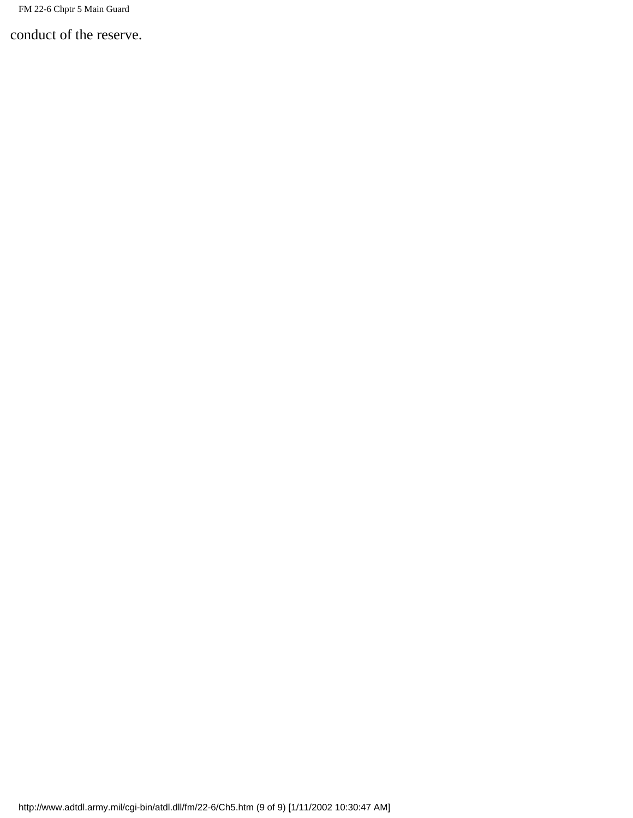FM 22-6 Chptr 5 Main Guard

conduct of the reserve.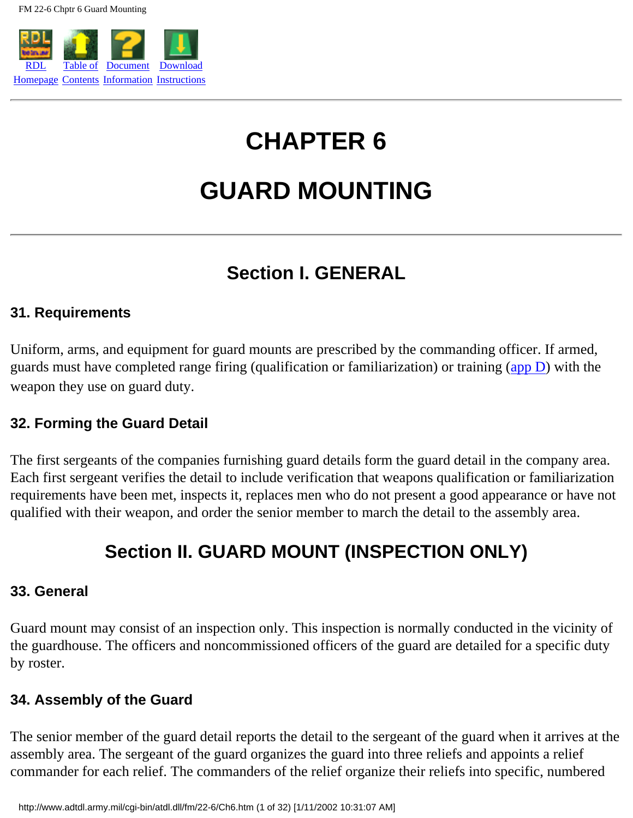

# **CHAPTER 6**

# **GUARD MOUNTING**

# **Section I. GENERAL**

#### <span id="page-27-0"></span>**31. Requirements**

Uniform, arms, and equipment for guard mounts are prescribed by the commanding officer. If armed, guards must have completed range firing (qualification or familiarization) or training [\(app D\)](http://www.adtdl.army.mil/cgi-bin/atdl.dll/fm/22-6/APPD.HTM) with the weapon they use on guard duty.

#### **32. Forming the Guard Detail**

<span id="page-27-1"></span>The first sergeants of the companies furnishing guard details form the guard detail in the company area. Each first sergeant verifies the detail to include verification that weapons qualification or familiarization requirements have been met, inspects it, replaces men who do not present a good appearance or have not qualified with their weapon, and order the senior member to march the detail to the assembly area.

# **Section II. GUARD MOUNT (INSPECTION ONLY)**

#### **33. General**

Guard mount may consist of an inspection only. This inspection is normally conducted in the vicinity of the guardhouse. The officers and noncommissioned officers of the guard are detailed for a specific duty by roster.

#### **34. Assembly of the Guard**

The senior member of the guard detail reports the detail to the sergeant of the guard when it arrives at the assembly area. The sergeant of the guard organizes the guard into three reliefs and appoints a relief commander for each relief. The commanders of the relief organize their reliefs into specific, numbered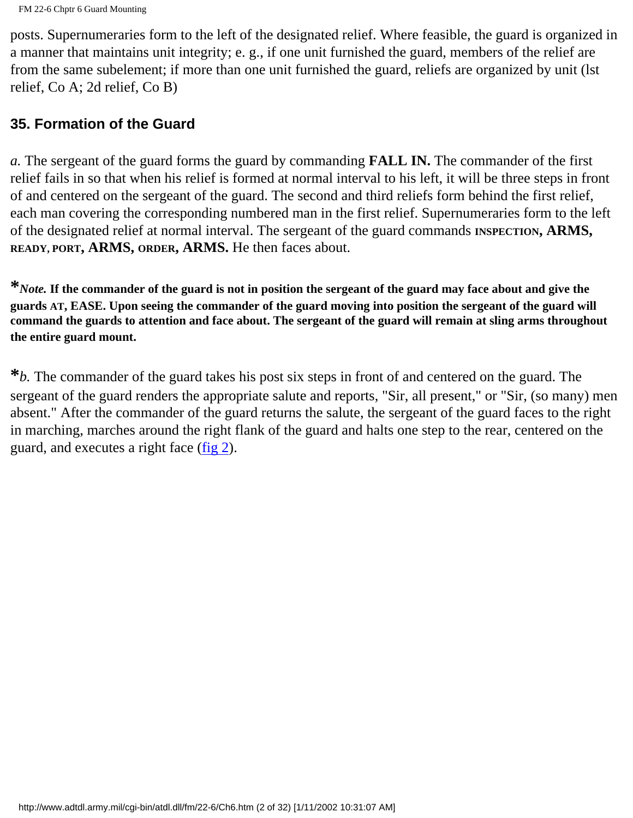posts. Supernumeraries form to the left of the designated relief. Where feasible, the guard is organized in a manner that maintains unit integrity; e. g., if one unit furnished the guard, members of the relief are from the same subelement; if more than one unit furnished the guard, reliefs are organized by unit (lst relief, Co A; 2d relief, Co B)

#### **35. Formation of the Guard**

*a.* The sergeant of the guard forms the guard by commanding **FALL IN.** The commander of the first relief fails in so that when his relief is formed at normal interval to his left, it will be three steps in front of and centered on the sergeant of the guard. The second and third reliefs form behind the first relief, each man covering the corresponding numbered man in the first relief. Supernumeraries form to the left of the designated relief at normal interval. The sergeant of the guard commands **INSPECTION**, ARMS, **READY, PORT, ARMS, ORDER, ARMS.** He then faces about.

**\****Note.* **If the commander of the guard is not in position the sergeant of the guard may face about and give the guards AT, EASE. Upon seeing the commander of the guard moving into position the sergeant of the guard will command the guards to attention and face about. The sergeant of the guard will remain at sling arms throughout the entire guard mount.**

**\****b.* The commander of the guard takes his post six steps in front of and centered on the guard. The sergeant of the guard renders the appropriate salute and reports, "Sir, all present," or "Sir, (so many) men absent." After the commander of the guard returns the salute, the sergeant of the guard faces to the right in marching, marches around the right flank of the guard and halts one step to the rear, centered on the guard, and executes a right face (fig 2).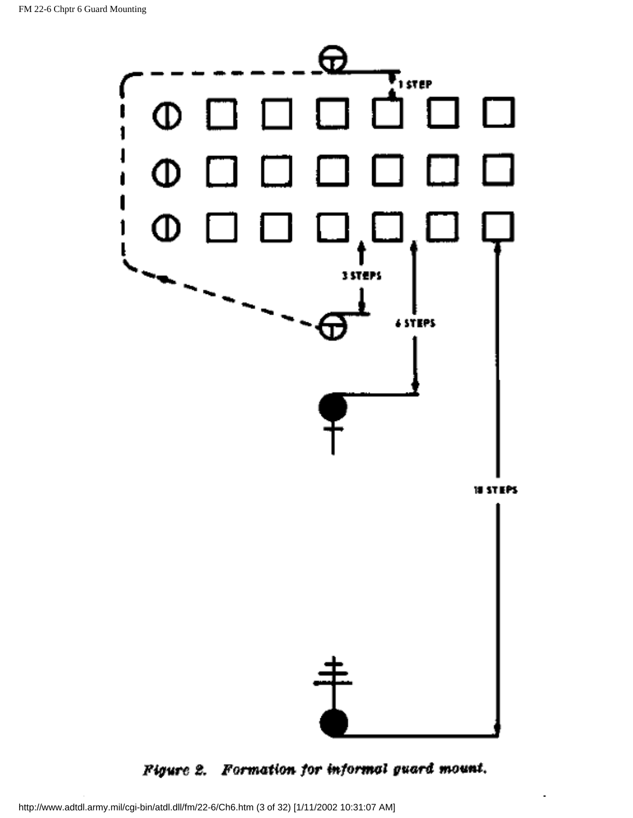

### Figure 2. Formation for informal guard mount.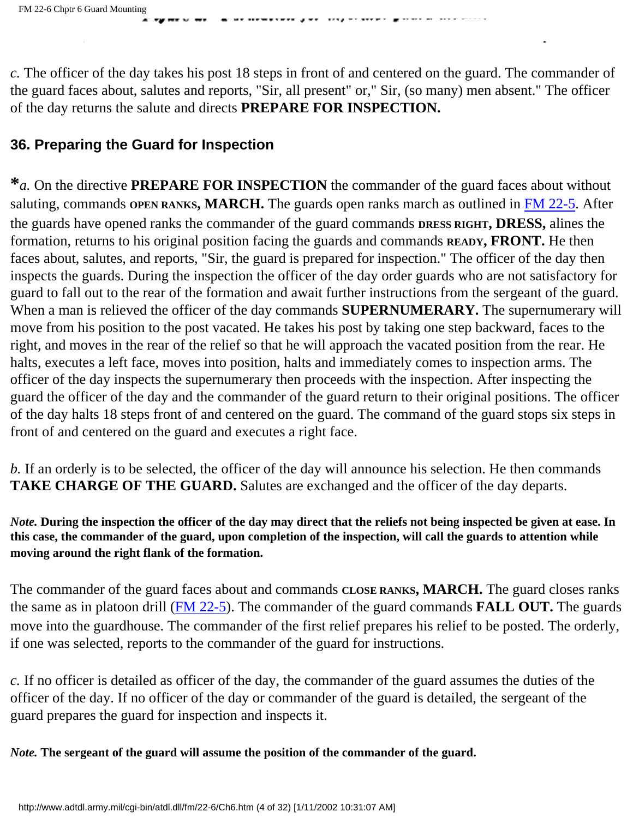*c.* The officer of the day takes his post 18 steps in front of and centered on the guard. The commander of the guard faces about, salutes and reports, "Sir, all present" or," Sir, (so many) men absent." The officer of the day returns the salute and directs **PREPARE FOR INSPECTION.**

#### **36. Preparing the Guard for Inspection**

**\****a.* On the directive **PREPARE FOR INSPECTION** the commander of the guard faces about without saluting, commands **OPEN RANKS, MARCH.** The guards open ranks march as outlined in [FM 22-5.](#page-69-2) After the guards have opened ranks the commander of the guard commands **DRESS RIGHT, DRESS,** alines the formation, returns to his original position facing the guards and commands **READY, FRONT.** He then faces about, salutes, and reports, "Sir, the guard is prepared for inspection." The officer of the day then inspects the guards. During the inspection the officer of the day order guards who are not satisfactory for guard to fall out to the rear of the formation and await further instructions from the sergeant of the guard. When a man is relieved the officer of the day commands **SUPERNUMERARY.** The supernumerary will move from his position to the post vacated. He takes his post by taking one step backward, faces to the right, and moves in the rear of the relief so that he will approach the vacated position from the rear. He halts, executes a left face, moves into position, halts and immediately comes to inspection arms. The officer of the day inspects the supernumerary then proceeds with the inspection. After inspecting the guard the officer of the day and the commander of the guard return to their original positions. The officer of the day halts 18 steps front of and centered on the guard. The command of the guard stops six steps in front of and centered on the guard and executes a right face.

*b.* If an orderly is to be selected, the officer of the day will announce his selection. He then commands TAKE CHARGE OF THE GUARD. Salutes are exchanged and the officer of the day departs.

*Note.* **During the inspection the officer of the day may direct that the reliefs not being inspected be given at ease. In this case, the commander of the guard, upon completion of the inspection, will call the guards to attention while moving around the right flank of the formation.**

The commander of the guard faces about and commands **CLOSE RANKS, MARCH.** The guard closes ranks the same as in platoon drill [\(FM 22-5\)](#page-69-2). The commander of the guard commands **FALL OUT.** The guards move into the guardhouse. The commander of the first relief prepares his relief to be posted. The orderly, if one was selected, reports to the commander of the guard for instructions.

*c.* If no officer is detailed as officer of the day, the commander of the guard assumes the duties of the officer of the day. If no officer of the day or commander of the guard is detailed, the sergeant of the guard prepares the guard for inspection and inspects it.

<span id="page-30-0"></span>*Note.* **The sergeant of the guard will assume the position of the commander of the guard.**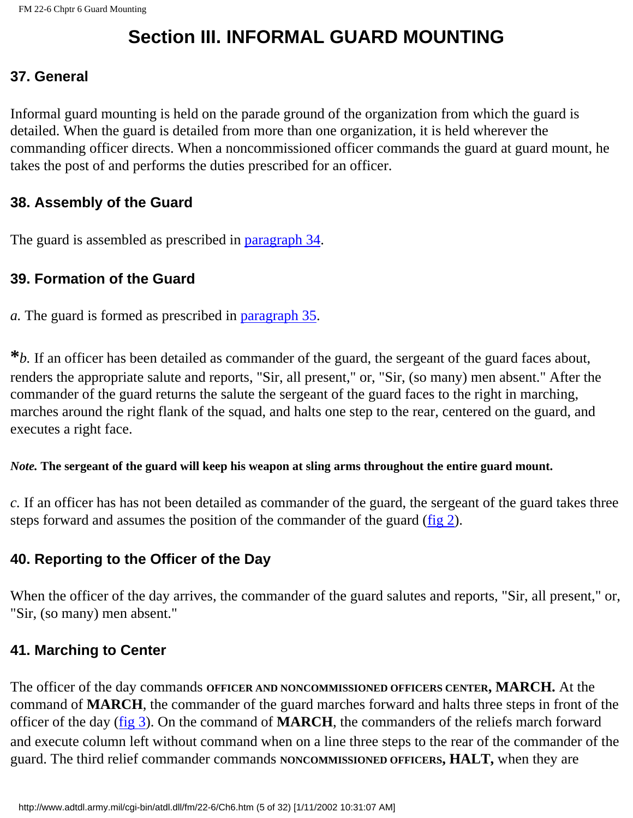## **Section III. INFORMAL GUARD MOUNTING**

#### **37. General**

Informal guard mounting is held on the parade ground of the organization from which the guard is detailed. When the guard is detailed from more than one organization, it is held wherever the commanding officer directs. When a noncommissioned officer commands the guard at guard mount, he takes the post of and performs the duties prescribed for an officer.

#### **38. Assembly of the Guard**

The guard is assembled as prescribed in paragraph 34.

#### **39. Formation of the Guard**

*a.* The guard is formed as prescribed in paragraph 35.

**\****b.* If an officer has been detailed as commander of the guard, the sergeant of the guard faces about, renders the appropriate salute and reports, "Sir, all present," or, "Sir, (so many) men absent." After the commander of the guard returns the salute the sergeant of the guard faces to the right in marching, marches around the right flank of the squad, and halts one step to the rear, centered on the guard, and executes a right face.

#### *Note.* **The sergeant of the guard will keep his weapon at sling arms throughout the entire guard mount.**

*c.* If an officer has has not been detailed as commander of the guard, the sergeant of the guard takes three steps forward and assumes the position of the commander of the guard (fig 2).

#### **40. Reporting to the Officer of the Day**

When the officer of the day arrives, the commander of the guard salutes and reports, "Sir, all present," or, "Sir, (so many) men absent."

#### **41. Marching to Center**

The officer of the day commands **OFFICER AND NONCOMMISSIONED OFFICERS CENTER, MARCH.** At the command of **MARCH**, the commander of the guard marches forward and halts three steps in front of the officer of the day (fig 3). On the command of **MARCH**, the commanders of the reliefs march forward and execute column left without command when on a line three steps to the rear of the commander of the guard. The third relief commander commands **NONCOMMISSIONED OFFICERS, HALT,** when they are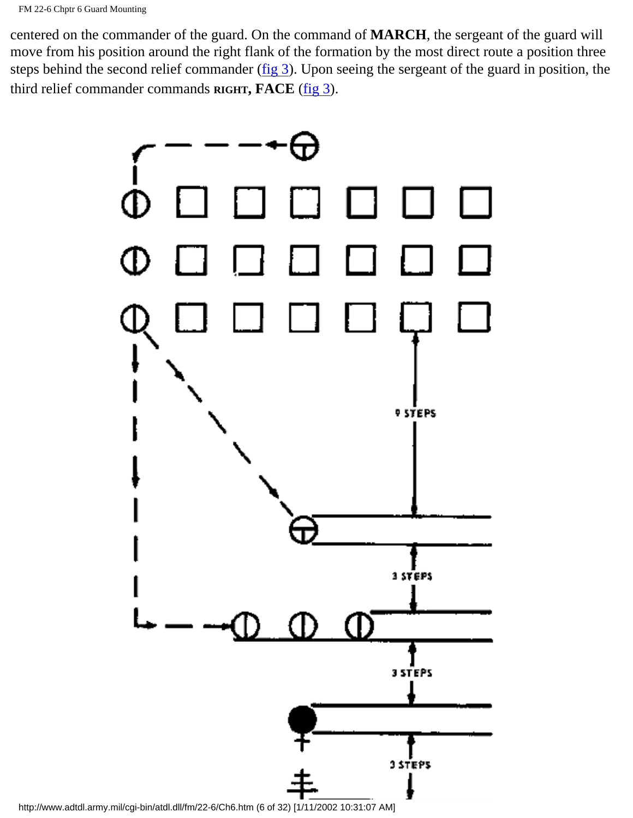centered on the commander of the guard. On the command of **MARCH**, the sergeant of the guard will move from his position around the right flank of the formation by the most direct route a position three steps behind the second relief commander (fig 3). Upon seeing the sergeant of the guard in position, the third relief commander commands **RIGHT, FACE** (fig 3).



http://www.adtdl.army.mil/cgi-bin/atdl.dll/fm/22-6/Ch6.htm (6 of 32) [1/11/2002 10:31:07 AM]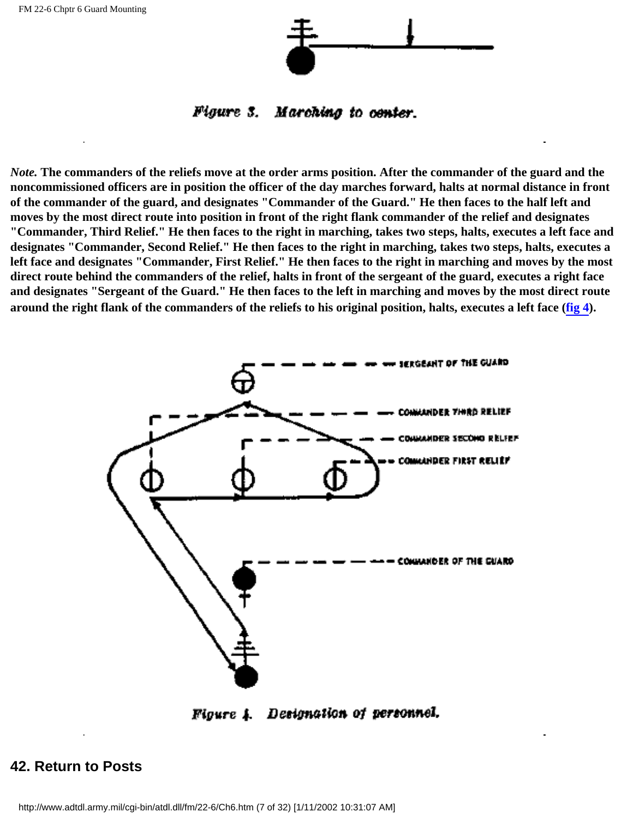

#### Figure 3. Marching to center.

*Note.* **The commanders of the reliefs move at the order arms position. After the commander of the guard and the noncommissioned officers are in position the officer of the day marches forward, halts at normal distance in front of the commander of the guard, and designates "Commander of the Guard." He then faces to the half left and moves by the most direct route into position in front of the right flank commander of the relief and designates "Commander, Third Relief." He then faces to the right in marching, takes two steps, halts, executes a left face and designates "Commander, Second Relief." He then faces to the right in marching, takes two steps, halts, executes a left face and designates "Commander, First Relief." He then faces to the right in marching and moves by the most direct route behind the commanders of the relief, halts in front of the sergeant of the guard, executes a right face and designates "Sergeant of the Guard." He then faces to the left in marching and moves by the most direct route around the right flank of the commanders of the reliefs to his original position, halts, executes a left face (fig 4).**



Designation of personnel. Figure 4.

#### **42. Return to Posts**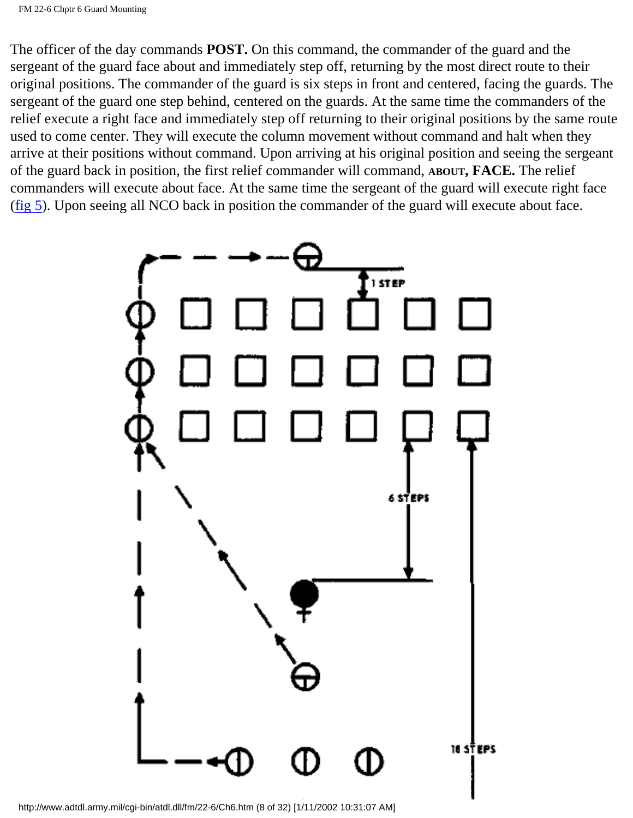The officer of the day commands **POST.** On this command, the commander of the guard and the sergeant of the guard face about and immediately step off, returning by the most direct route to their original positions. The commander of the guard is six steps in front and centered, facing the guards. The sergeant of the guard one step behind, centered on the guards. At the same time the commanders of the relief execute a right face and immediately step off returning to their original positions by the same route used to come center. They will execute the column movement without command and halt when they arrive at their positions without command. Upon arriving at his original position and seeing the sergeant of the guard back in position, the first relief commander will command, **ABOUT, FACE.** The relief commanders will execute about face. At the same time the sergeant of the guard will execute right face (fig 5). Upon seeing all NCO back in position the commander of the guard will execute about face.

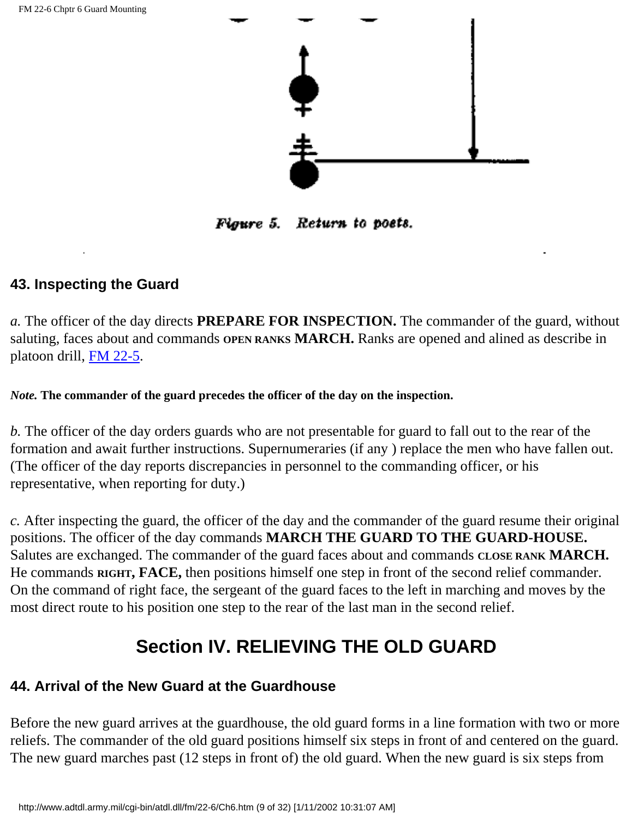

Return to poets. Fløure 5.

#### **43. Inspecting the Guard**

*a.* The officer of the day directs **PREPARE FOR INSPECTION.** The commander of the guard, without saluting, faces about and commands **OPEN RANKS MARCH.** Ranks are opened and alined as describe in platoon drill, [FM 22-5](#page-69-2).

#### *Note.* **The commander of the guard precedes the officer of the day on the inspection.**

*b.* The officer of the day orders guards who are not presentable for guard to fall out to the rear of the formation and await further instructions. Supernumeraries (if any ) replace the men who have fallen out. (The officer of the day reports discrepancies in personnel to the commanding officer, or his representative, when reporting for duty.)

*c.* After inspecting the guard, the officer of the day and the commander of the guard resume their original positions. The officer of the day commands **MARCH THE GUARD TO THE GUARD-HOUSE.** Salutes are exchanged. The commander of the guard faces about and commands **CLOSE RANK MARCH.** He commands **RIGHT, FACE,** then positions himself one step in front of the second relief commander. On the command of right face, the sergeant of the guard faces to the left in marching and moves by the most direct route to his position one step to the rear of the last man in the second relief.

## **Section IV. RELIEVING THE OLD GUARD**

#### <span id="page-35-0"></span>**44. Arrival of the New Guard at the Guardhouse**

Before the new guard arrives at the guardhouse, the old guard forms in a line formation with two or more reliefs. The commander of the old guard positions himself six steps in front of and centered on the guard. The new guard marches past (12 steps in front of) the old guard. When the new guard is six steps from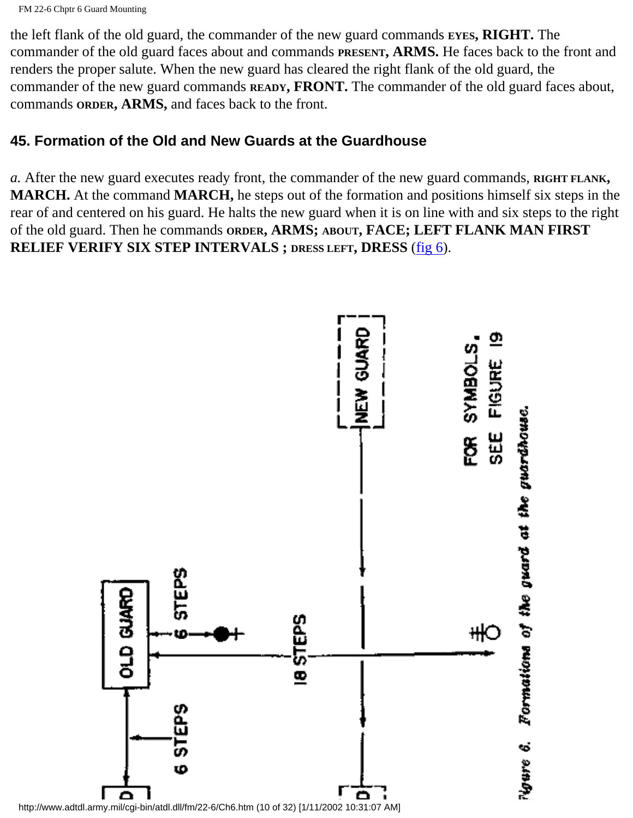FM 22-6 Chptr 6 Guard Mounting

the left flank of the old guard, the commander of the new guard commands **EYES, RIGHT.** The commander of the old guard faces about and commands **PRESENT, ARMS.** He faces back to the front and renders the proper salute. When the new guard has cleared the right flank of the old guard, the commander of the new guard commands **READY, FRONT.** The commander of the old guard faces about, commands **ORDER, ARMS,** and faces back to the front.

#### **45. Formation of the Old and New Guards at the Guardhouse**

*a.* After the new guard executes ready front, the commander of the new guard commands, **RIGHT FLANK, MARCH.** At the command **MARCH,** he steps out of the formation and positions himself six steps in the rear of and centered on his guard. He halts the new guard when it is on line with and six steps to the right of the old guard. Then he commands **ORDER, ARMS; ABOUT, FACE; LEFT FLANK MAN FIRST RELIEF VERIFY SIX STEP INTERVALS ; DRESS LEFT, DRESS** (fig 6).

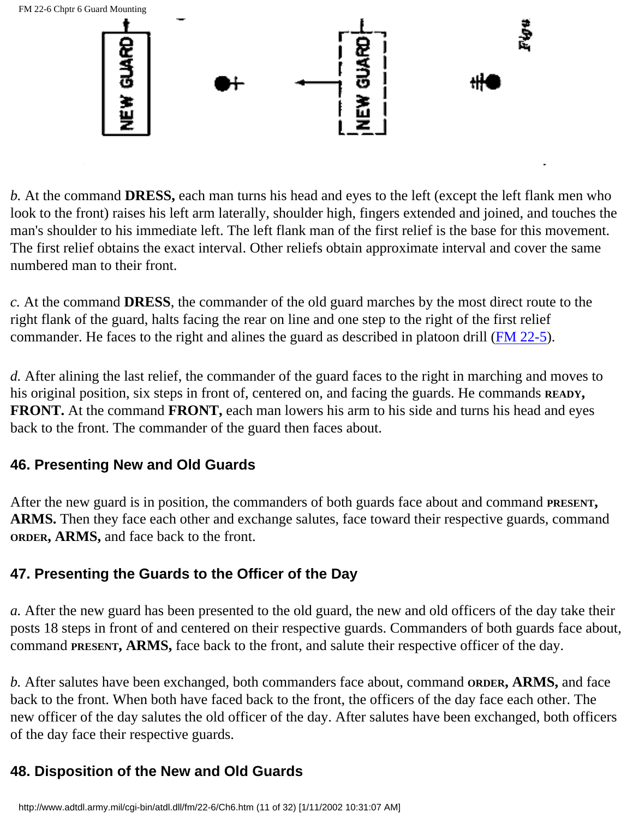

*b.* At the command **DRESS,** each man turns his head and eyes to the left (except the left flank men who look to the front) raises his left arm laterally, shoulder high, fingers extended and joined, and touches the man's shoulder to his immediate left. The left flank man of the first relief is the base for this movement. The first relief obtains the exact interval. Other reliefs obtain approximate interval and cover the same numbered man to their front.

*c.* At the command **DRESS**, the commander of the old guard marches by the most direct route to the right flank of the guard, halts facing the rear on line and one step to the right of the first relief commander. He faces to the right and alines the guard as described in platoon drill ([FM 22-5](#page-69-0)).

*d.* After alining the last relief, the commander of the guard faces to the right in marching and moves to his original position, six steps in front of, centered on, and facing the guards. He commands **READY**, **FRONT.** At the command **FRONT,** each man lowers his arm to his side and turns his head and eyes back to the front. The commander of the guard then faces about.

#### **46. Presenting New and Old Guards**

After the new guard is in position, the commanders of both guards face about and command **PRESENT, ARMS.** Then they face each other and exchange salutes, face toward their respective guards, command **ORDER, ARMS,** and face back to the front.

#### **47. Presenting the Guards to the Officer of the Day**

*a.* After the new guard has been presented to the old guard, the new and old officers of the day take their posts 18 steps in front of and centered on their respective guards. Commanders of both guards face about, command **PRESENT, ARMS,** face back to the front, and salute their respective officer of the day.

*b.* After salutes have been exchanged, both commanders face about, command **ORDER, ARMS,** and face back to the front. When both have faced back to the front, the officers of the day face each other. The new officer of the day salutes the old officer of the day. After salutes have been exchanged, both officers of the day face their respective guards.

#### **48. Disposition of the New and Old Guards**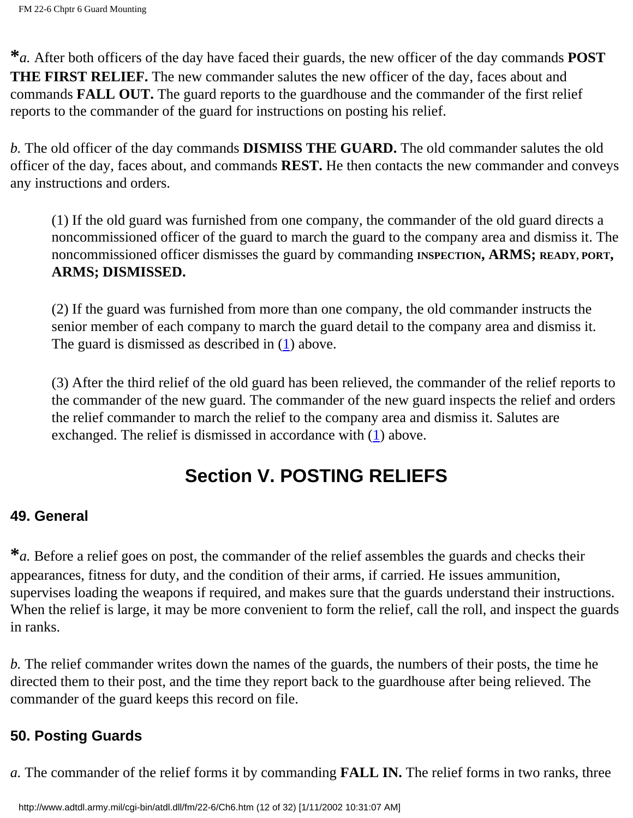**\****a.* After both officers of the day have faced their guards, the new officer of the day commands **POST THE FIRST RELIEF.** The new commander salutes the new officer of the day, faces about and commands **FALL OUT.** The guard reports to the guardhouse and the commander of the first relief reports to the commander of the guard for instructions on posting his relief.

*b.* The old officer of the day commands **DISMISS THE GUARD.** The old commander salutes the old officer of the day, faces about, and commands **REST.** He then contacts the new commander and conveys any instructions and orders.

<span id="page-38-0"></span>(1) If the old guard was furnished from one company, the commander of the old guard directs a noncommissioned officer of the guard to march the guard to the company area and dismiss it. The noncommissioned officer dismisses the guard by commanding **INSPECTION**, ARMS; READY, PORT, **ARMS; DISMISSED.**

(2) If the guard was furnished from more than one company, the old commander instructs the senior member of each company to march the guard detail to the company area and dismiss it. The guard is dismissed as described in ([1\)](#page-38-0) above.

(3) After the third relief of the old guard has been relieved, the commander of the relief reports to the commander of the new guard. The commander of the new guard inspects the relief and orders the relief commander to march the relief to the company area and dismiss it. Salutes are exchanged. The relief is dismissed in accordance with  $(1)$  $(1)$  above.

### **Section V. POSTING RELIEFS**

#### **49. General**

**\****a.* Before a relief goes on post, the commander of the relief assembles the guards and checks their appearances, fitness for duty, and the condition of their arms, if carried. He issues ammunition, supervises loading the weapons if required, and makes sure that the guards understand their instructions. When the relief is large, it may be more convenient to form the relief, call the roll, and inspect the guards in ranks.

*b.* The relief commander writes down the names of the guards, the numbers of their posts, the time he directed them to their post, and the time they report back to the guardhouse after being relieved. The commander of the guard keeps this record on file.

#### **50. Posting Guards**

*a.* The commander of the relief forms it by commanding **FALL IN.** The relief forms in two ranks, three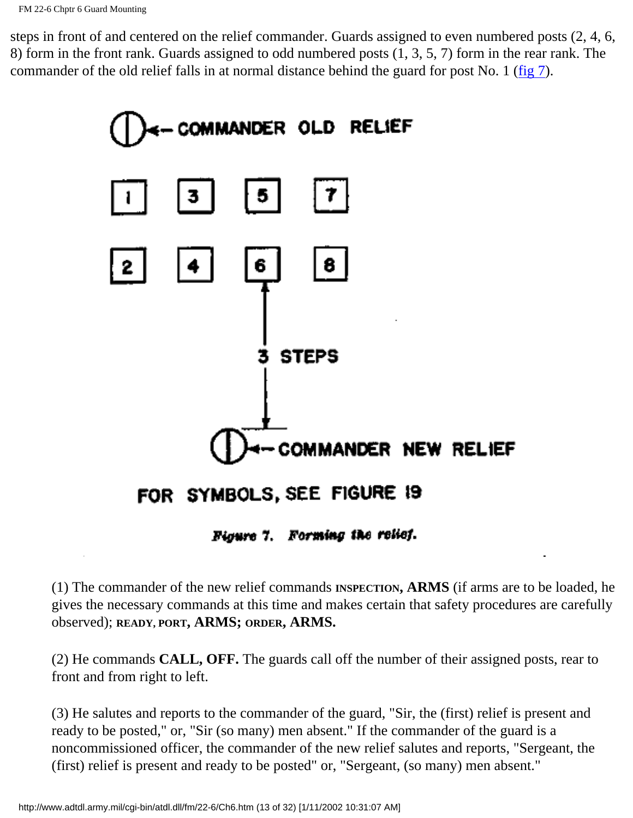steps in front of and centered on the relief commander. Guards assigned to even numbered posts (2, 4, 6, 8) form in the front rank. Guards assigned to odd numbered posts (1, 3, 5, 7) form in the rear rank. The commander of the old relief falls in at normal distance behind the guard for post No. 1 (fig 7).



Figure 7. Forming the relief.

<span id="page-39-0"></span>(1) The commander of the new relief commands **INSPECTION, ARMS** (if arms are to be loaded, he gives the necessary commands at this time and makes certain that safety procedures are carefully observed); **READY, PORT, ARMS; ORDER, ARMS.**

<span id="page-39-1"></span>(2) He commands **CALL, OFF.** The guards call off the number of their assigned posts, rear to front and from right to left.

<span id="page-39-2"></span>(3) He salutes and reports to the commander of the guard, "Sir, the (first) relief is present and ready to be posted," or, "Sir (so many) men absent." If the commander of the guard is a noncommissioned officer, the commander of the new relief salutes and reports, "Sergeant, the (first) relief is present and ready to be posted" or, "Sergeant, (so many) men absent."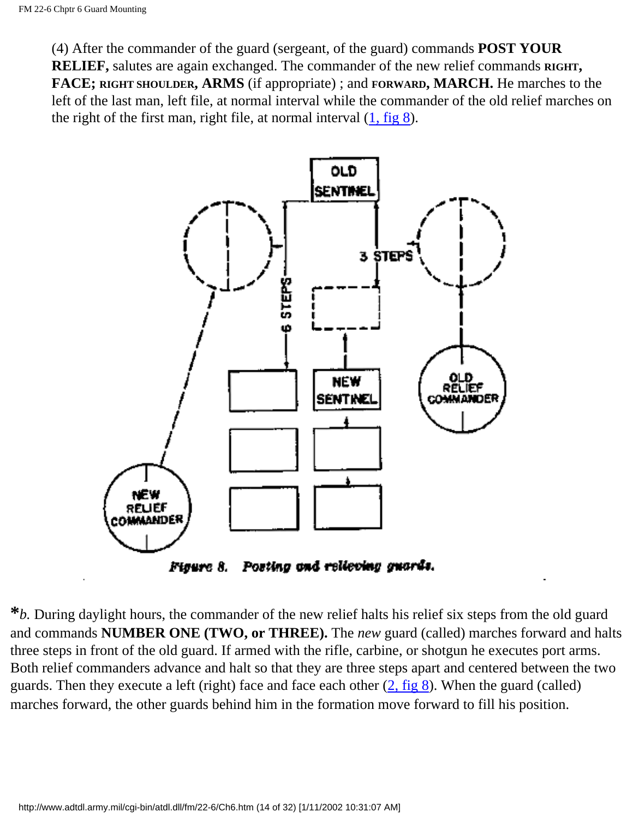(4) After the commander of the guard (sergeant, of the guard) commands **POST YOUR RELIEF,** salutes are again exchanged. The commander of the new relief commands **RIGHT, FACE; RIGHT SHOULDER, ARMS** (if appropriate) ; and **FORWARD, MARCH.** He marches to the left of the last man, left file, at normal interval while the commander of the old relief marches on the right of the first man, right file, at normal interval  $(1, fig 8)$ .



<span id="page-40-0"></span>**\****b.* During daylight hours, the commander of the new relief halts his relief six steps from the old guard and commands **NUMBER ONE (TWO, or THREE).** The *new* guard (called) marches forward and halts three steps in front of the old guard. If armed with the rifle, carbine, or shotgun he executes port arms. Both relief commanders advance and halt so that they are three steps apart and centered between the two guards. Then they execute a left (right) face and face each other  $(2, fig 8)$ . When the guard (called) marches forward, the other guards behind him in the formation move forward to fill his position.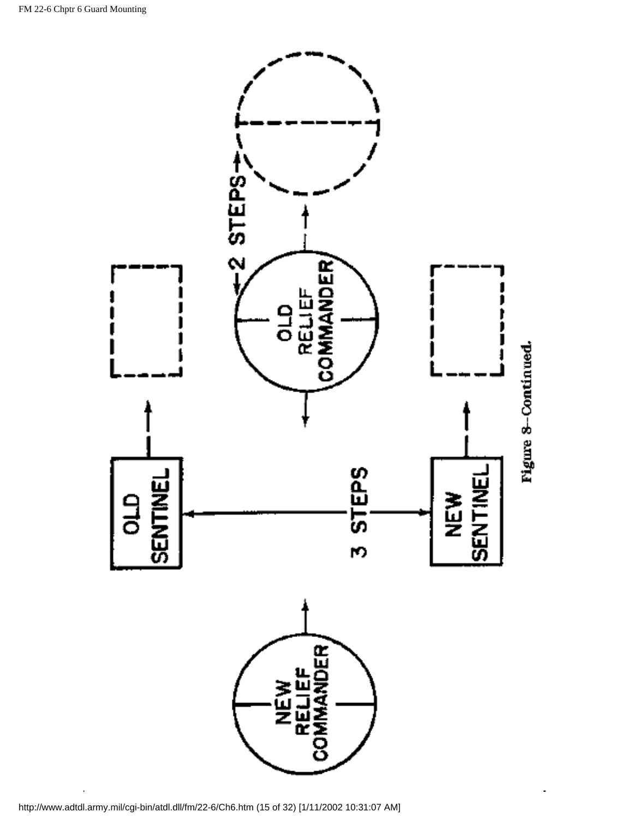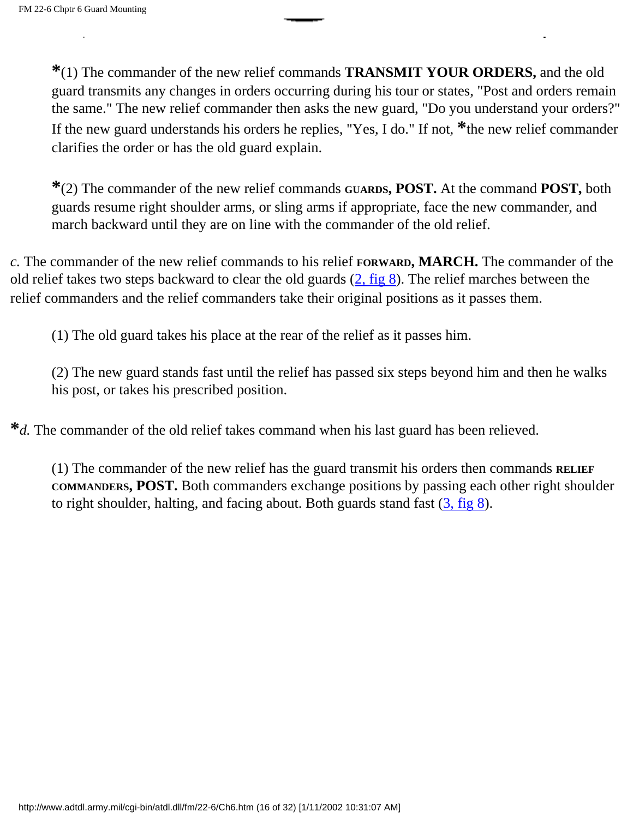**\***(1) The commander of the new relief commands **TRANSMIT YOUR ORDERS,** and the old guard transmits any changes in orders occurring during his tour or states, "Post and orders remain the same." The new relief commander then asks the new guard, "Do you understand your orders?" If the new guard understands his orders he replies, "Yes, I do." If not, **\***the new relief commander clarifies the order or has the old guard explain.

**\***(2) The commander of the new relief commands **GUARDS, POST.** At the command **POST,** both guards resume right shoulder arms, or sling arms if appropriate, face the new commander, and march backward until they are on line with the commander of the old relief.

*c.* The commander of the new relief commands to his relief **FORWARD, MARCH.** The commander of the old relief takes two steps backward to clear the old guards (2, fig 8). The relief marches between the relief commanders and the relief commanders take their original positions as it passes them.

(1) The old guard takes his place at the rear of the relief as it passes him.

(2) The new guard stands fast until the relief has passed six steps beyond him and then he walks his post, or takes his prescribed position.

**\****d.* The commander of the old relief takes command when his last guard has been relieved.

(1) The commander of the new relief has the guard transmit his orders then commands **RELIEF COMMANDERS, POST.** Both commanders exchange positions by passing each other right shoulder to right shoulder, halting, and facing about. Both guards stand fast (3, fig 8).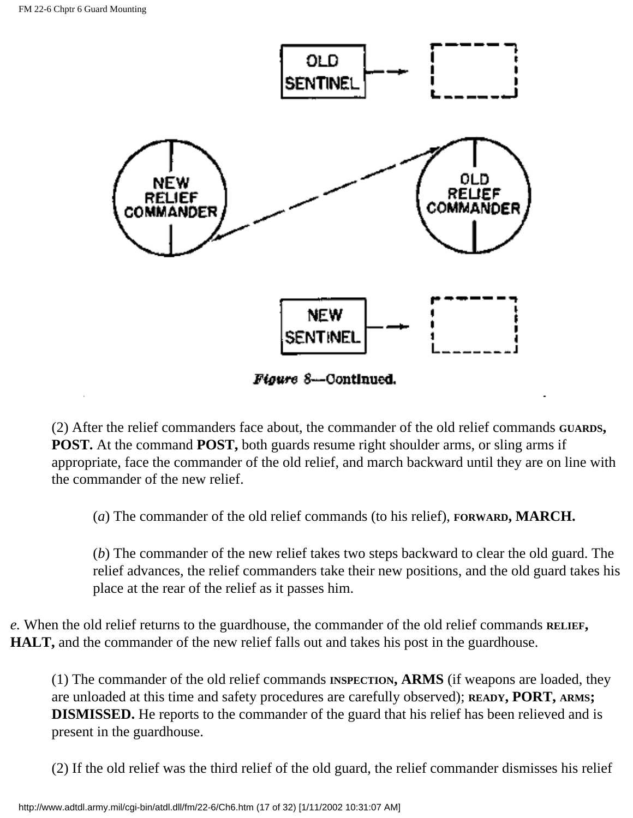

Figure 8-Continued.

(2) After the relief commanders face about, the commander of the old relief commands **GUARDS, POST.** At the command **POST,** both guards resume right shoulder arms, or sling arms if appropriate, face the commander of the old relief, and march backward until they are on line with the commander of the new relief.

(*a*) The commander of the old relief commands (to his relief), **FORWARD, MARCH.**

(*b*) The commander of the new relief takes two steps backward to clear the old guard. The relief advances, the relief commanders take their new positions, and the old guard takes his place at the rear of the relief as it passes him.

*e.* When the old relief returns to the guardhouse, the commander of the old relief commands **RELIEF, HALT,** and the commander of the new relief falls out and takes his post in the guardhouse.

(1) The commander of the old relief commands **INSPECTION, ARMS** (if weapons are loaded, they are unloaded at this time and safety procedures are carefully observed); **READY, PORT, ARMS; DISMISSED.** He reports to the commander of the guard that his relief has been relieved and is present in the guardhouse.

(2) If the old relief was the third relief of the old guard, the relief commander dismisses his relief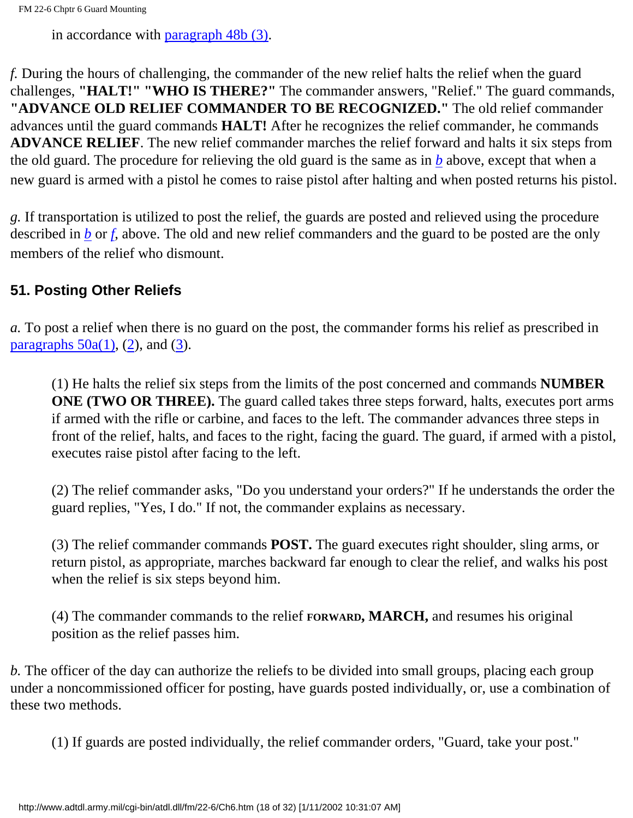in accordance with paragraph 48b (3).

<span id="page-44-0"></span>*f.* During the hours of challenging, the commander of the new relief halts the relief when the guard challenges, **"HALT!" "WHO IS THERE?"** The commander answers, "Relief." The guard commands, **"ADVANCE OLD RELIEF COMMANDER TO BE RECOGNIZED."** The old relief commander advances until the guard commands **HALT!** After he recognizes the relief commander, he commands **ADVANCE RELIEF**. The new relief commander marches the relief forward and halts it six steps from the old guard. The procedure for relieving the old guard is the same as in *[b](#page-40-0)* above, except that when a new guard is armed with a pistol he comes to raise pistol after halting and when posted returns his pistol.

*g.* If transportation is utilized to post the relief, the guards are posted and relieved using the procedure descri[b](#page-40-0)ed in *b* or *[f](#page-44-0)*, above. The old and new relief commanders and the guard to be posted are the only members of the relief who dismount.

#### **51. Posting Other Reliefs**

*a.* To post a relief when there is no guard on the post, the commander forms his relief as prescribed in paragraphs  $50a(1)$ ,  $(2)$  $(2)$ , and  $(3)$  $(3)$ .

(1) He halts the relief six steps from the limits of the post concerned and commands **NUMBER ONE (TWO OR THREE).** The guard called takes three steps forward, halts, executes port arms if armed with the rifle or carbine, and faces to the left. The commander advances three steps in front of the relief, halts, and faces to the right, facing the guard. The guard, if armed with a pistol, executes raise pistol after facing to the left.

(2) The relief commander asks, "Do you understand your orders?" If he understands the order the guard replies, "Yes, I do." If not, the commander explains as necessary.

(3) The relief commander commands **POST.** The guard executes right shoulder, sling arms, or return pistol, as appropriate, marches backward far enough to clear the relief, and walks his post when the relief is six steps beyond him.

(4) The commander commands to the relief **FORWARD, MARCH,** and resumes his original position as the relief passes him.

*b.* The officer of the day can authorize the reliefs to be divided into small groups, placing each group under a noncommissioned officer for posting, have guards posted individually, or, use a combination of these two methods.

(1) If guards are posted individually, the relief commander orders, "Guard, take your post."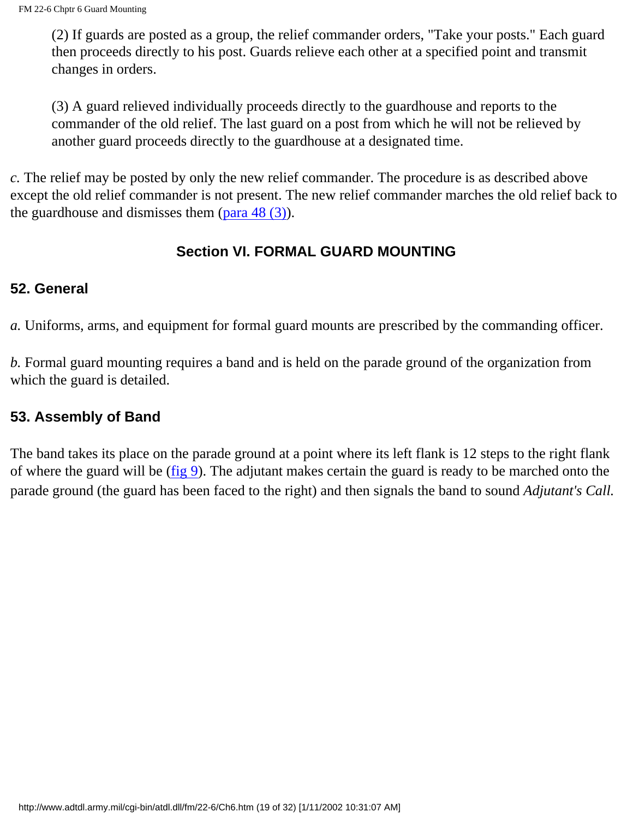(2) If guards are posted as a group, the relief commander orders, "Take your posts." Each guard then proceeds directly to his post. Guards relieve each other at a specified point and transmit changes in orders.

(3) A guard relieved individually proceeds directly to the guardhouse and reports to the commander of the old relief. The last guard on a post from which he will not be relieved by another guard proceeds directly to the guardhouse at a designated time.

*c.* The relief may be posted by only the new relief commander. The procedure is as described above except the old relief commander is not present. The new relief commander marches the old relief back to the guardhouse and dismisses them  $(\text{para } 48 \text{ } (3))$ .

#### **Section VI. FORMAL GUARD MOUNTING**

#### **52. General**

*a.* Uniforms, arms, and equipment for formal guard mounts are prescribed by the commanding officer.

*b.* Formal guard mounting requires a band and is held on the parade ground of the organization from which the guard is detailed.

#### **53. Assembly of Band**

The band takes its place on the parade ground at a point where its left flank is 12 steps to the right flank of where the guard will be (fig 9). The adjutant makes certain the guard is ready to be marched onto the parade ground (the guard has been faced to the right) and then signals the band to sound *Adjutant's Call.*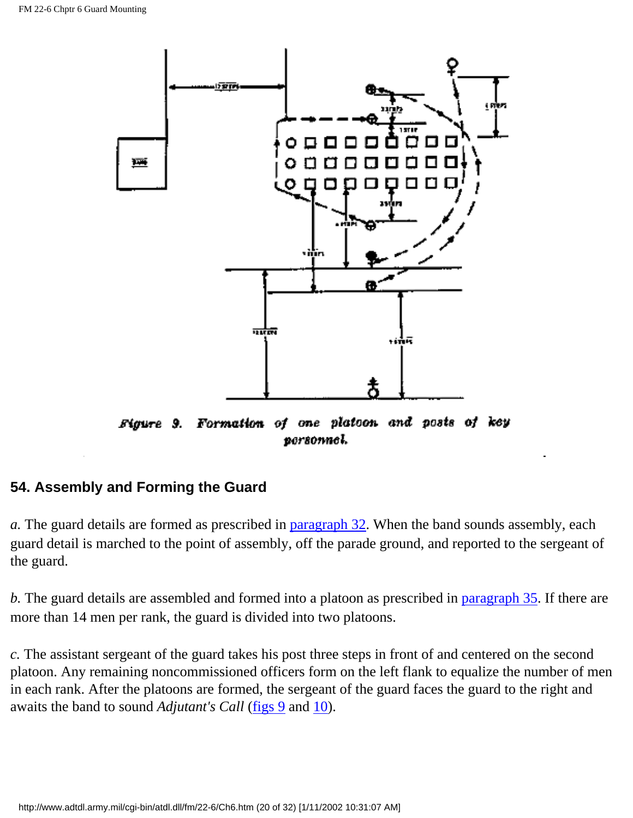

#### **54. Assembly and Forming the Guard**

*a.* The guard details are formed as prescribed in paragraph 32. When the band sounds assembly, each guard detail is marched to the point of assembly, off the parade ground, and reported to the sergeant of the guard.

*b.* The guard details are assembled and formed into a platoon as prescribed in paragraph 35. If there are more than 14 men per rank, the guard is divided into two platoons.

*c.* The assistant sergeant of the guard takes his post three steps in front of and centered on the second platoon. Any remaining noncommissioned officers form on the left flank to equalize the number of men in each rank. After the platoons are formed, the sergeant of the guard faces the guard to the right and awaits the band to sound *Adjutant's Call* (figs 9 and 10).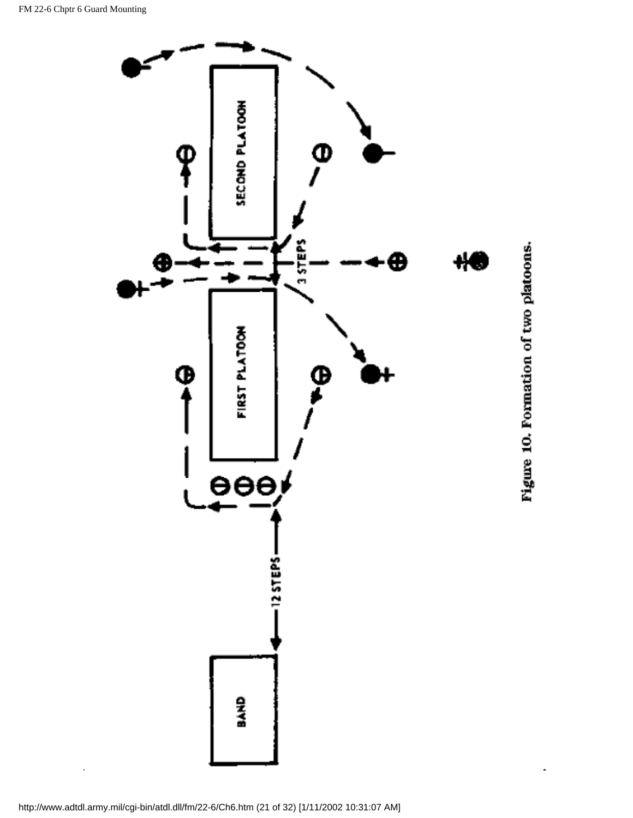

http://www.adtdl.army.mil/cgi-bin/atdl.dll/fm/22-6/Ch6.htm (21 of 32) [1/11/2002 10:31:07 AM]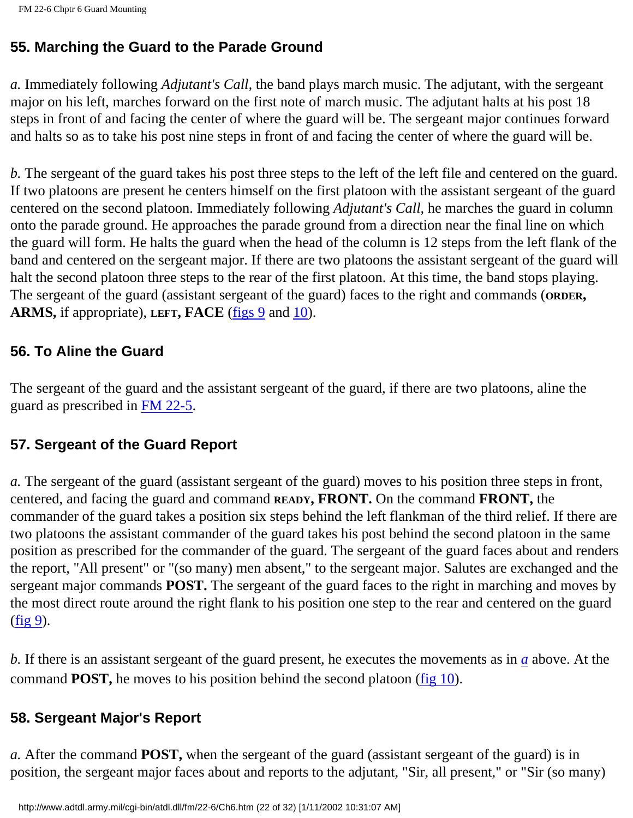#### **55. Marching the Guard to the Parade Ground**

*a.* Immediately following *Adjutant's Call,* the band plays march music. The adjutant, with the sergeant major on his left, marches forward on the first note of march music. The adjutant halts at his post 18 steps in front of and facing the center of where the guard will be. The sergeant major continues forward and halts so as to take his post nine steps in front of and facing the center of where the guard will be.

*b.* The sergeant of the guard takes his post three steps to the left of the left file and centered on the guard. If two platoons are present he centers himself on the first platoon with the assistant sergeant of the guard centered on the second platoon. Immediately following *Adjutant's Call,* he marches the guard in column onto the parade ground. He approaches the parade ground from a direction near the final line on which the guard will form. He halts the guard when the head of the column is 12 steps from the left flank of the band and centered on the sergeant major. If there are two platoons the assistant sergeant of the guard will halt the second platoon three steps to the rear of the first platoon. At this time, the band stops playing. The sergeant of the guard (assistant sergeant of the guard) faces to the right and commands (**ORDER, ARMS,** if appropriate), **LEFT, FACE** (figs 9 and 10).

#### **56. To Aline the Guard**

The sergeant of the guard and the assistant sergeant of the guard, if there are two platoons, aline the guard as prescribed in [FM 22-5](#page-69-0).

#### **57. Sergeant of the Guard Report**

<span id="page-48-0"></span>*a.* The sergeant of the guard (assistant sergeant of the guard) moves to his position three steps in front, centered, and facing the guard and command **READY, FRONT.** On the command **FRONT,** the commander of the guard takes a position six steps behind the left flankman of the third relief. If there are two platoons the assistant commander of the guard takes his post behind the second platoon in the same position as prescribed for the commander of the guard. The sergeant of the guard faces about and renders the report, "All present" or "(so many) men absent," to the sergeant major. Salutes are exchanged and the sergeant major commands **POST.** The sergeant of the guard faces to the right in marching and moves by the most direct route around the right flank to his position one step to the rear and centered on the guard (fig 9).

*b.* If there is an assistant sergeant of the guard present, he executes the movements as in *[a](#page-48-0)* above. At the command **POST,** he moves to his position behind the second platoon (fig 10).

#### **58. Sergeant Major's Report**

*a.* After the command **POST,** when the sergeant of the guard (assistant sergeant of the guard) is in position, the sergeant major faces about and reports to the adjutant, "Sir, all present," or "Sir (so many)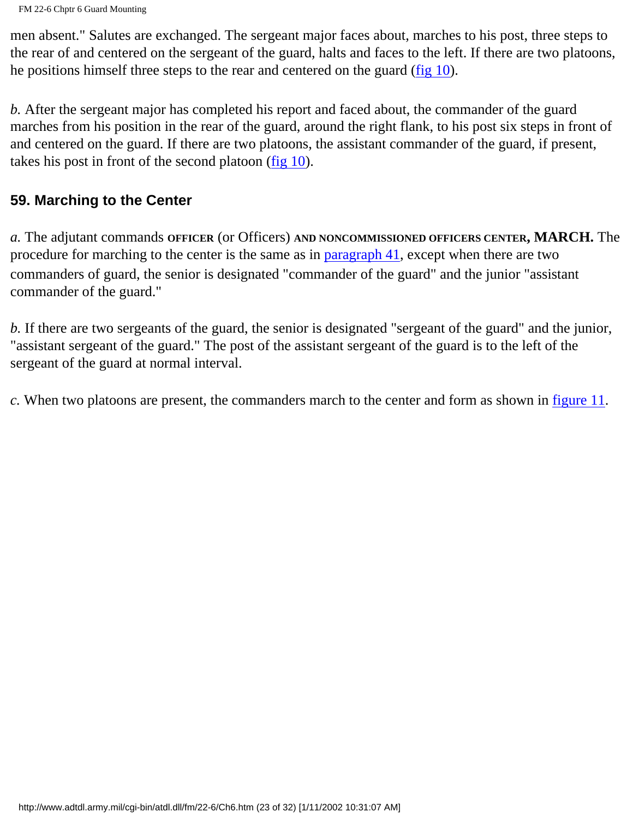men absent." Salutes are exchanged. The sergeant major faces about, marches to his post, three steps to the rear of and centered on the sergeant of the guard, halts and faces to the left. If there are two platoons, he positions himself three steps to the rear and centered on the guard (fig 10).

*b.* After the sergeant major has completed his report and faced about, the commander of the guard marches from his position in the rear of the guard, around the right flank, to his post six steps in front of and centered on the guard. If there are two platoons, the assistant commander of the guard, if present, takes his post in front of the second platoon (fig 10).

#### **59. Marching to the Center**

*a.* The adjutant commands **OFFICER** (or Officers) **AND NONCOMMISSIONED OFFICERS CENTER, MARCH.** The procedure for marching to the center is the same as in paragraph 41, except when there are two commanders of guard, the senior is designated "commander of the guard" and the junior "assistant commander of the guard."

*b.* If there are two sergeants of the guard, the senior is designated "sergeant of the guard" and the junior, "assistant sergeant of the guard." The post of the assistant sergeant of the guard is to the left of the sergeant of the guard at normal interval.

*c*. When two platoons are present, the commanders march to the center and form as shown in <u>figure 11</u>.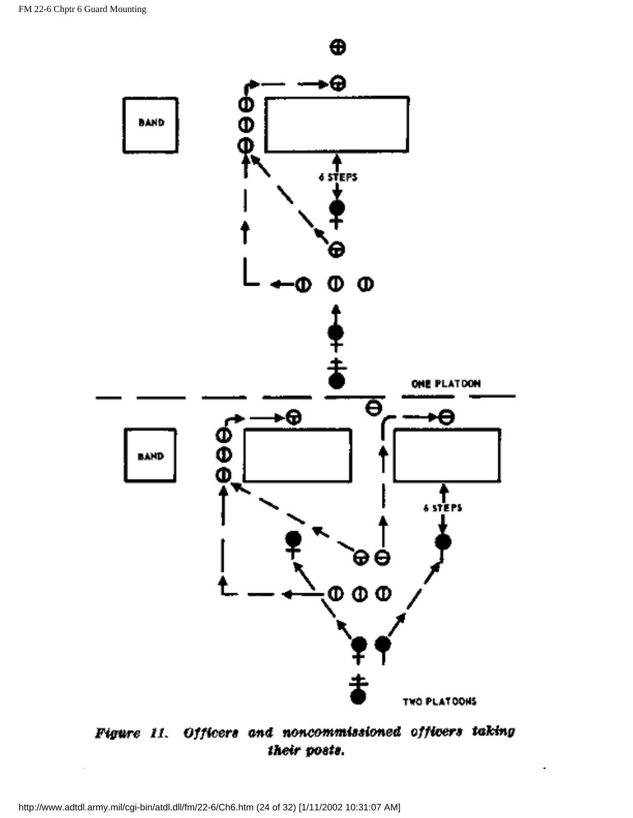

Figure 11. Officers and noncommissioned officers taking their posts.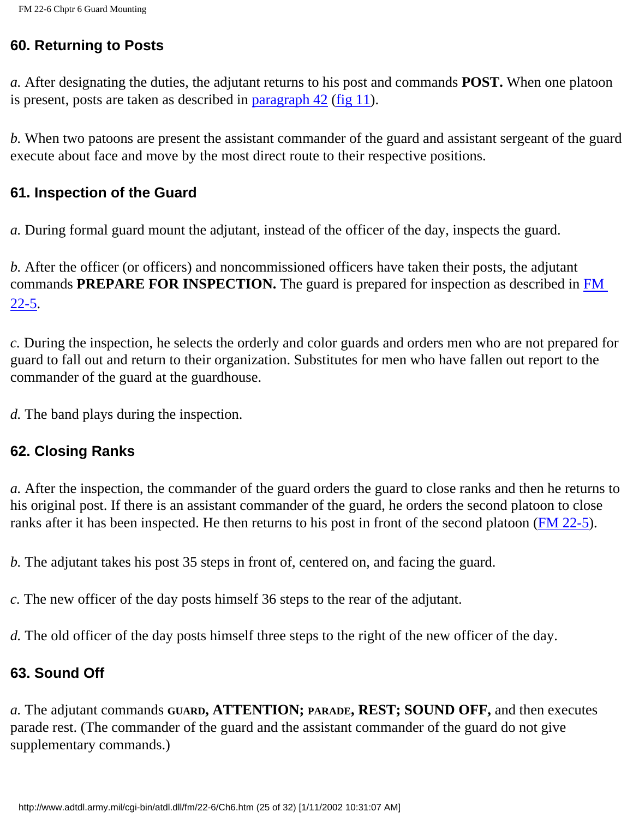#### **60. Returning to Posts**

*a.* After designating the duties, the adjutant returns to his post and commands **POST.** When one platoon is present, posts are taken as described in paragraph 42 (fig 11).

*b.* When two patoons are present the assistant commander of the guard and assistant sergeant of the guard execute about face and move by the most direct route to their respective positions.

#### **61. Inspection of the Guard**

*a.* During formal guard mount the adjutant, instead of the officer of the day, inspects the guard.

*b.* After the officer (or officers) and noncommissioned officers have taken their posts, the adjutant commands **PREPARE FOR INSPECTION.** The guard is prepared for inspection as described in [FM](#page-69-0)  [22-5.](#page-69-0)

*c.* During the inspection, he selects the orderly and color guards and orders men who are not prepared for guard to fall out and return to their organization. Substitutes for men who have fallen out report to the commander of the guard at the guardhouse.

*d.* The band plays during the inspection.

#### **62. Closing Ranks**

*a.* After the inspection, the commander of the guard orders the guard to close ranks and then he returns to his original post. If there is an assistant commander of the guard, he orders the second platoon to close ranks after it has been inspected. He then returns to his post in front of the second platoon ([FM 22-5\)](#page-69-0).

*b.* The adjutant takes his post 35 steps in front of, centered on, and facing the guard.

*c.* The new officer of the day posts himself 36 steps to the rear of the adjutant.

*d.* The old officer of the day posts himself three steps to the right of the new officer of the day.

#### **63. Sound Off**

*a.* The adjutant commands **GUARD, ATTENTION; PARADE, REST; SOUND OFF,** and then executes parade rest. (The commander of the guard and the assistant commander of the guard do not give supplementary commands.)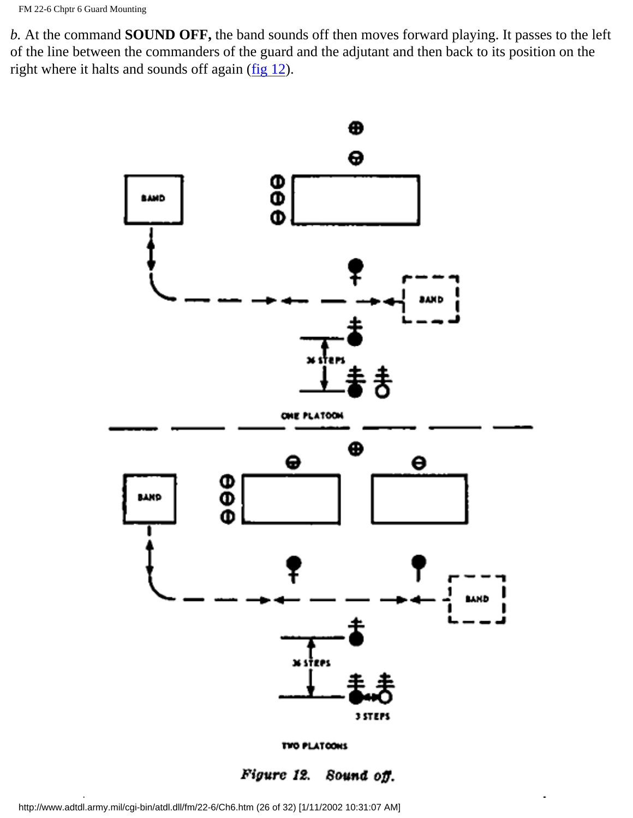*b.* At the command **SOUND OFF,** the band sounds off then moves forward playing. It passes to the left of the line between the commanders of the guard and the adjutant and then back to its position on the right where it halts and sounds off again (fig 12).



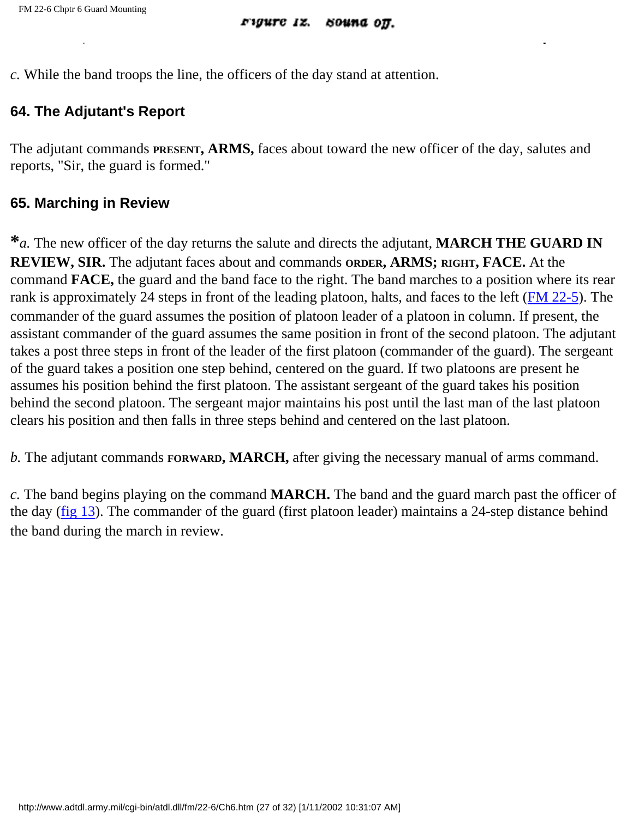*c.* While the band troops the line, the officers of the day stand at attention.

#### **64. The Adjutant's Report**

The adjutant commands **PRESENT, ARMS,** faces about toward the new officer of the day, salutes and reports, "Sir, the guard is formed."

#### **65. Marching in Review**

**\****a.* The new officer of the day returns the salute and directs the adjutant, **MARCH THE GUARD IN REVIEW, SIR.** The adjutant faces about and commands **ORDER, ARMS; RIGHT, FACE.** At the command **FACE,** the guard and the band face to the right. The band marches to a position where its rear rank is approximately 24 steps in front of the leading platoon, halts, and faces to the left [\(FM 22-5\)](#page-69-0). The commander of the guard assumes the position of platoon leader of a platoon in column. If present, the assistant commander of the guard assumes the same position in front of the second platoon. The adjutant takes a post three steps in front of the leader of the first platoon (commander of the guard). The sergeant of the guard takes a position one step behind, centered on the guard. If two platoons are present he assumes his position behind the first platoon. The assistant sergeant of the guard takes his position behind the second platoon. The sergeant major maintains his post until the last man of the last platoon clears his position and then falls in three steps behind and centered on the last platoon.

*b.* The adjutant commands **FORWARD, MARCH,** after giving the necessary manual of arms command.

*c.* The band begins playing on the command **MARCH.** The band and the guard march past the officer of the day (fig 13). The commander of the guard (first platoon leader) maintains a 24-step distance behind the band during the march in review.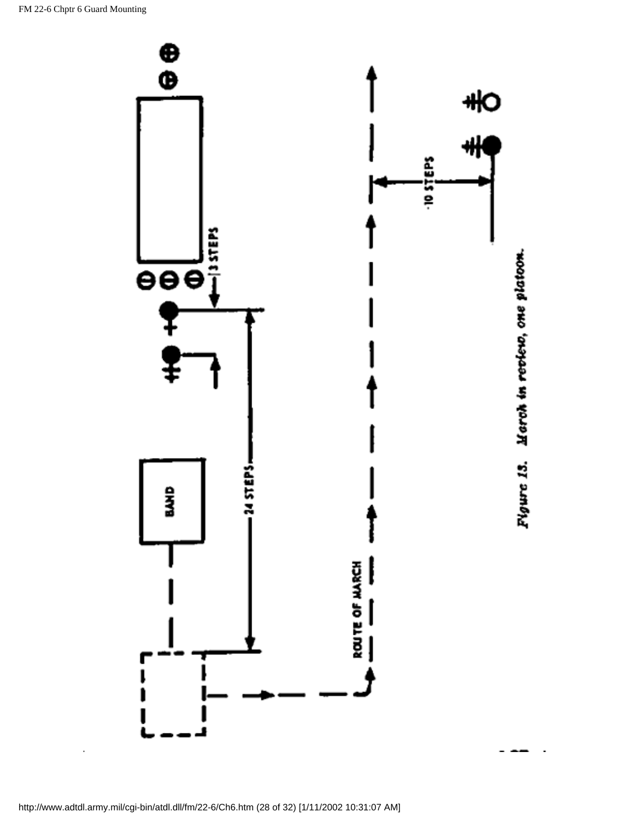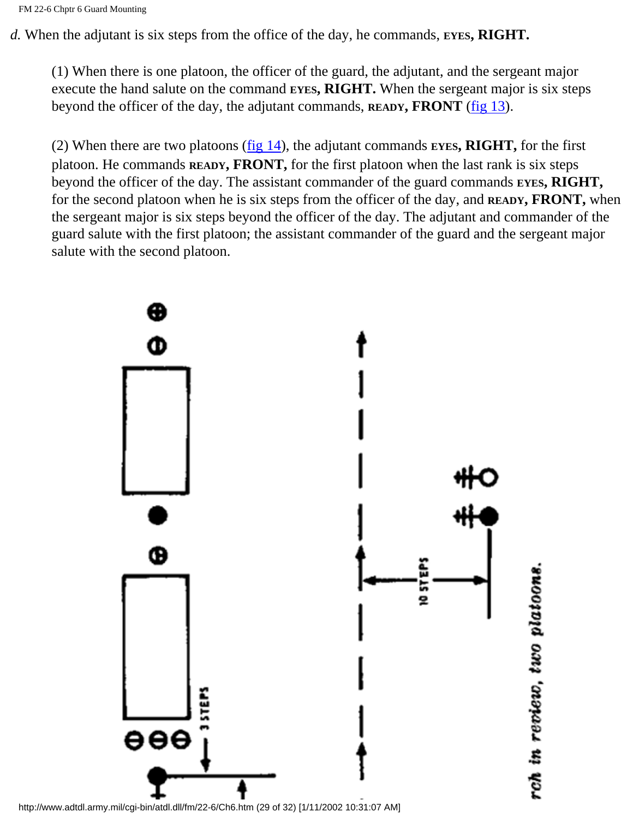*d.* When the adjutant is six steps from the office of the day, he commands, **EYES, RIGHT.**

(1) When there is one platoon, the officer of the guard, the adjutant, and the sergeant major execute the hand salute on the command **EYES, RIGHT.** When the sergeant major is six steps beyond the officer of the day, the adjutant commands, **READY, FRONT** (fig 13).

(2) When there are two platoons (fig 14), the adjutant commands **EYES, RIGHT,** for the first platoon. He commands **READY, FRONT,** for the first platoon when the last rank is six steps beyond the officer of the day. The assistant commander of the guard commands **EYES, RIGHT,** for the second platoon when he is six steps from the officer of the day, and **READY, FRONT,** when the sergeant major is six steps beyond the officer of the day. The adjutant and commander of the guard salute with the first platoon; the assistant commander of the guard and the sergeant major salute with the second platoon.

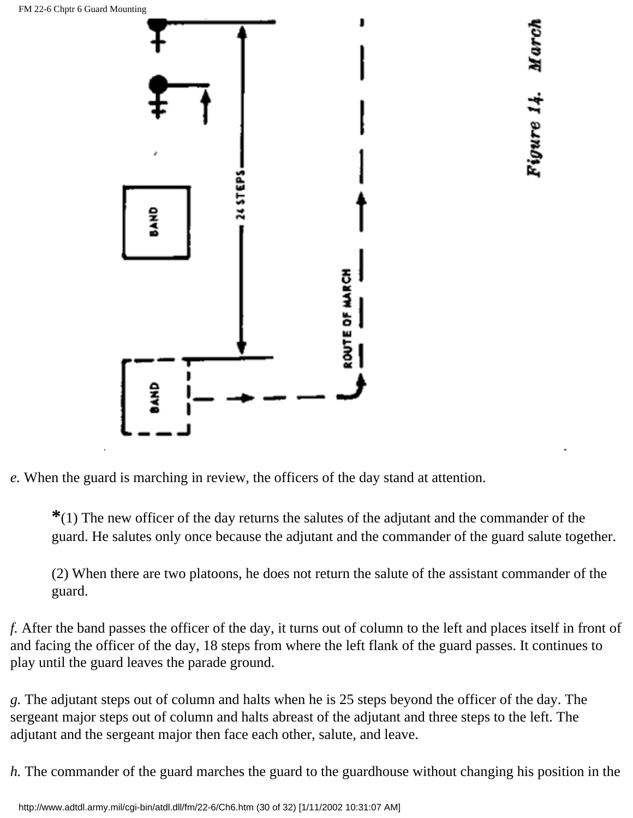

*e.* When the guard is marching in review, the officers of the day stand at attention.

**\***(1) The new officer of the day returns the salutes of the adjutant and the commander of the guard. He salutes only once because the adjutant and the commander of the guard salute together.

(2) When there are two platoons, he does not return the salute of the assistant commander of the guard.

*f.* After the band passes the officer of the day, it turns out of column to the left and places itself in front of and facing the officer of the day, 18 steps from where the left flank of the guard passes. It continues to play until the guard leaves the parade ground.

*g.* The adjutant steps out of column and halts when he is 25 steps beyond the officer of the day. The sergeant major steps out of column and halts abreast of the adjutant and three steps to the left. The adjutant and the sergeant major then face each other, salute, and leave.

*h.* The commander of the guard marches the guard to the guardhouse without changing his position in the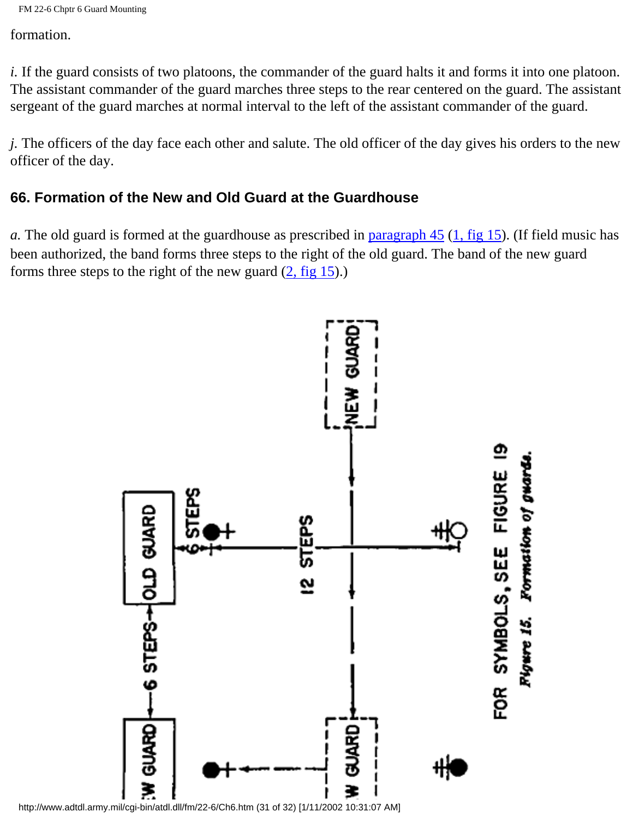formation.

*i.* If the guard consists of two platoons, the commander of the guard halts it and forms it into one platoon. The assistant commander of the guard marches three steps to the rear centered on the guard. The assistant sergeant of the guard marches at normal interval to the left of the assistant commander of the guard.

*j.* The officers of the day face each other and salute. The old officer of the day gives his orders to the new officer of the day.

#### **66. Formation of the New and Old Guard at the Guardhouse**

*a*. The old guard is formed at the guardhouse as prescribed in paragraph 45 (1, fig 15). (If field music has been authorized, the band forms three steps to the right of the old guard. The band of the new guard forms three steps to the right of the new guard  $(2, fig 15)$ .

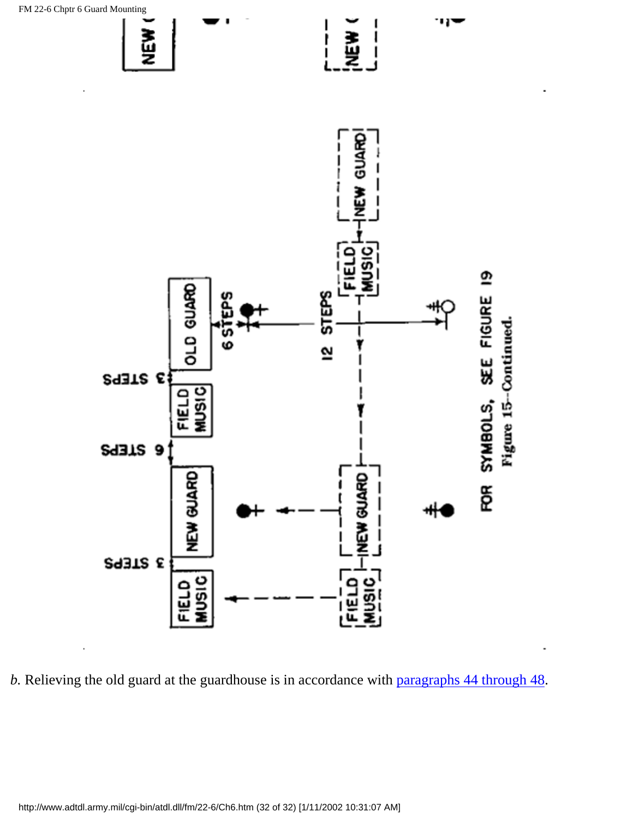

*b.* Relieving the old guard at the guardhouse is in accordance with paragraphs 44 through 48.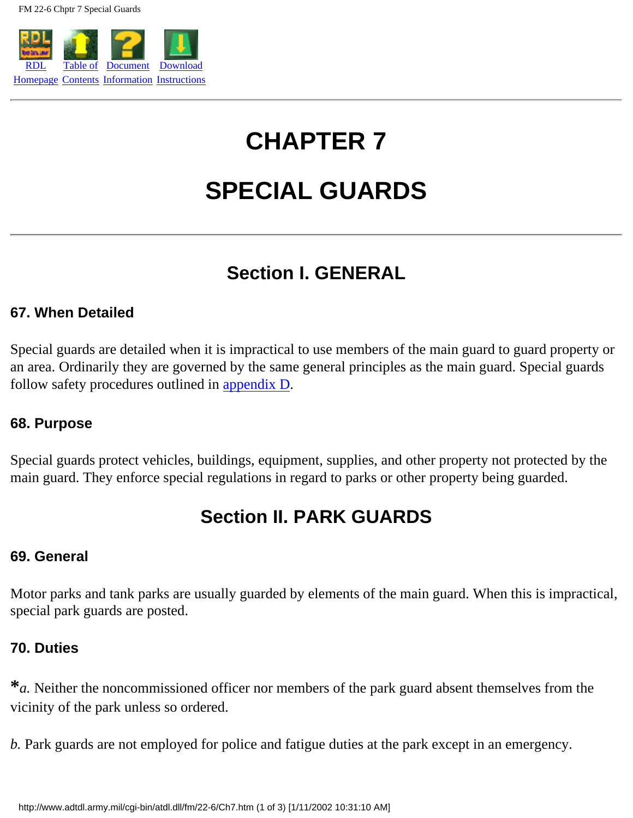

## **CHAPTER 7**

## **SPECIAL GUARDS**

### **Section I. GENERAL**

#### **67. When Detailed**

Special guards are detailed when it is impractical to use members of the main guard to guard property or an area. Ordinarily they are governed by the same general principles as the main guard. Special guards follow safety procedures outlined in [appendix D.](http://www.adtdl.army.mil/cgi-bin/atdl.dll/fm/22-6/APPD.HTM)

#### **68. Purpose**

Special guards protect vehicles, buildings, equipment, supplies, and other property not protected by the main guard. They enforce special regulations in regard to parks or other property being guarded.

### **Section II. PARK GUARDS**

#### **69. General**

Motor parks and tank parks are usually guarded by elements of the main guard. When this is impractical, special park guards are posted.

#### **70. Duties**

**\****a.* Neither the noncommissioned officer nor members of the park guard absent themselves from the vicinity of the park unless so ordered.

*b.* Park guards are not employed for police and fatigue duties at the park except in an emergency.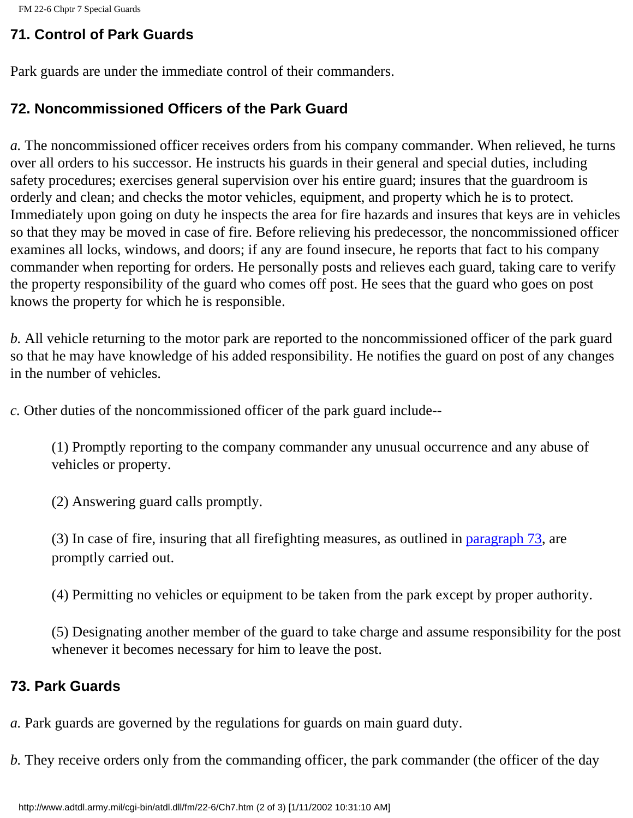#### **71. Control of Park Guards**

Park guards are under the immediate control of their commanders.

#### **72. Noncommissioned Officers of the Park Guard**

*a.* The noncommissioned officer receives orders from his company commander. When relieved, he turns over all orders to his successor. He instructs his guards in their general and special duties, including safety procedures; exercises general supervision over his entire guard; insures that the guardroom is orderly and clean; and checks the motor vehicles, equipment, and property which he is to protect. Immediately upon going on duty he inspects the area for fire hazards and insures that keys are in vehicles so that they may be moved in case of fire. Before relieving his predecessor, the noncommissioned officer examines all locks, windows, and doors; if any are found insecure, he reports that fact to his company commander when reporting for orders. He personally posts and relieves each guard, taking care to verify the property responsibility of the guard who comes off post. He sees that the guard who goes on post knows the property for which he is responsible.

*b.* All vehicle returning to the motor park are reported to the noncommissioned officer of the park guard so that he may have knowledge of his added responsibility. He notifies the guard on post of any changes in the number of vehicles.

*c.* Other duties of the noncommissioned officer of the park guard include--

(1) Promptly reporting to the company commander any unusual occurrence and any abuse of vehicles or property.

(2) Answering guard calls promptly.

(3) In case of fire, insuring that all firefighting measures, as outlined in paragraph 73, are promptly carried out.

(4) Permitting no vehicles or equipment to be taken from the park except by proper authority.

(5) Designating another member of the guard to take charge and assume responsibility for the post whenever it becomes necessary for him to leave the post.

#### **73. Park Guards**

*a.* Park guards are governed by the regulations for guards on main guard duty.

*b.* They receive orders only from the commanding officer, the park commander (the officer of the day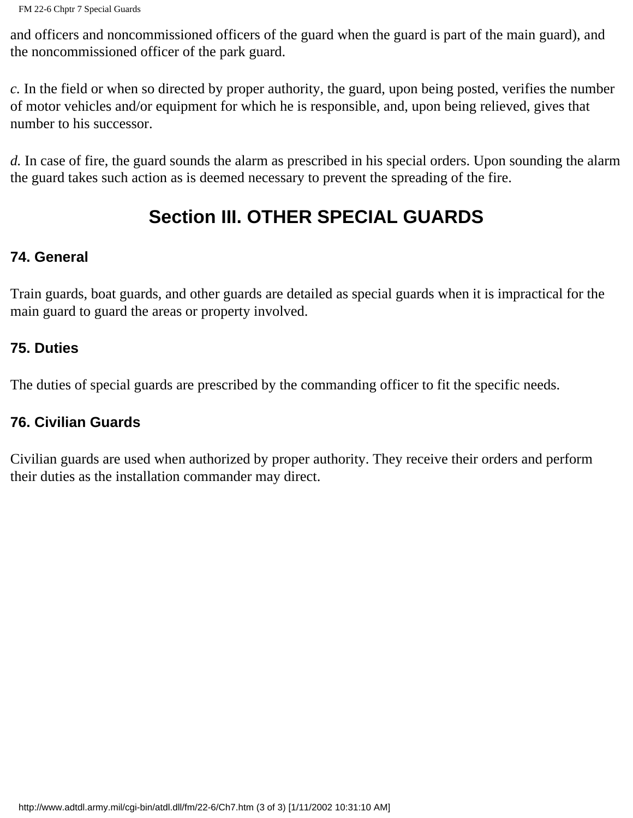and officers and noncommissioned officers of the guard when the guard is part of the main guard), and the noncommissioned officer of the park guard.

*c.* In the field or when so directed by proper authority, the guard, upon being posted, verifies the number of motor vehicles and/or equipment for which he is responsible, and, upon being relieved, gives that number to his successor.

*d.* In case of fire, the guard sounds the alarm as prescribed in his special orders. Upon sounding the alarm the guard takes such action as is deemed necessary to prevent the spreading of the fire.

### **Section III. OTHER SPECIAL GUARDS**

#### **74. General**

Train guards, boat guards, and other guards are detailed as special guards when it is impractical for the main guard to guard the areas or property involved.

#### **75. Duties**

The duties of special guards are prescribed by the commanding officer to fit the specific needs.

#### **76. Civilian Guards**

Civilian guards are used when authorized by proper authority. They receive their orders and perform their duties as the installation commander may direct.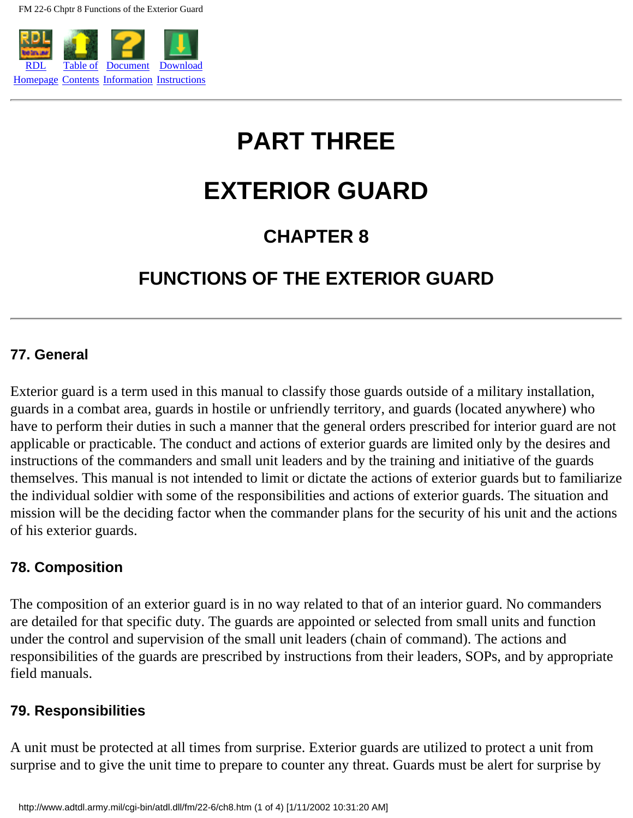

# **PART THREE EXTERIOR GUARD**

### **CHAPTER 8**

### **FUNCTIONS OF THE EXTERIOR GUARD**

#### **77. General**

Exterior guard is a term used in this manual to classify those guards outside of a military installation, guards in a combat area, guards in hostile or unfriendly territory, and guards (located anywhere) who have to perform their duties in such a manner that the general orders prescribed for interior guard are not applicable or practicable. The conduct and actions of exterior guards are limited only by the desires and instructions of the commanders and small unit leaders and by the training and initiative of the guards themselves. This manual is not intended to limit or dictate the actions of exterior guards but to familiarize the individual soldier with some of the responsibilities and actions of exterior guards. The situation and mission will be the deciding factor when the commander plans for the security of his unit and the actions of his exterior guards.

#### **78. Composition**

The composition of an exterior guard is in no way related to that of an interior guard. No commanders are detailed for that specific duty. The guards are appointed or selected from small units and function under the control and supervision of the small unit leaders (chain of command). The actions and responsibilities of the guards are prescribed by instructions from their leaders, SOPs, and by appropriate field manuals.

#### **79. Responsibilities**

A unit must be protected at all times from surprise. Exterior guards are utilized to protect a unit from surprise and to give the unit time to prepare to counter any threat. Guards must be alert for surprise by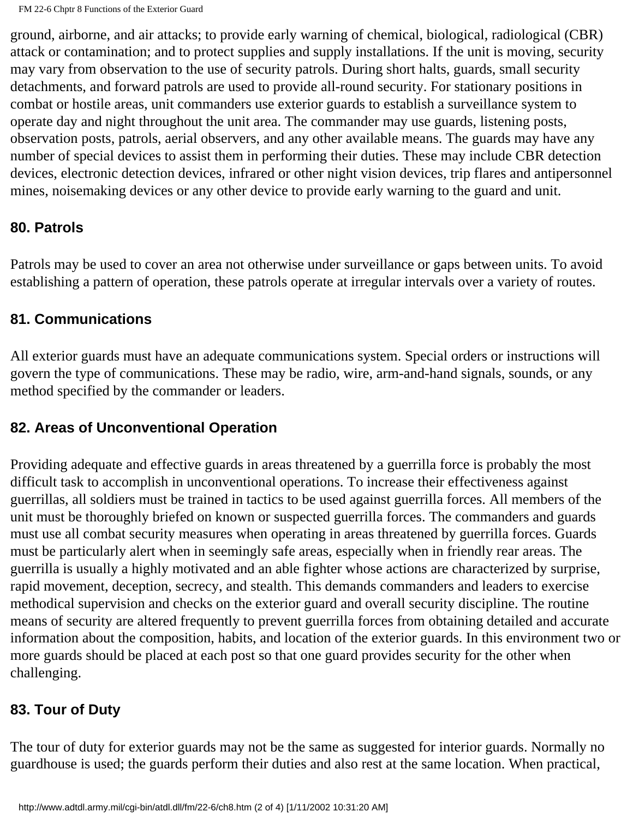ground, airborne, and air attacks; to provide early warning of chemical, biological, radiological (CBR) attack or contamination; and to protect supplies and supply installations. If the unit is moving, security may vary from observation to the use of security patrols. During short halts, guards, small security detachments, and forward patrols are used to provide all-round security. For stationary positions in combat or hostile areas, unit commanders use exterior guards to establish a surveillance system to operate day and night throughout the unit area. The commander may use guards, listening posts, observation posts, patrols, aerial observers, and any other available means. The guards may have any number of special devices to assist them in performing their duties. These may include CBR detection devices, electronic detection devices, infrared or other night vision devices, trip flares and antipersonnel mines, noisemaking devices or any other device to provide early warning to the guard and unit.

#### **80. Patrols**

Patrols may be used to cover an area not otherwise under surveillance or gaps between units. To avoid establishing a pattern of operation, these patrols operate at irregular intervals over a variety of routes.

#### **81. Communications**

All exterior guards must have an adequate communications system. Special orders or instructions will govern the type of communications. These may be radio, wire, arm-and-hand signals, sounds, or any method specified by the commander or leaders.

#### **82. Areas of Unconventional Operation**

Providing adequate and effective guards in areas threatened by a guerrilla force is probably the most difficult task to accomplish in unconventional operations. To increase their effectiveness against guerrillas, all soldiers must be trained in tactics to be used against guerrilla forces. All members of the unit must be thoroughly briefed on known or suspected guerrilla forces. The commanders and guards must use all combat security measures when operating in areas threatened by guerrilla forces. Guards must be particularly alert when in seemingly safe areas, especially when in friendly rear areas. The guerrilla is usually a highly motivated and an able fighter whose actions are characterized by surprise, rapid movement, deception, secrecy, and stealth. This demands commanders and leaders to exercise methodical supervision and checks on the exterior guard and overall security discipline. The routine means of security are altered frequently to prevent guerrilla forces from obtaining detailed and accurate information about the composition, habits, and location of the exterior guards. In this environment two or more guards should be placed at each post so that one guard provides security for the other when challenging.

#### **83. Tour of Duty**

The tour of duty for exterior guards may not be the same as suggested for interior guards. Normally no guardhouse is used; the guards perform their duties and also rest at the same location. When practical,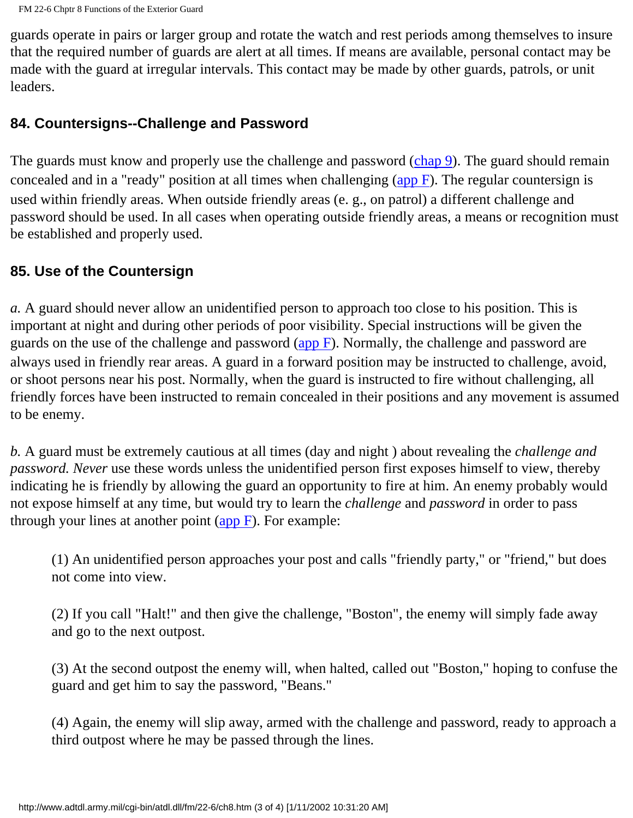guards operate in pairs or larger group and rotate the watch and rest periods among themselves to insure that the required number of guards are alert at all times. If means are available, personal contact may be made with the guard at irregular intervals. This contact may be made by other guards, patrols, or unit leaders.

#### **84. Countersigns--Challenge and Password**

The guards must know and properly use the challenge and password ([chap 9\)](#page-66-0). The guard should remain concealed and in a "ready" position at all times when challenging [\(app F\)](http://www.adtdl.army.mil/cgi-bin/atdl.dll/fm/22-6/APPF.HTM). The regular countersign is used within friendly areas. When outside friendly areas (e. g., on patrol) a different challenge and password should be used. In all cases when operating outside friendly areas, a means or recognition must be established and properly used.

#### **85. Use of the Countersign**

*a.* A guard should never allow an unidentified person to approach too close to his position. This is important at night and during other periods of poor visibility. Special instructions will be given the guards on the use of the challenge and password  $\frac{\text{app } F}{\text{p}}$ . Normally, the challenge and password are always used in friendly rear areas. A guard in a forward position may be instructed to challenge, avoid, or shoot persons near his post. Normally, when the guard is instructed to fire without challenging, all friendly forces have been instructed to remain concealed in their positions and any movement is assumed to be enemy.

*b.* A guard must be extremely cautious at all times (day and night ) about revealing the *challenge and password. Never* use these words unless the unidentified person first exposes himself to view, thereby indicating he is friendly by allowing the guard an opportunity to fire at him. An enemy probably would not expose himself at any time, but would try to learn the *challenge* and *password* in order to pass through your lines at another point  $\frac{\text{(app F)}}{\text{[1]}}$  $\frac{\text{(app F)}}{\text{[1]}}$  $\frac{\text{(app F)}}{\text{[1]}}$ . For example:

(1) An unidentified person approaches your post and calls "friendly party," or "friend," but does not come into view.

(2) If you call "Halt!" and then give the challenge, "Boston", the enemy will simply fade away and go to the next outpost.

(3) At the second outpost the enemy will, when halted, called out "Boston," hoping to confuse the guard and get him to say the password, "Beans."

(4) Again, the enemy will slip away, armed with the challenge and password, ready to approach a third outpost where he may be passed through the lines.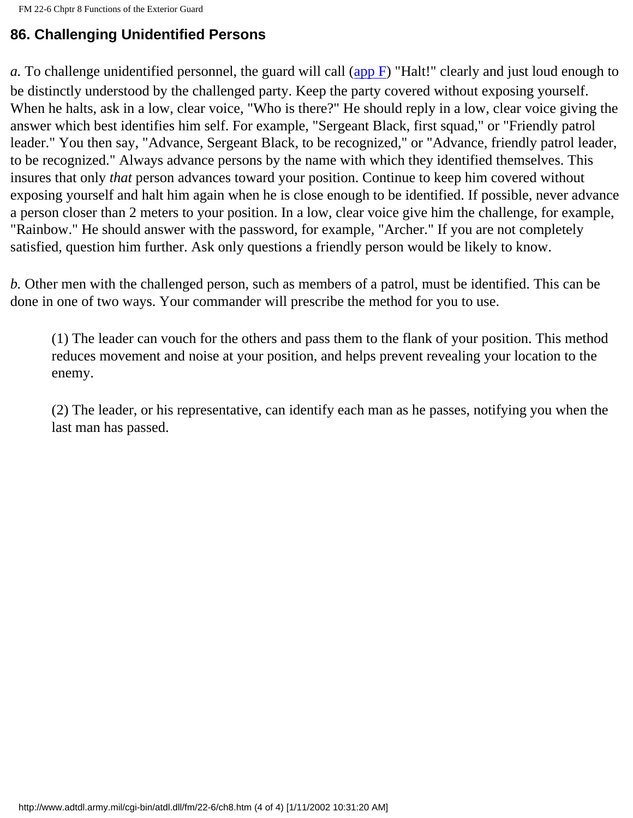#### **86. Challenging Unidentified Persons**

*a.* To challenge unidentified personnel, the guard will call [\(app F\)](http://www.adtdl.army.mil/cgi-bin/atdl.dll/fm/22-6/APPF.HTM) "Halt!" clearly and just loud enough to be distinctly understood by the challenged party. Keep the party covered without exposing yourself. When he halts, ask in a low, clear voice, "Who is there?" He should reply in a low, clear voice giving the answer which best identifies him self. For example, "Sergeant Black, first squad," or "Friendly patrol leader." You then say, "Advance, Sergeant Black, to be recognized," or "Advance, friendly patrol leader, to be recognized." Always advance persons by the name with which they identified themselves. This insures that only *that* person advances toward your position. Continue to keep him covered without exposing yourself and halt him again when he is close enough to be identified. If possible, never advance a person closer than 2 meters to your position. In a low, clear voice give him the challenge, for example, "Rainbow." He should answer with the password, for example, "Archer." If you are not completely satisfied, question him further. Ask only questions a friendly person would be likely to know.

*b.* Other men with the challenged person, such as members of a patrol, must be identified. This can be done in one of two ways. Your commander will prescribe the method for you to use.

(1) The leader can vouch for the others and pass them to the flank of your position. This method reduces movement and noise at your position, and helps prevent revealing your location to the enemy.

(2) The leader, or his representative, can identify each man as he passes, notifying you when the last man has passed.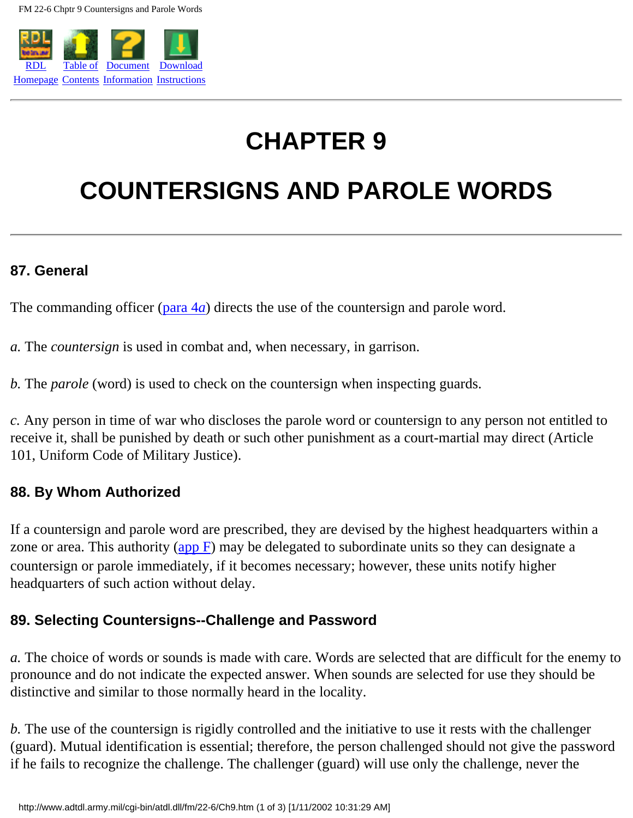<span id="page-66-0"></span>

## **CHAPTER 9**

## **COUNTERSIGNS AND PAROLE WORDS**

#### **87. General**

The commanding officer [\(para 4](http://www.adtdl.army.mil/cgi-bin/atdl.dll/fm/22-6/CH2.HTM#para4a)*a*) directs the use of the countersign and parole word.

*a.* The *countersign* is used in combat and, when necessary, in garrison.

*b.* The *parole* (word) is used to check on the countersign when inspecting guards.

*c.* Any person in time of war who discloses the parole word or countersign to any person not entitled to receive it, shall be punished by death or such other punishment as a court-martial may direct (Article 101, Uniform Code of Military Justice).

#### **88. By Whom Authorized**

If a countersign and parole word are prescribed, they are devised by the highest headquarters within a zone or area. This authority  $\frac{\text{(app F)}}{\text{may}}$  $\frac{\text{(app F)}}{\text{may}}$  $\frac{\text{(app F)}}{\text{may}}$  be delegated to subordinate units so they can designate a countersign or parole immediately, if it becomes necessary; however, these units notify higher headquarters of such action without delay.

#### **89. Selecting Countersigns--Challenge and Password**

*a.* The choice of words or sounds is made with care. Words are selected that are difficult for the enemy to pronounce and do not indicate the expected answer. When sounds are selected for use they should be distinctive and similar to those normally heard in the locality.

*b.* The use of the countersign is rigidly controlled and the initiative to use it rests with the challenger (guard). Mutual identification is essential; therefore, the person challenged should not give the password if he fails to recognize the challenge. The challenger (guard) will use only the challenge, never the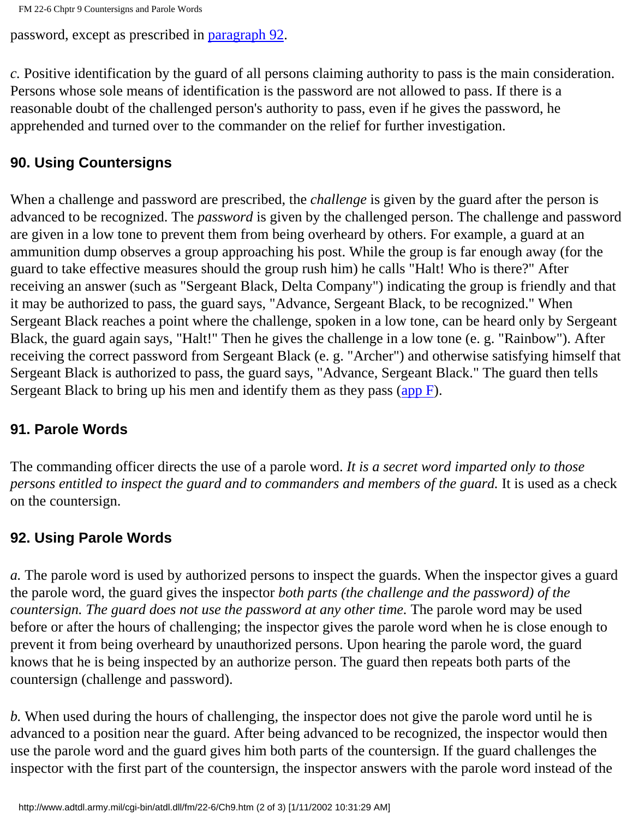password, except as prescribed in paragraph 92.

*c.* Positive identification by the guard of all persons claiming authority to pass is the main consideration. Persons whose sole means of identification is the password are not allowed to pass. If there is a reasonable doubt of the challenged person's authority to pass, even if he gives the password, he apprehended and turned over to the commander on the relief for further investigation.

#### **90. Using Countersigns**

When a challenge and password are prescribed, the *challenge* is given by the guard after the person is advanced to be recognized. The *password* is given by the challenged person. The challenge and password are given in a low tone to prevent them from being overheard by others. For example, a guard at an ammunition dump observes a group approaching his post. While the group is far enough away (for the guard to take effective measures should the group rush him) he calls "Halt! Who is there?" After receiving an answer (such as "Sergeant Black, Delta Company") indicating the group is friendly and that it may be authorized to pass, the guard says, "Advance, Sergeant Black, to be recognized." When Sergeant Black reaches a point where the challenge, spoken in a low tone, can be heard only by Sergeant Black, the guard again says, "Halt!" Then he gives the challenge in a low tone (e. g. "Rainbow"). After receiving the correct password from Sergeant Black (e. g. "Archer") and otherwise satisfying himself that Sergeant Black is authorized to pass, the guard says, "Advance, Sergeant Black." The guard then tells Sergeant Black to bring up his men and identify them as they pass  $\frac{\text{(app F)}}{\text{(op B)}}$  $\frac{\text{(app F)}}{\text{(op B)}}$  $\frac{\text{(app F)}}{\text{(op B)}}$ .

#### **91. Parole Words**

The commanding officer directs the use of a parole word. *It is a secret word imparted only to those persons entitled to inspect the guard and to commanders and members of the guard.* It is used as a check on the countersign.

#### **92. Using Parole Words**

*a.* The parole word is used by authorized persons to inspect the guards. When the inspector gives a guard the parole word, the guard gives the inspector *both parts (the challenge and the password) of the countersign. The guard does not use the password at any other time.* The parole word may be used before or after the hours of challenging; the inspector gives the parole word when he is close enough to prevent it from being overheard by unauthorized persons. Upon hearing the parole word, the guard knows that he is being inspected by an authorize person. The guard then repeats both parts of the countersign (challenge and password).

*b.* When used during the hours of challenging, the inspector does not give the parole word until he is advanced to a position near the guard. After being advanced to be recognized, the inspector would then use the parole word and the guard gives him both parts of the countersign. If the guard challenges the inspector with the first part of the countersign, the inspector answers with the parole word instead of the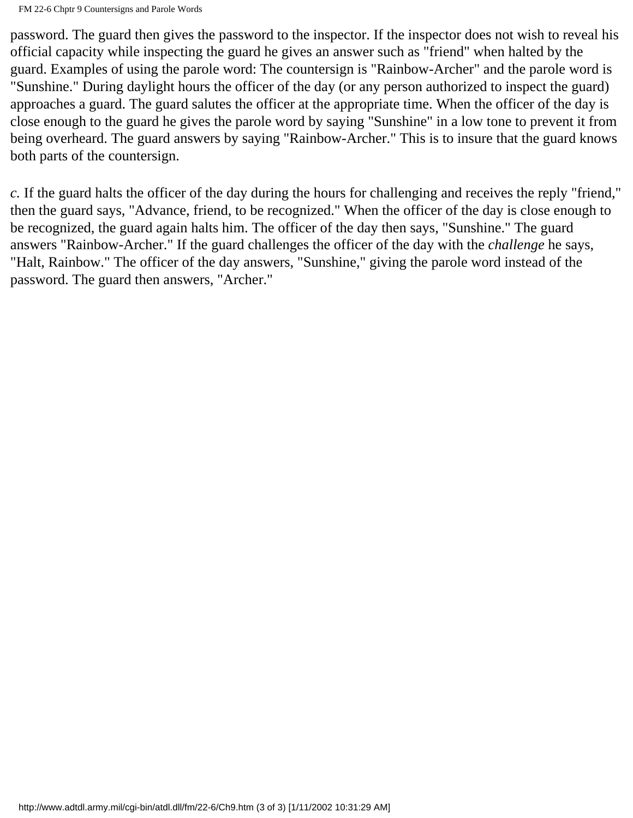password. The guard then gives the password to the inspector. If the inspector does not wish to reveal his official capacity while inspecting the guard he gives an answer such as "friend" when halted by the guard. Examples of using the parole word: The countersign is "Rainbow-Archer" and the parole word is "Sunshine." During daylight hours the officer of the day (or any person authorized to inspect the guard) approaches a guard. The guard salutes the officer at the appropriate time. When the officer of the day is close enough to the guard he gives the parole word by saying "Sunshine" in a low tone to prevent it from being overheard. The guard answers by saying "Rainbow-Archer." This is to insure that the guard knows both parts of the countersign.

*c.* If the guard halts the officer of the day during the hours for challenging and receives the reply "friend," then the guard says, "Advance, friend, to be recognized." When the officer of the day is close enough to be recognized, the guard again halts him. The officer of the day then says, "Sunshine." The guard answers "Rainbow-Archer." If the guard challenges the officer of the day with the *challenge* he says, "Halt, Rainbow." The officer of the day answers, "Sunshine," giving the parole word instead of the password. The guard then answers, "Archer."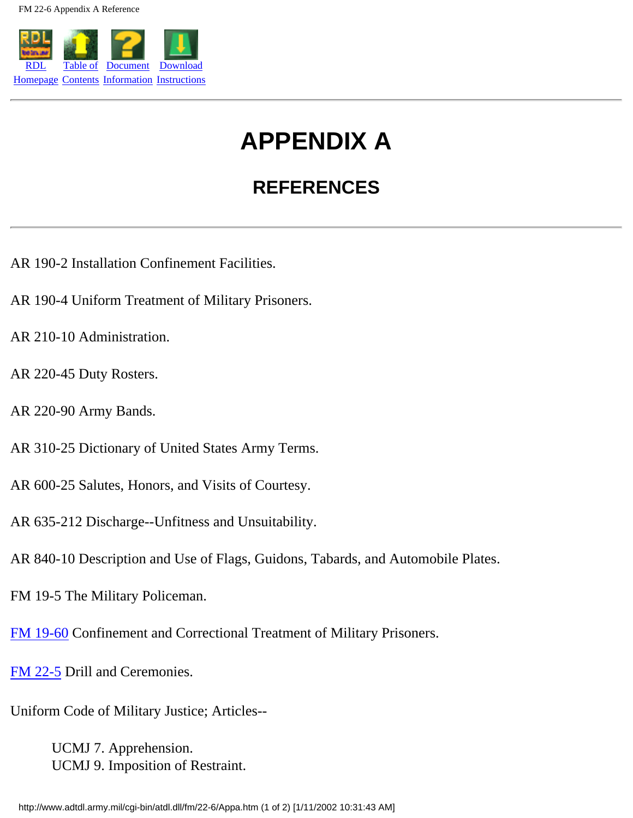

## **APPENDIX A**

### **REFERENCES**

AR 190-2 Installation Confinement Facilities.

AR 190-4 Uniform Treatment of Military Prisoners.

AR 210-10 Administration.

- AR 220-45 Duty Rosters.
- AR 220-90 Army Bands.
- AR 310-25 Dictionary of United States Army Terms.
- AR 600-25 Salutes, Honors, and Visits of Courtesy.
- AR 635-212 Discharge--Unfitness and Unsuitability.
- AR 840-10 Description and Use of Flags, Guidons, Tabards, and Automobile Plates.
- FM 19-5 The Military Policeman.
- <span id="page-69-0"></span>[FM 19-60](http://www.adtdl.army.mil/cgi-bin/atdl.dll/fm/3-19.40/toc.htm) Confinement and Correctional Treatment of Military Prisoners.
- [FM 22-5](http://www.adtdl.army.mil/cgi-bin/atdl.dll/fm/22-5/toc.htm) Drill and Ceremonies.
- Uniform Code of Military Justice; Articles--

UCMJ 7. Apprehension. UCMJ 9. Imposition of Restraint.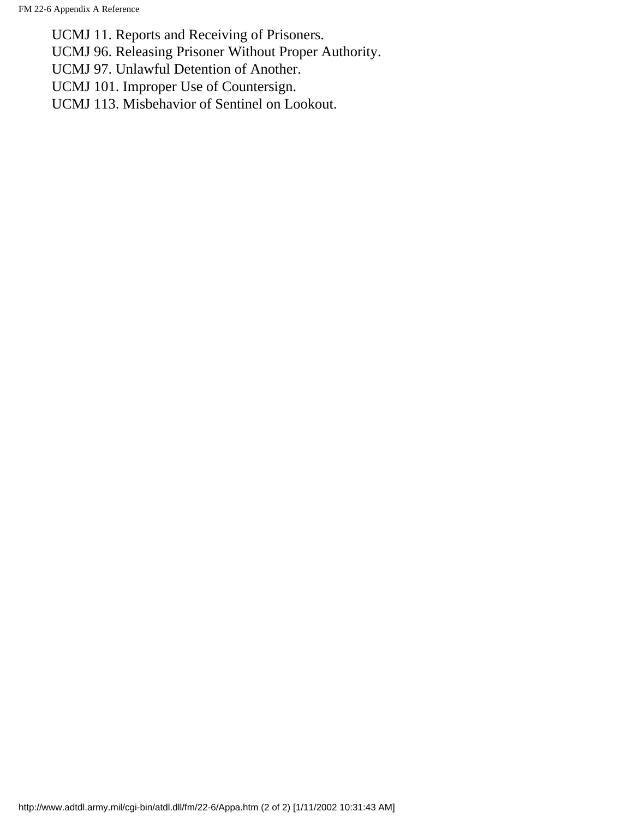UCMJ 11. Reports and Receiving of Prisoners.

UCMJ 96. Releasing Prisoner Without Proper Authority.

UCMJ 97. Unlawful Detention of Another.

UCMJ 101. Improper Use of Countersign.

UCMJ 113. Misbehavior of Sentinel on Lookout.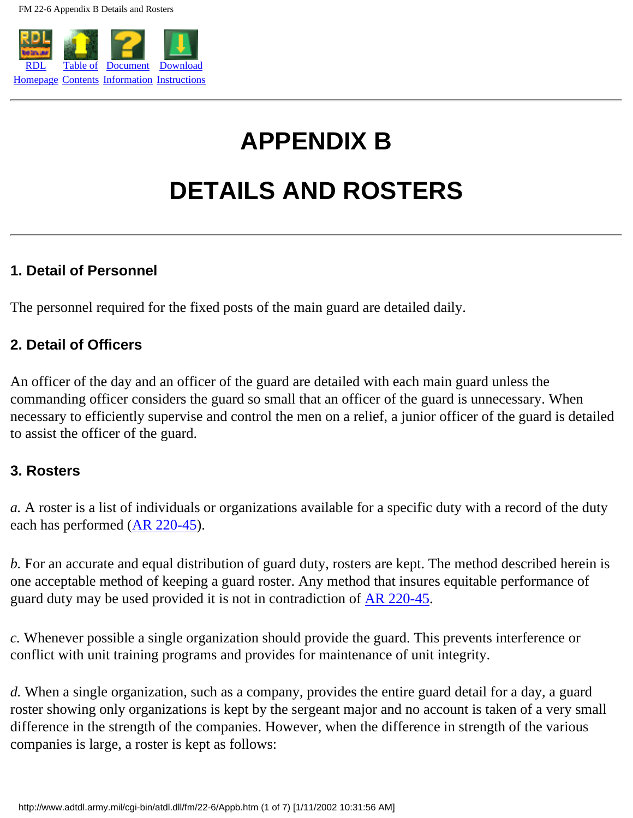

## **APPENDIX B**

## **DETAILS AND ROSTERS**

#### **1. Detail of Personnel**

The personnel required for the fixed posts of the main guard are detailed daily.

#### **2. Detail of Officers**

An officer of the day and an officer of the guard are detailed with each main guard unless the commanding officer considers the guard so small that an officer of the guard is unnecessary. When necessary to efficiently supervise and control the men on a relief, a junior officer of the guard is detailed to assist the officer of the guard.

#### **3. Rosters**

*a.* A roster is a list of individuals or organizations available for a specific duty with a record of the duty each has performed ([AR 220-45](http://www.adtdl.army.mil/cgi-bin/atdl.dll/fm/22-6/APPA.HTM#AR220_45)).

*b.* For an accurate and equal distribution of guard duty, rosters are kept. The method described herein is one acceptable method of keeping a guard roster. Any method that insures equitable performance of guard duty may be used provided it is not in contradiction of [AR 220-45.](http://www.adtdl.army.mil/cgi-bin/atdl.dll/fm/22-6/APPA.HTM#AR220_45)

*c.* Whenever possible a single organization should provide the guard. This prevents interference or conflict with unit training programs and provides for maintenance of unit integrity.

*d.* When a single organization, such as a company, provides the entire guard detail for a day, a guard roster showing only organizations is kept by the sergeant major and no account is taken of a very small difference in the strength of the companies. However, when the difference in strength of the various companies is large, a roster is kept as follows: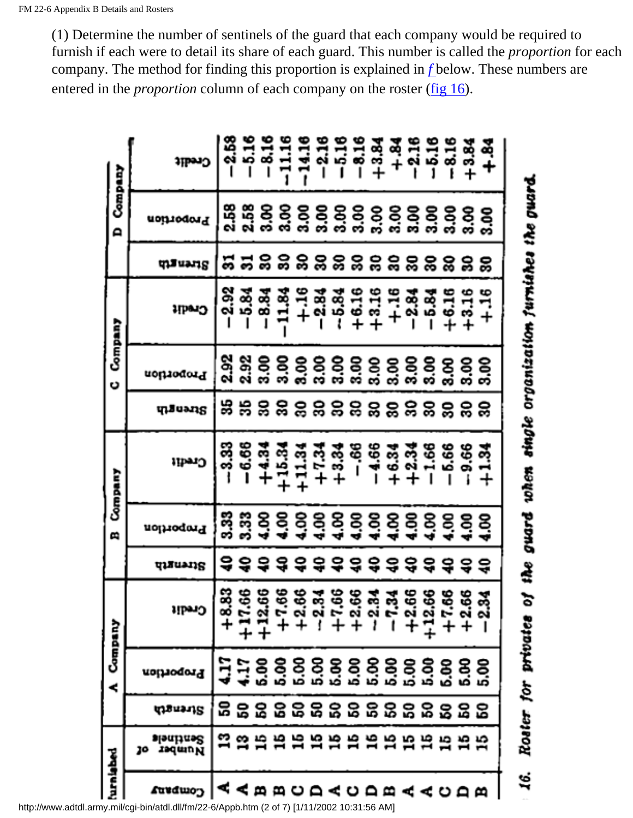<span id="page-72-0"></span>(1) Determine the number of sentinels of the guard that each company would be required to furnish if each were to detail its share of each guard. This number is called the *proportion* for each company. The method for finding this proportion is explained in *[f](#page-73-0)* below. These numbers are entered in the *proportion* column of each company on the roster ([fig 16\)](#page-72-0).

| Company      | ပများ                                | 2.58   | 5.16                             |             | $-8.16$<br>-11.16                  | $-14.16$                  | 2.16     | 5.16    | 8.16          | $+3.84$ | ञ्जू<br>+ | 2.16    | 5.16              | ಹ       | $+3.84$ |         |                                  |
|--------------|--------------------------------------|--------|----------------------------------|-------------|------------------------------------|---------------------------|----------|---------|---------------|---------|-----------|---------|-------------------|---------|---------|---------|----------------------------------|
| A            | Proportion                           | 2.58   | 2.58                             | క్ల         | នី                                 | នី                        | នី       | នី      | $\frac{8}{3}$ | នី      | នី        | នី      | នី                | នី      | ន្លី    | នី      |                                  |
|              | dianis                               | ವ      |                                  |             | ន្លន                               |                           |          |         |               |         |           |         | ននននននននន         |         | ຂ       | ຘ       |                                  |
|              | Credit                               | 2.92   | 5.84                             | 8.84        | ಷ್ಠೆ<br>ี่¤่                       | $\frac{16}{1}$            | 2.84     | $-5.84$ | $+6.16$       | $+3.16$ | $+.16$    | 2.84    | $-5.84$           | $+6.16$ | $+3.16$ | అ       | organization furnishes the guard |
| Company<br>ပ | Proportion                           | 2.92   | 2.92                             | នី          | ន្លី                               | $\frac{8}{3}$             | 3.00     | 8.00    | ន.oo<br>ន.o   |         | 8         | ខ       | 8                 | ೱ       | ŝ.<br>∞ | ຣຸ<br>∞ |                                  |
|              | manne                                | జ      | <b>ដនននននននននននន</b> ន           |             |                                    |                           |          |         |               |         |           |         |                   |         |         |         |                                  |
| Company      | Credit                               | នី     | $-6.66$                          | $+4.34$     | $+15.3$                            | $+11.3$                   | r.<br>74 | $+3.34$ | $-86$         | 4.66    | $+6.34$   | $+2.34$ | 1.66              | 5.66    | 9.66    | శ       | single<br>when                   |
| æ            | Propertion                           | នី     | ៊ី                               | ខ្ញុ        | ៖                                  | ខ្ញុ                      | 4.00     | 4.00    | 89<br>4.00    |         | ४.०       | ខ្ញុ    | ខ្ញុ              | ទី      | ទី      | ຮຸ      | prand                            |
|              | dignrig                              |        | <b>asaasaasaasaas</b>            |             |                                    |                           |          |         |               |         |           |         |                   |         |         |         | î                                |
| Company      | Credit                               | $+8.8$ | *******<br>$+17.6$               | $+12.6$     | Ġ.<br>ب                            | 종종<br>구<br>구 1 구<br>구 1 구 |          |         | $+2.6$        | ್ಷ      | ಣ್ಣ<br>r. | $+2.6$  | -----<br>$+12.66$ | $+7.6$  | 2.6     | 2.3     | ຣ                                |
| ≺            | Proportion                           | Ę      | 3                                | <b>S.00</b> | 8 8 8 8 8 8 8 8<br>8 8 8 8 8 8 8 8 |                           |          |         |               |         |           |         | 5.00              | ន្លី    | ន្លី    | និះ     | Roster for privates              |
|              | diannic                              |        | <b>ដងនិន្ទន្ទន្ទន្ទន្ទន្ទន្ទ</b> |             |                                    |                           |          |         |               |         |           |         |                   |         |         |         |                                  |
|              | Sentinels<br><b>Jo radmu<i>v</i></b> |        | 8 8 8 8 8 8 8 8 8 8 8 8 8 8 8    |             |                                    |                           |          |         |               |         |           |         |                   |         |         |         |                                  |
| hurnished    | <b>Company</b>                       | τ,     |                                  |             | <b>AAOA &lt; OAA &lt; OAA</b>      |                           |          |         |               |         |           |         |                   |         |         |         | 4                                |

http://www.adtdl.army.mil/cgi-bin/atdl.dll/fm/22-6/Appb.htm (2 of 7) [1/11/2002 10:31:56 AM]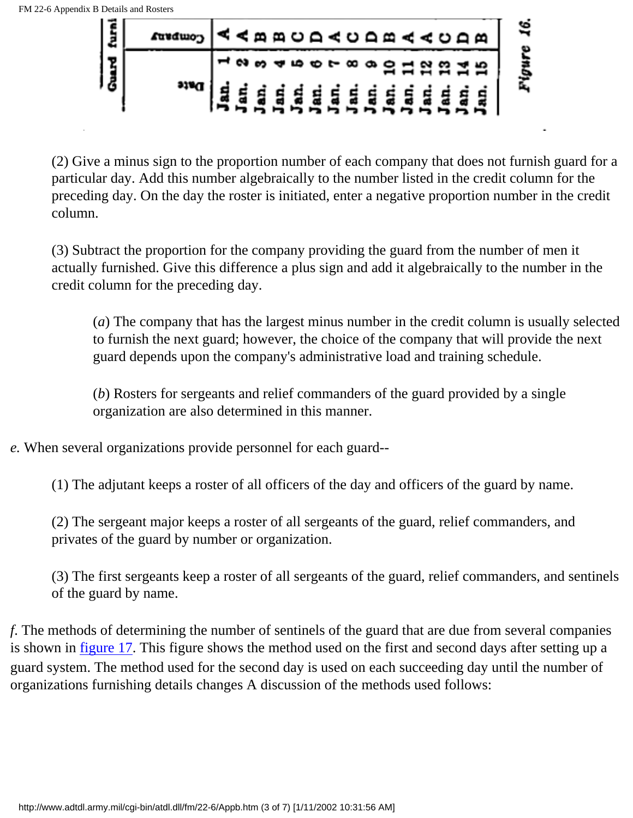|  |  |                    |  |  |  |         |  |  | <b>ARAUDACODA 440DR</b> | ∾ |
|--|--|--------------------|--|--|--|---------|--|--|-------------------------|---|
|  |  | ្រាលឯកឧកឧទ្ឋ ដី ដី |  |  |  |         |  |  |                         |   |
|  |  |                    |  |  |  | E 2 2 2 |  |  |                         |   |

(2) Give a minus sign to the proportion number of each company that does not furnish guard for a particular day. Add this number algebraically to the number listed in the credit column for the preceding day. On the day the roster is initiated, enter a negative proportion number in the credit column.

(3) Subtract the proportion for the company providing the guard from the number of men it actually furnished. Give this difference a plus sign and add it algebraically to the number in the credit column for the preceding day.

(*a*) The company that has the largest minus number in the credit column is usually selected to furnish the next guard; however, the choice of the company that will provide the next guard depends upon the company's administrative load and training schedule.

(*b*) Rosters for sergeants and relief commanders of the guard provided by a single organization are also determined in this manner.

*e.* When several organizations provide personnel for each guard--

(1) The adjutant keeps a roster of all officers of the day and officers of the guard by name.

(2) The sergeant major keeps a roster of all sergeants of the guard, relief commanders, and privates of the guard by number or organization.

(3) The first sergeants keep a roster of all sergeants of the guard, relief commanders, and sentinels of the guard by name.

<span id="page-73-0"></span>*f*. The methods of determining the number of sentinels of the guard that are due from several companies is shown in [figure 17](#page-74-0). This figure shows the method used on the first and second days after setting up a guard system. The method used for the second day is used on each succeeding day until the number of organizations furnishing details changes A discussion of the methods used follows: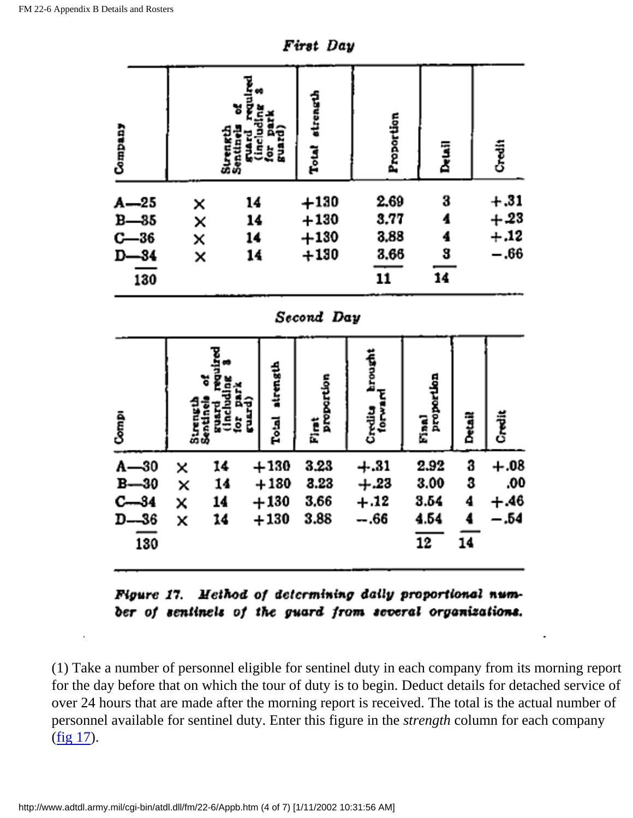| First Day |  |
|-----------|--|
|-----------|--|

| Company                                     | 6<br>Strength<br>Sentinels                                            | yulred<br>18<br>guard<br>(includi<br>for par<br>និង<br>សំរាវៀ | Total streagth                       | Proportion                           | Detail                             |                        | Credit                              |
|---------------------------------------------|-----------------------------------------------------------------------|---------------------------------------------------------------|--------------------------------------|--------------------------------------|------------------------------------|------------------------|-------------------------------------|
| A-25<br>$B - 35$<br>$C - 36$<br>D-34<br>130 | ×<br>×<br>×<br>×                                                      | 14<br>14<br>14<br>14                                          | $+130$<br>$+130$<br>$+130$<br>$+130$ | 2.69<br>3.77<br>3,88<br>3.66<br>11   | 3<br>4<br>4<br>3<br>14             |                        | $+.31$<br>$+23$<br>$+.12$<br>$-.66$ |
|                                             |                                                                       |                                                               | Second Day                           |                                      |                                    |                        |                                     |
| Compi                                       | ៵<br>ă<br>Ē<br>d<br>E<br>C<br>Strength<br>Sentinels<br>ruard<br>ខ្ញុំ | Total strength<br>ruard)                                      | First<br>proportion                  | Credits brought                      | proportion<br>Final                | i<br>N                 | Credit                              |
| $A - 30$<br>$B-30$<br>C-84<br>D-36<br>130   | 14<br>×<br>14<br>×<br>14<br>X<br>14<br>X                              | $+130$<br>$+180$<br>$+130$<br>$+130$                          | 3.23<br>3.23<br>3,66<br>3.88         | $+.31$<br>$+.23$<br>$+.12$<br>-- .66 | 2.92<br>3.00<br>3.54<br>4.54<br>12 | 3<br>3<br>4<br>4<br>14 | $+.08$<br>.00<br>$+.46$<br>- 54     |

Figure 17. Method of determining daily proportional number of sentinels of the guard from several organizations.

<span id="page-74-0"></span>(1) Take a number of personnel eligible for sentinel duty in each company from its morning report for the day before that on which the tour of duty is to begin. Deduct details for detached service of over 24 hours that are made after the morning report is received. The total is the actual number of personnel available for sentinel duty. Enter this figure in the *strength* column for each company ([fig 17\)](#page-74-0).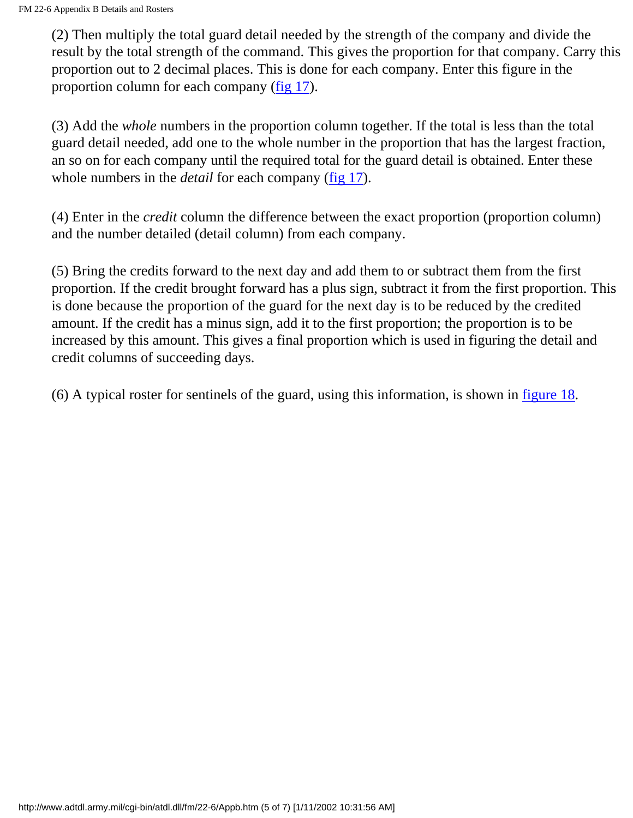(2) Then multiply the total guard detail needed by the strength of the company and divide the result by the total strength of the command. This gives the proportion for that company. Carry this proportion out to 2 decimal places. This is done for each company. Enter this figure in the proportion column for each company ([fig 17\)](#page-74-0).

(3) Add the *whole* numbers in the proportion column together. If the total is less than the total guard detail needed, add one to the whole number in the proportion that has the largest fraction, an so on for each company until the required total for the guard detail is obtained. Enter these whole numbers in the *detail* for each company [\(fig 17](#page-74-0)).

(4) Enter in the *credit* column the difference between the exact proportion (proportion column) and the number detailed (detail column) from each company.

(5) Bring the credits forward to the next day and add them to or subtract them from the first proportion. If the credit brought forward has a plus sign, subtract it from the first proportion. This is done because the proportion of the guard for the next day is to be reduced by the credited amount. If the credit has a minus sign, add it to the first proportion; the proportion is to be increased by this amount. This gives a final proportion which is used in figuring the detail and credit columns of succeeding days.

<span id="page-75-0"></span>(6) A typical roster for sentinels of the guard, using this information, is shown in [figure 18](#page-75-0).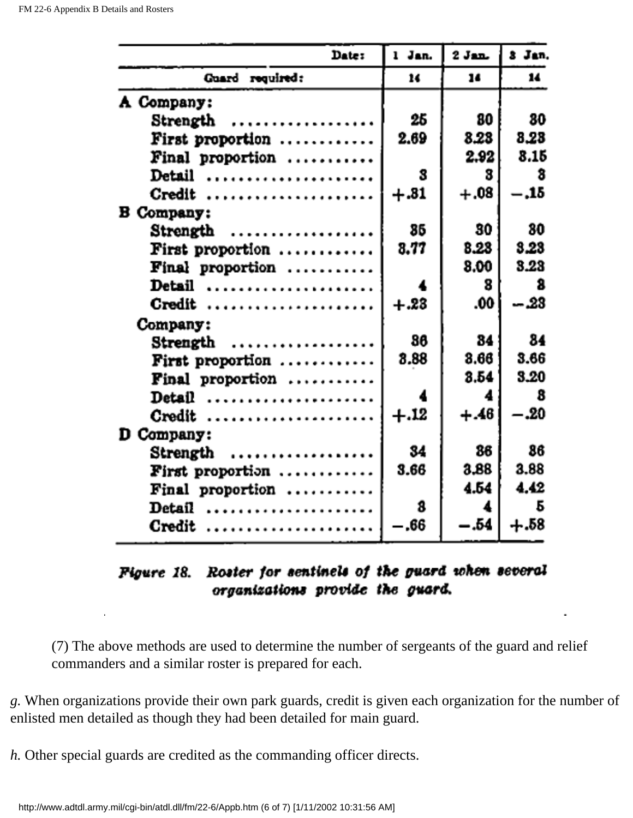| Date:                                              | l Jan. | $2$ Jan.  | 3 Jan. |
|----------------------------------------------------|--------|-----------|--------|
| Guard required:                                    | 14     | 14        | 14     |
| A Company:                                         |        |           |        |
| <br>Strength                                       | 25     | 80        | 80     |
| First proportion $\ldots \ldots \ldots$            | 2.69   | 8.28      | 3.23   |
| Final proportion                                   |        | 2.92      | 8.15   |
| Detail                                             | 3      | 8         | 8      |
| $Credit \dots \dots \dots \dots \dots \dots \dots$ | $+.81$ | $^{+.08}$ | - .15  |
| <b>B</b> Company:                                  |        |           |        |
| Strength                                           | 85     | 30        | 80     |
| First proportion $\ldots \ldots \ldots$            | 3.77   | 8.28      | 3.23   |
| Final proportion $\ldots \ldots \ldots$            |        | 8.00      | 3.23   |
| Detail                                             |        | 8         | 8      |
|                                                    | $+.23$ | .00       | - 23   |
| Company:                                           |        |           |        |
| Strength                                           | 86     | 84        | 84     |
| First proportion                                   | 3.88   | 3.66      | 3.66   |
| Final proportion                                   |        | 3.54      | 3.20   |
| $\textbf{Details}$                                 | 4      | 4         | 8      |
| $Credit$                                           | $+.12$ | $+.46$    | $-.20$ |
| D Company:                                         |        |           |        |
| Strength                                           | 34     | 86        | 86     |
| First proportion $\ldots \ldots \ldots$            | 3.66   | 3.88      | 3.88   |
| Final proportion                                   |        | 4.54      | 4.42   |
| $\textbf{Delta1}$                                  | 8      |           | Б      |
| $Cred$ it                                          | -.66   | - 54      | $+.58$ |

#### Figure 18. Roster for sentinels of the guard when several organizations provide the guard.

(7) The above methods are used to determine the number of sergeants of the guard and relief commanders and a similar roster is prepared for each.

*g.* When organizations provide their own park guards, credit is given each organization for the number of enlisted men detailed as though they had been detailed for main guard.

*h.* Other special guards are credited as the commanding officer directs.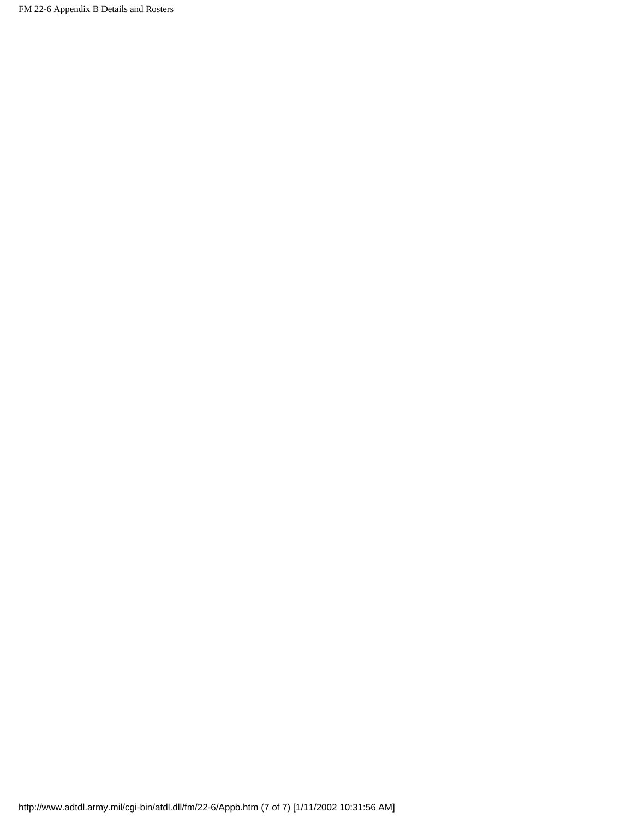FM 22-6 Appendix B Details and Rosters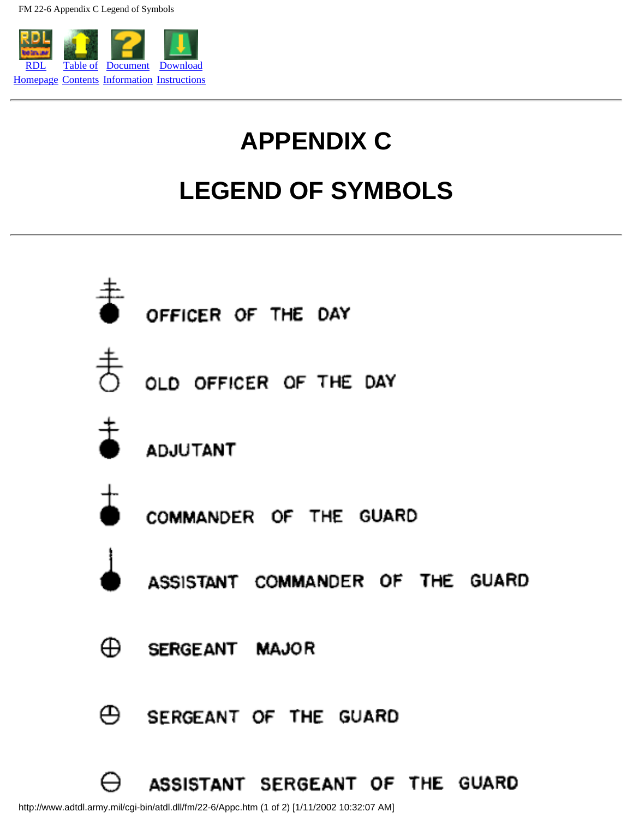

# **APPENDIX C**

## **LEGEND OF SYMBOLS**



http://www.adtdl.army.mil/cgi-bin/atdl.dll/fm/22-6/Appc.htm (1 of 2) [1/11/2002 10:32:07 AM]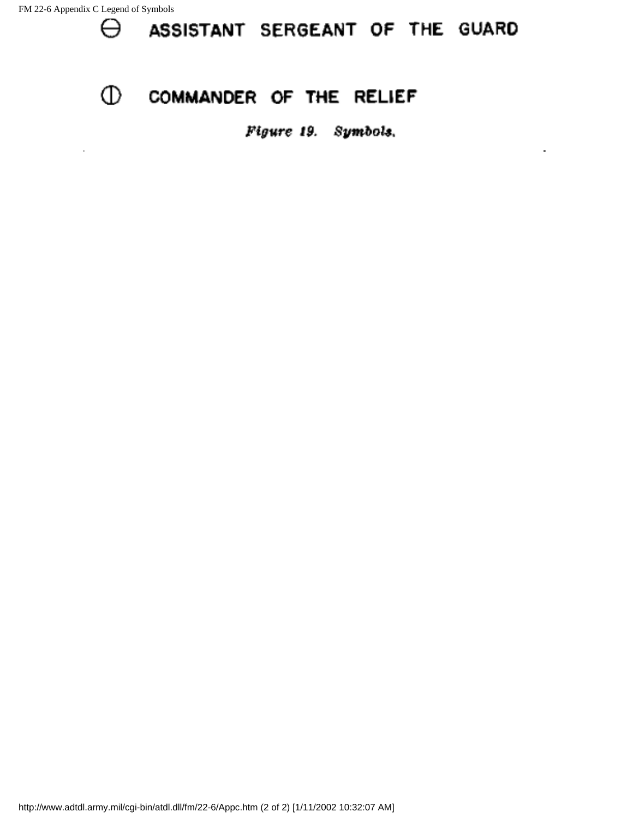$\epsilon$ 

Θ

ASSISTANT SERGEANT OF THE GUARD



## COMMANDER OF THE RELIEF

Figure 19. Symbols.

 $\blacksquare$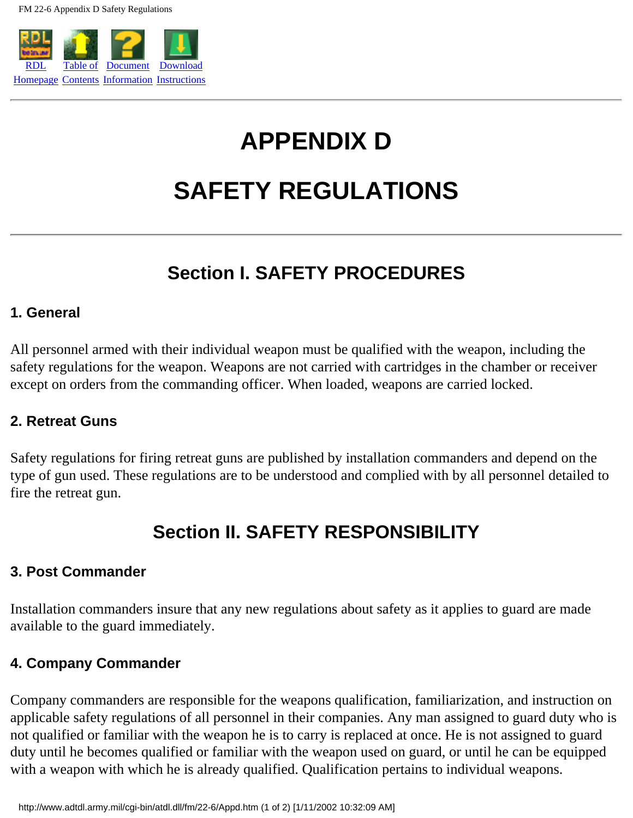

# **APPENDIX D**

## **SAFETY REGULATIONS**

## **Section I. SAFETY PROCEDURES**

#### **1. General**

All personnel armed with their individual weapon must be qualified with the weapon, including the safety regulations for the weapon. Weapons are not carried with cartridges in the chamber or receiver except on orders from the commanding officer. When loaded, weapons are carried locked.

#### **2. Retreat Guns**

Safety regulations for firing retreat guns are published by installation commanders and depend on the type of gun used. These regulations are to be understood and complied with by all personnel detailed to fire the retreat gun.

## **Section II. SAFETY RESPONSIBILITY**

#### **3. Post Commander**

Installation commanders insure that any new regulations about safety as it applies to guard are made available to the guard immediately.

#### **4. Company Commander**

Company commanders are responsible for the weapons qualification, familiarization, and instruction on applicable safety regulations of all personnel in their companies. Any man assigned to guard duty who is not qualified or familiar with the weapon he is to carry is replaced at once. He is not assigned to guard duty until he becomes qualified or familiar with the weapon used on guard, or until he can be equipped with a weapon with which he is already qualified. Qualification pertains to individual weapons.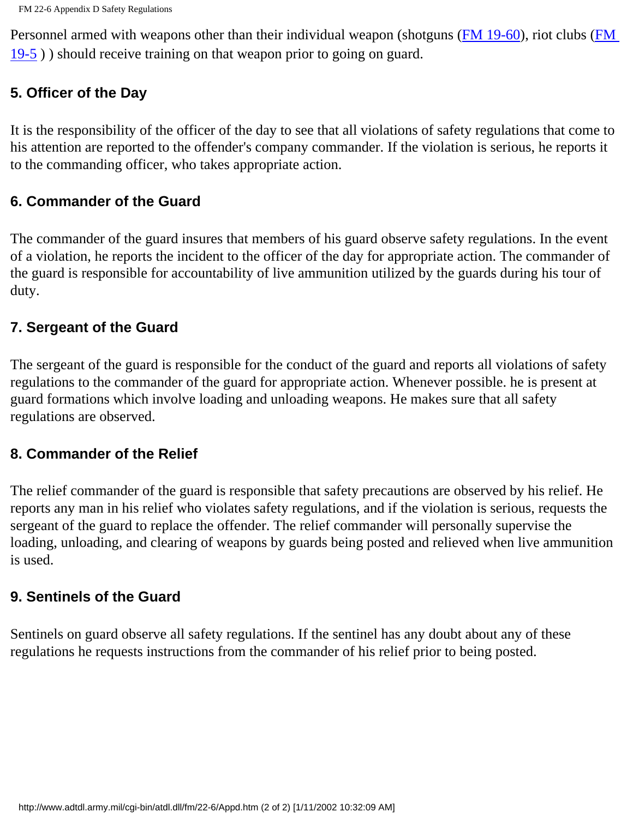Personnel armed with weapons other than their individual weapon (shotguns [\(FM 19-60](http://www.adtdl.army.mil/cgi-bin/atdl.dll/fm/22-6/APPA.HTM#FM19_60)), riot clubs ([FM](http://www.adtdl.army.mil/cgi-bin/atdl.dll/fm/22-6/APPA.HTM#FM19_5)  [19-5](http://www.adtdl.army.mil/cgi-bin/atdl.dll/fm/22-6/APPA.HTM#FM19_5) ) ) should receive training on that weapon prior to going on guard.

## **5. Officer of the Day**

It is the responsibility of the officer of the day to see that all violations of safety regulations that come to his attention are reported to the offender's company commander. If the violation is serious, he reports it to the commanding officer, who takes appropriate action.

#### **6. Commander of the Guard**

The commander of the guard insures that members of his guard observe safety regulations. In the event of a violation, he reports the incident to the officer of the day for appropriate action. The commander of the guard is responsible for accountability of live ammunition utilized by the guards during his tour of duty.

#### **7. Sergeant of the Guard**

The sergeant of the guard is responsible for the conduct of the guard and reports all violations of safety regulations to the commander of the guard for appropriate action. Whenever possible. he is present at guard formations which involve loading and unloading weapons. He makes sure that all safety regulations are observed.

#### **8. Commander of the Relief**

The relief commander of the guard is responsible that safety precautions are observed by his relief. He reports any man in his relief who violates safety regulations, and if the violation is serious, requests the sergeant of the guard to replace the offender. The relief commander will personally supervise the loading, unloading, and clearing of weapons by guards being posted and relieved when live ammunition is used.

#### **9. Sentinels of the Guard**

Sentinels on guard observe all safety regulations. If the sentinel has any doubt about any of these regulations he requests instructions from the commander of his relief prior to being posted.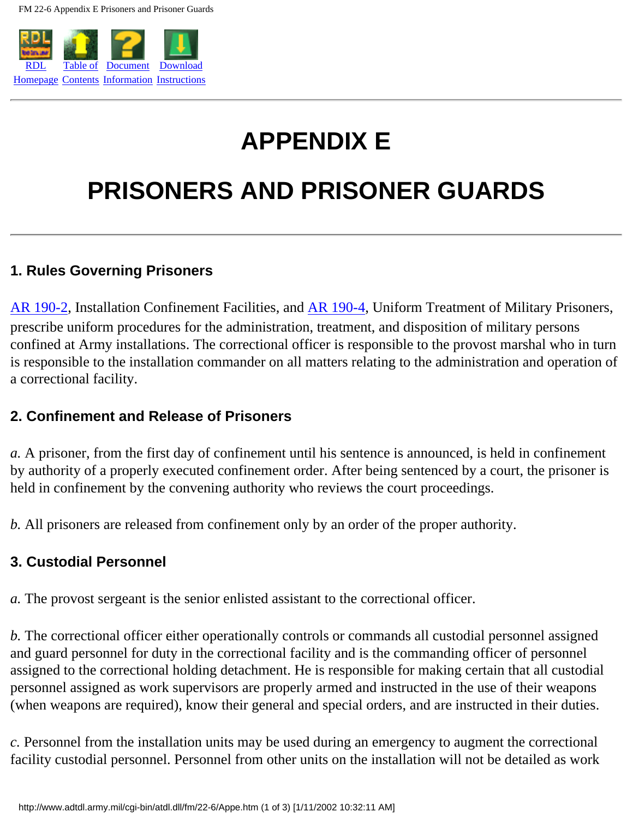

# **APPENDIX E**

# **PRISONERS AND PRISONER GUARDS**

## **1. Rules Governing Prisoners**

[AR 190-2,](http://www.adtdl.army.mil/cgi-bin/atdl.dll/fm/22-6/APPA.HTM#ar190_2) Installation Confinement Facilities, and [AR 190-4](http://www.adtdl.army.mil/cgi-bin/atdl.dll/fm/22-6/APPA.HTM#AR190_4), Uniform Treatment of Military Prisoners, prescribe uniform procedures for the administration, treatment, and disposition of military persons confined at Army installations. The correctional officer is responsible to the provost marshal who in turn is responsible to the installation commander on all matters relating to the administration and operation of a correctional facility.

### **2. Confinement and Release of Prisoners**

*a.* A prisoner, from the first day of confinement until his sentence is announced, is held in confinement by authority of a properly executed confinement order. After being sentenced by a court, the prisoner is held in confinement by the convening authority who reviews the court proceedings.

*b.* All prisoners are released from confinement only by an order of the proper authority.

## **3. Custodial Personnel**

*a.* The provost sergeant is the senior enlisted assistant to the correctional officer.

*b.* The correctional officer either operationally controls or commands all custodial personnel assigned and guard personnel for duty in the correctional facility and is the commanding officer of personnel assigned to the correctional holding detachment. He is responsible for making certain that all custodial personnel assigned as work supervisors are properly armed and instructed in the use of their weapons (when weapons are required), know their general and special orders, and are instructed in their duties.

*c.* Personnel from the installation units may be used during an emergency to augment the correctional facility custodial personnel. Personnel from other units on the installation will not be detailed as work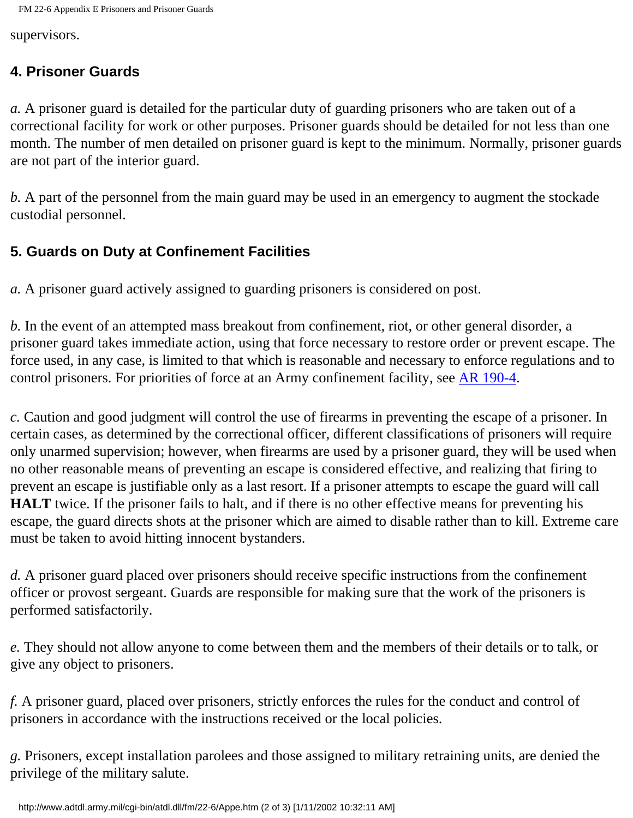FM 22-6 Appendix E Prisoners and Prisoner Guards

supervisors.

### **4. Prisoner Guards**

*a.* A prisoner guard is detailed for the particular duty of guarding prisoners who are taken out of a correctional facility for work or other purposes. Prisoner guards should be detailed for not less than one month. The number of men detailed on prisoner guard is kept to the minimum. Normally, prisoner guards are not part of the interior guard.

*b.* A part of the personnel from the main guard may be used in an emergency to augment the stockade custodial personnel.

## **5. Guards on Duty at Confinement Facilities**

*a.* A prisoner guard actively assigned to guarding prisoners is considered on post.

*b.* In the event of an attempted mass breakout from confinement, riot, or other general disorder, a prisoner guard takes immediate action, using that force necessary to restore order or prevent escape. The force used, in any case, is limited to that which is reasonable and necessary to enforce regulations and to control prisoners. For priorities of force at an Army confinement facility, see [AR 190-4.](http://www.adtdl.army.mil/cgi-bin/atdl.dll/fm/22-6/APPA.HTM#AR190_4)

*c.* Caution and good judgment will control the use of firearms in preventing the escape of a prisoner. In certain cases, as determined by the correctional officer, different classifications of prisoners will require only unarmed supervision; however, when firearms are used by a prisoner guard, they will be used when no other reasonable means of preventing an escape is considered effective, and realizing that firing to prevent an escape is justifiable only as a last resort. If a prisoner attempts to escape the guard will call **HALT** twice. If the prisoner fails to halt, and if there is no other effective means for preventing his escape, the guard directs shots at the prisoner which are aimed to disable rather than to kill. Extreme care must be taken to avoid hitting innocent bystanders.

*d.* A prisoner guard placed over prisoners should receive specific instructions from the confinement officer or provost sergeant. Guards are responsible for making sure that the work of the prisoners is performed satisfactorily.

*e.* They should not allow anyone to come between them and the members of their details or to talk, or give any object to prisoners.

*f.* A prisoner guard, placed over prisoners, strictly enforces the rules for the conduct and control of prisoners in accordance with the instructions received or the local policies.

*g.* Prisoners, except installation parolees and those assigned to military retraining units, are denied the privilege of the military salute.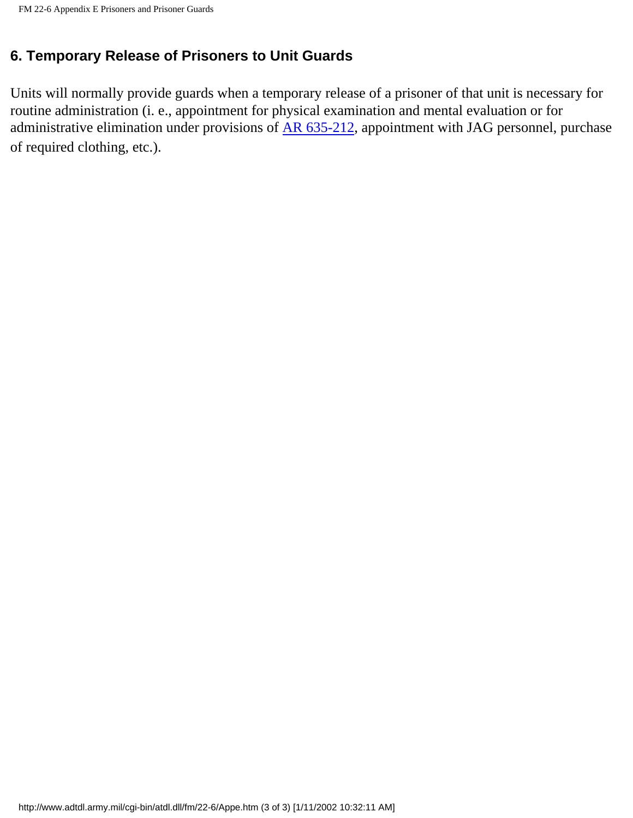## **6. Temporary Release of Prisoners to Unit Guards**

Units will normally provide guards when a temporary release of a prisoner of that unit is necessary for routine administration (i. e., appointment for physical examination and mental evaluation or for administrative elimination under provisions of [AR 635-212,](http://www.adtdl.army.mil/cgi-bin/atdl.dll/fm/22-6/APPA.HTM#AR635_212) appointment with JAG personnel, purchase of required clothing, etc.).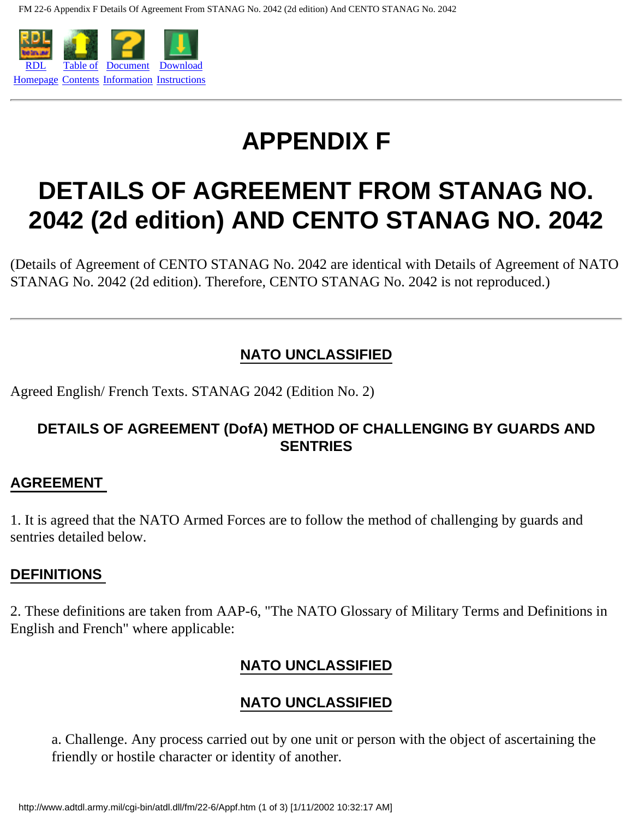FM 22-6 Appendix F Details Of Agreement From STANAG No. 2042 (2d edition) And CENTO STANAG No. 2042



## **APPENDIX F**

# **DETAILS OF AGREEMENT FROM STANAG NO. 2042 (2d edition) AND CENTO STANAG NO. 2042**

(Details of Agreement of CENTO STANAG No. 2042 are identical with Details of Agreement of NATO STANAG No. 2042 (2d edition). Therefore, CENTO STANAG No. 2042 is not reproduced.)

## **NATO UNCLASSIFIED**

Agreed English/ French Texts. STANAG 2042 (Edition No. 2)

## **DETAILS OF AGREEMENT (DofA) METHOD OF CHALLENGING BY GUARDS AND SENTRIES**

## **AGREEMENT**

1. It is agreed that the NATO Armed Forces are to follow the method of challenging by guards and sentries detailed below.

#### **DEFINITIONS**

2. These definitions are taken from AAP-6, "The NATO Glossary of Military Terms and Definitions in English and French" where applicable:

## **NATO UNCLASSIFIED**

## **NATO UNCLASSIFIED**

a. Challenge. Any process carried out by one unit or person with the object of ascertaining the friendly or hostile character or identity of another.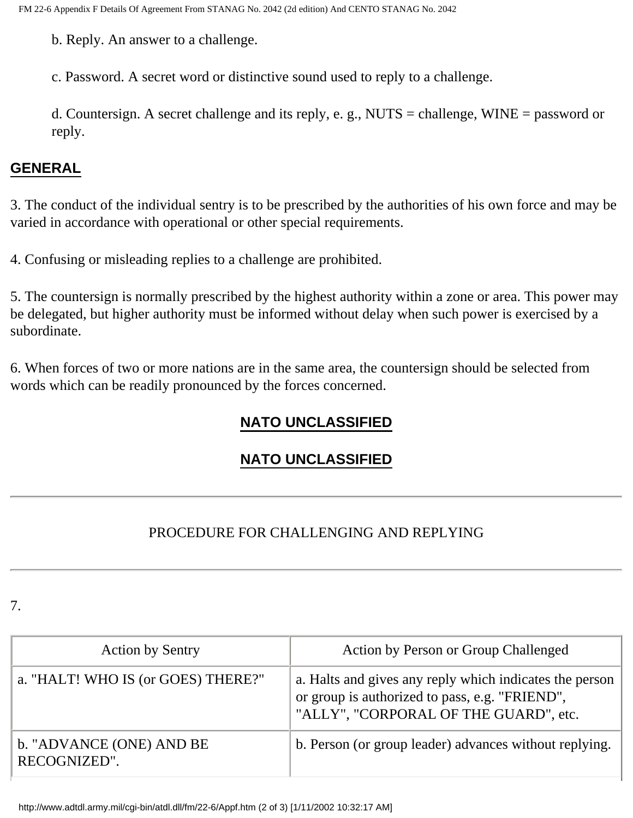b. Reply. An answer to a challenge.

c. Password. A secret word or distinctive sound used to reply to a challenge.

d. Countersign. A secret challenge and its reply, e. g., NUTS = challenge, WINE = password or reply.

#### **GENERAL**

3. The conduct of the individual sentry is to be prescribed by the authorities of his own force and may be varied in accordance with operational or other special requirements.

4. Confusing or misleading replies to a challenge are prohibited.

5. The countersign is normally prescribed by the highest authority within a zone or area. This power may be delegated, but higher authority must be informed without delay when such power is exercised by a subordinate.

6. When forces of two or more nations are in the same area, the countersign should be selected from words which can be readily pronounced by the forces concerned.

## **NATO UNCLASSIFIED**

## **NATO UNCLASSIFIED**

## PROCEDURE FOR CHALLENGING AND REPLYING

7.

| <b>Action by Sentry</b>                  | Action by Person or Group Challenged                                                                                                               |
|------------------------------------------|----------------------------------------------------------------------------------------------------------------------------------------------------|
| a. "HALT! WHO IS (or GOES) THERE?"       | a. Halts and gives any reply which indicates the person<br>or group is authorized to pass, e.g. "FRIEND",<br>"ALLY", "CORPORAL OF THE GUARD", etc. |
| b. "ADVANCE (ONE) AND BE<br>RECOGNIZED". | b. Person (or group leader) advances without replying.                                                                                             |

http://www.adtdl.army.mil/cgi-bin/atdl.dll/fm/22-6/Appf.htm (2 of 3) [1/11/2002 10:32:17 AM]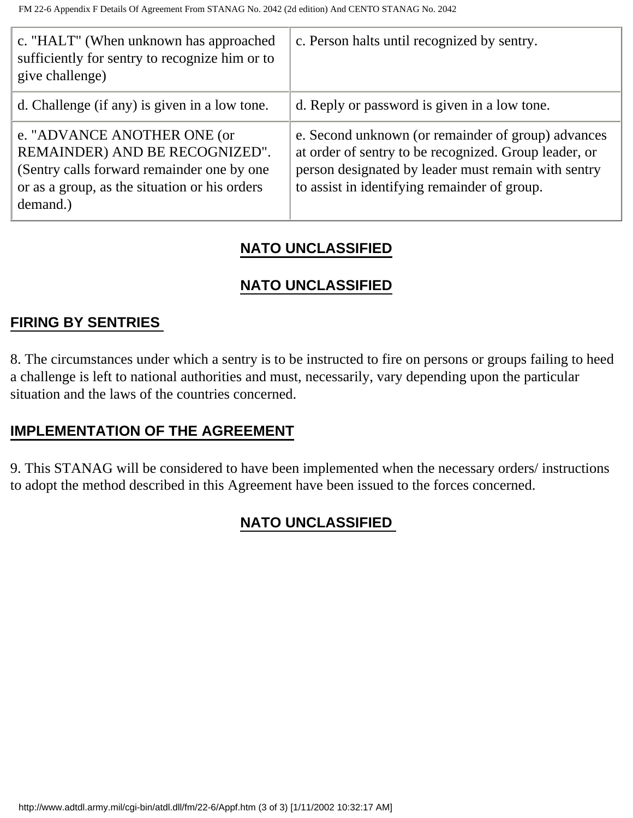FM 22-6 Appendix F Details Of Agreement From STANAG No. 2042 (2d edition) And CENTO STANAG No. 2042

| c. "HALT" (When unknown has approached<br>sufficiently for sentry to recognize him or to<br>give challenge)                                                              | c. Person halts until recognized by sentry.                                                                                                                                                                        |
|--------------------------------------------------------------------------------------------------------------------------------------------------------------------------|--------------------------------------------------------------------------------------------------------------------------------------------------------------------------------------------------------------------|
| d. Challenge (if any) is given in a low tone.                                                                                                                            | d. Reply or password is given in a low tone.                                                                                                                                                                       |
| e. "ADVANCE ANOTHER ONE (or<br>REMAINDER) AND BE RECOGNIZED".<br>(Sentry calls forward remainder one by one<br>or as a group, as the situation or his orders<br>demand.) | e. Second unknown (or remainder of group) advances<br>at order of sentry to be recognized. Group leader, or<br>person designated by leader must remain with sentry<br>to assist in identifying remainder of group. |

## **NATO UNCLASSIFIED**

## **NATO UNCLASSIFIED**

## **FIRING BY SENTRIES**

8. The circumstances under which a sentry is to be instructed to fire on persons or groups failing to heed a challenge is left to national authorities and must, necessarily, vary depending upon the particular situation and the laws of the countries concerned.

## **IMPLEMENTATION OF THE AGREEMENT**

9. This STANAG will be considered to have been implemented when the necessary orders/ instructions to adopt the method described in this Agreement have been issued to the forces concerned.

## **NATO UNCLASSIFIED**